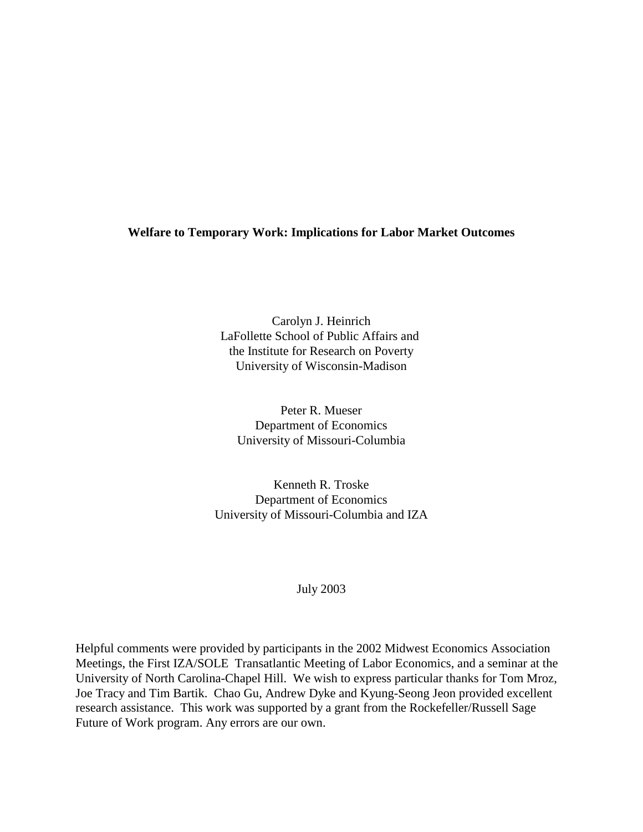# **Welfare to Temporary Work: Implications for Labor Market Outcomes**

Carolyn J. Heinrich LaFollette School of Public Affairs and the Institute for Research on Poverty University of Wisconsin-Madison

Peter R. Mueser Department of Economics University of Missouri-Columbia

Kenneth R. Troske Department of Economics University of Missouri-Columbia and IZA

# July 2003

Helpful comments were provided by participants in the 2002 Midwest Economics Association Meetings, the First IZA/SOLE Transatlantic Meeting of Labor Economics, and a seminar at the University of North Carolina-Chapel Hill. We wish to express particular thanks for Tom Mroz, Joe Tracy and Tim Bartik. Chao Gu, Andrew Dyke and Kyung-Seong Jeon provided excellent research assistance. This work was supported by a grant from the Rockefeller/Russell Sage Future of Work program. Any errors are our own.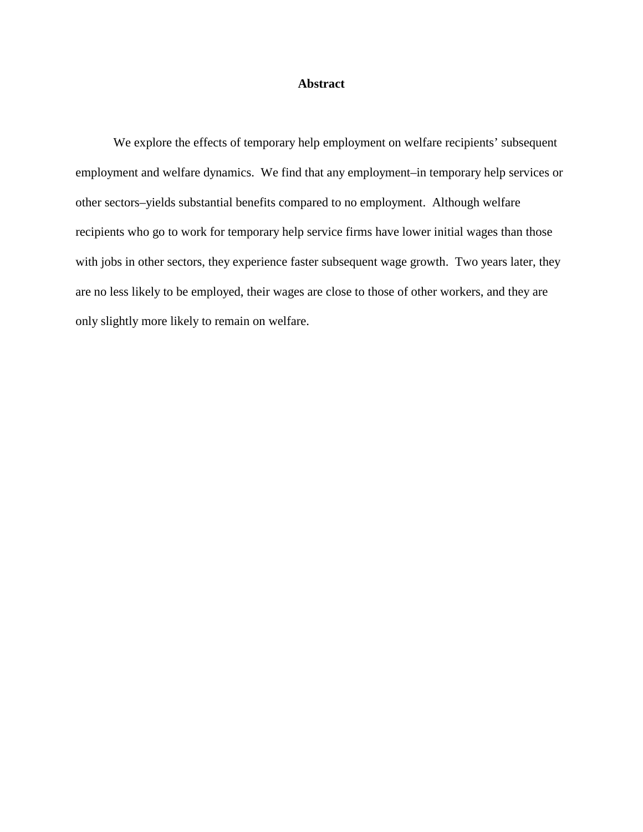# **Abstract**

We explore the effects of temporary help employment on welfare recipients' subsequent employment and welfare dynamics. We find that any employment–in temporary help services or other sectors–yields substantial benefits compared to no employment. Although welfare recipients who go to work for temporary help service firms have lower initial wages than those with jobs in other sectors, they experience faster subsequent wage growth. Two years later, they are no less likely to be employed, their wages are close to those of other workers, and they are only slightly more likely to remain on welfare.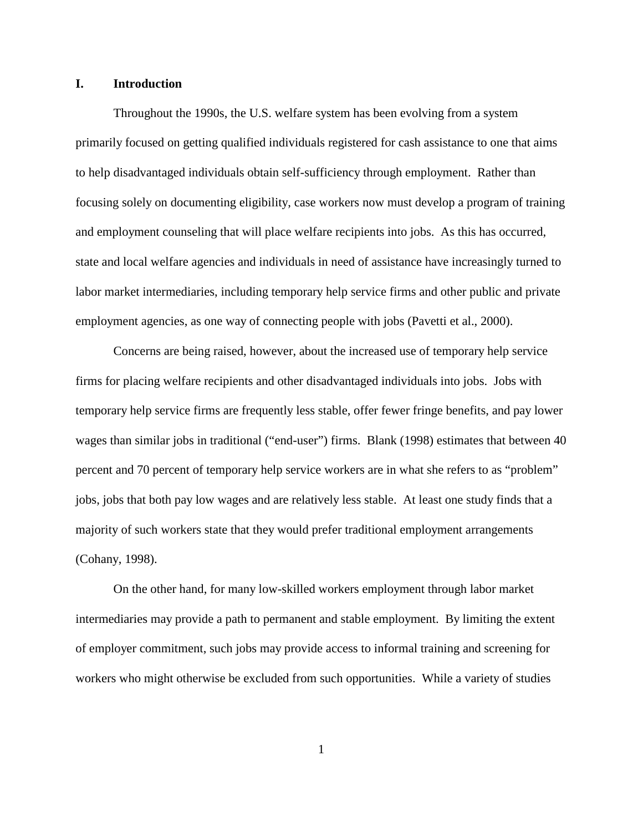## **I. Introduction**

Throughout the 1990s, the U.S. welfare system has been evolving from a system primarily focused on getting qualified individuals registered for cash assistance to one that aims to help disadvantaged individuals obtain self-sufficiency through employment. Rather than focusing solely on documenting eligibility, case workers now must develop a program of training and employment counseling that will place welfare recipients into jobs. As this has occurred, state and local welfare agencies and individuals in need of assistance have increasingly turned to labor market intermediaries, including temporary help service firms and other public and private employment agencies, as one way of connecting people with jobs (Pavetti et al., 2000).

Concerns are being raised, however, about the increased use of temporary help service firms for placing welfare recipients and other disadvantaged individuals into jobs. Jobs with temporary help service firms are frequently less stable, offer fewer fringe benefits, and pay lower wages than similar jobs in traditional ("end-user") firms. Blank (1998) estimates that between 40 percent and 70 percent of temporary help service workers are in what she refers to as "problem" jobs, jobs that both pay low wages and are relatively less stable. At least one study finds that a majority of such workers state that they would prefer traditional employment arrangements (Cohany, 1998).

On the other hand, for many low-skilled workers employment through labor market intermediaries may provide a path to permanent and stable employment. By limiting the extent of employer commitment, such jobs may provide access to informal training and screening for workers who might otherwise be excluded from such opportunities. While a variety of studies

1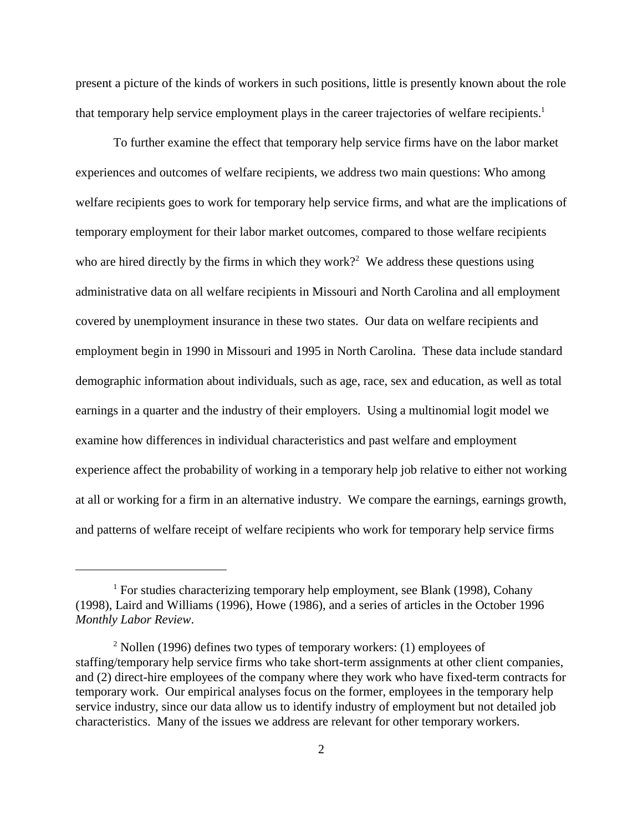present a picture of the kinds of workers in such positions, little is presently known about the role that temporary help service employment plays in the career trajectories of welfare recipients.<sup>1</sup>

To further examine the effect that temporary help service firms have on the labor market experiences and outcomes of welfare recipients, we address two main questions: Who among welfare recipients goes to work for temporary help service firms, and what are the implications of temporary employment for their labor market outcomes, compared to those welfare recipients who are hired directly by the firms in which they work?<sup>2</sup> We address these questions using administrative data on all welfare recipients in Missouri and North Carolina and all employment covered by unemployment insurance in these two states. Our data on welfare recipients and employment begin in 1990 in Missouri and 1995 in North Carolina. These data include standard demographic information about individuals, such as age, race, sex and education, as well as total earnings in a quarter and the industry of their employers. Using a multinomial logit model we examine how differences in individual characteristics and past welfare and employment experience affect the probability of working in a temporary help job relative to either not working at all or working for a firm in an alternative industry. We compare the earnings, earnings growth, and patterns of welfare receipt of welfare recipients who work for temporary help service firms

<sup>&</sup>lt;sup>1</sup> For studies characterizing temporary help employment, see Blank (1998), Cohany (1998), Laird and Williams (1996), Howe (1986), and a series of articles in the October 1996 *Monthly Labor Review*.

 $2$  Nollen (1996) defines two types of temporary workers: (1) employees of staffing/temporary help service firms who take short-term assignments at other client companies, and (2) direct-hire employees of the company where they work who have fixed-term contracts for temporary work. Our empirical analyses focus on the former, employees in the temporary help service industry, since our data allow us to identify industry of employment but not detailed job characteristics. Many of the issues we address are relevant for other temporary workers.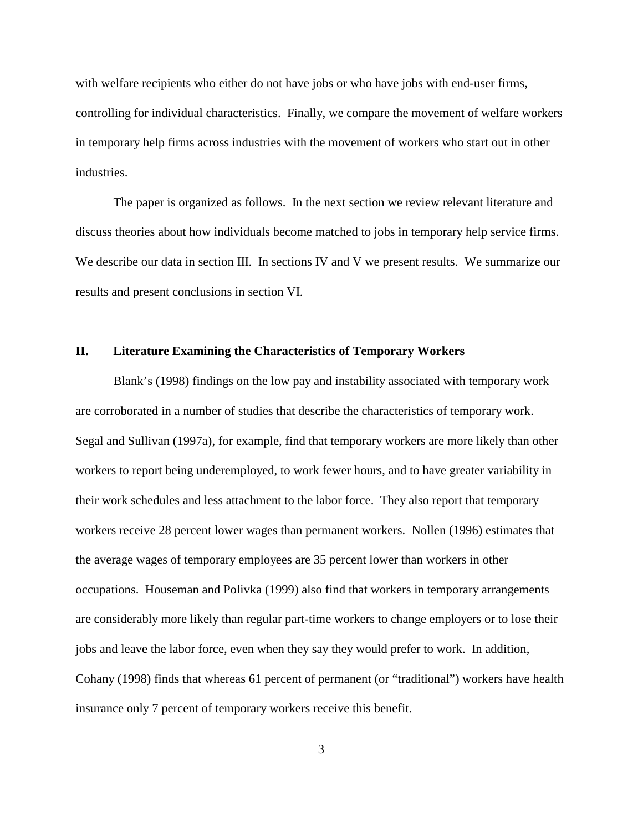with welfare recipients who either do not have jobs or who have jobs with end-user firms, controlling for individual characteristics. Finally, we compare the movement of welfare workers in temporary help firms across industries with the movement of workers who start out in other industries.

The paper is organized as follows. In the next section we review relevant literature and discuss theories about how individuals become matched to jobs in temporary help service firms. We describe our data in section III. In sections IV and V we present results. We summarize our results and present conclusions in section VI.

### **II. Literature Examining the Characteristics of Temporary Workers**

Blank's (1998) findings on the low pay and instability associated with temporary work are corroborated in a number of studies that describe the characteristics of temporary work. Segal and Sullivan (1997a), for example, find that temporary workers are more likely than other workers to report being underemployed, to work fewer hours, and to have greater variability in their work schedules and less attachment to the labor force. They also report that temporary workers receive 28 percent lower wages than permanent workers. Nollen (1996) estimates that the average wages of temporary employees are 35 percent lower than workers in other occupations. Houseman and Polivka (1999) also find that workers in temporary arrangements are considerably more likely than regular part-time workers to change employers or to lose their jobs and leave the labor force, even when they say they would prefer to work. In addition, Cohany (1998) finds that whereas 61 percent of permanent (or "traditional") workers have health insurance only 7 percent of temporary workers receive this benefit.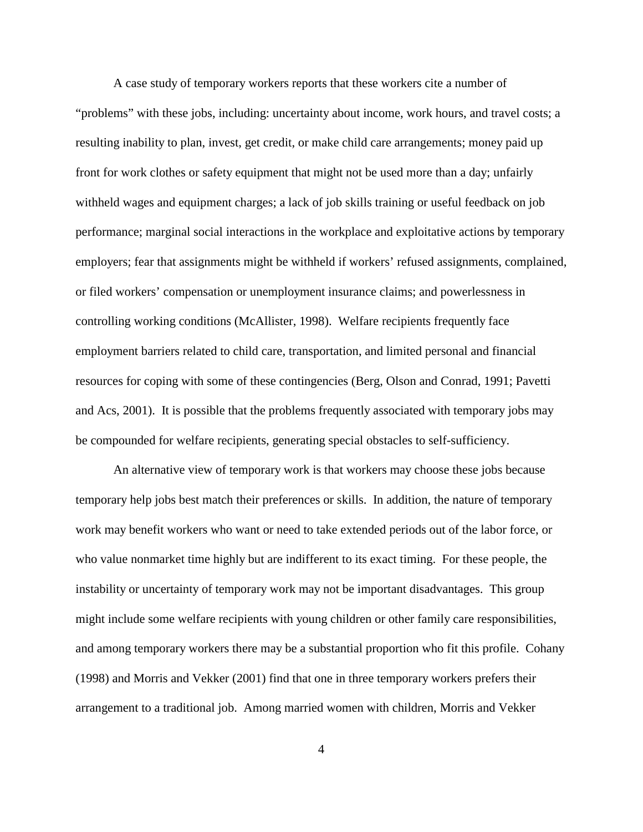A case study of temporary workers reports that these workers cite a number of "problems" with these jobs, including: uncertainty about income, work hours, and travel costs; a resulting inability to plan, invest, get credit, or make child care arrangements; money paid up front for work clothes or safety equipment that might not be used more than a day; unfairly withheld wages and equipment charges; a lack of job skills training or useful feedback on job performance; marginal social interactions in the workplace and exploitative actions by temporary employers; fear that assignments might be withheld if workers' refused assignments, complained, or filed workers' compensation or unemployment insurance claims; and powerlessness in controlling working conditions (McAllister, 1998). Welfare recipients frequently face employment barriers related to child care, transportation, and limited personal and financial resources for coping with some of these contingencies (Berg, Olson and Conrad, 1991; Pavetti and Acs, 2001). It is possible that the problems frequently associated with temporary jobs may be compounded for welfare recipients, generating special obstacles to self-sufficiency.

An alternative view of temporary work is that workers may choose these jobs because temporary help jobs best match their preferences or skills. In addition, the nature of temporary work may benefit workers who want or need to take extended periods out of the labor force, or who value nonmarket time highly but are indifferent to its exact timing. For these people, the instability or uncertainty of temporary work may not be important disadvantages. This group might include some welfare recipients with young children or other family care responsibilities, and among temporary workers there may be a substantial proportion who fit this profile. Cohany (1998) and Morris and Vekker (2001) find that one in three temporary workers prefers their arrangement to a traditional job. Among married women with children, Morris and Vekker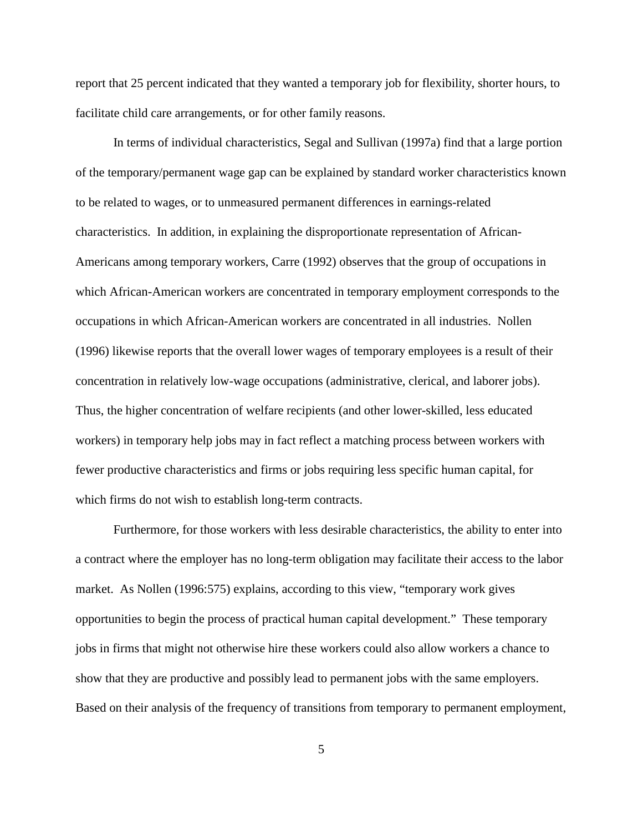report that 25 percent indicated that they wanted a temporary job for flexibility, shorter hours, to facilitate child care arrangements, or for other family reasons.

In terms of individual characteristics, Segal and Sullivan (1997a) find that a large portion of the temporary/permanent wage gap can be explained by standard worker characteristics known to be related to wages, or to unmeasured permanent differences in earnings-related characteristics. In addition, in explaining the disproportionate representation of African-Americans among temporary workers, Carre (1992) observes that the group of occupations in which African-American workers are concentrated in temporary employment corresponds to the occupations in which African-American workers are concentrated in all industries. Nollen (1996) likewise reports that the overall lower wages of temporary employees is a result of their concentration in relatively low-wage occupations (administrative, clerical, and laborer jobs). Thus, the higher concentration of welfare recipients (and other lower-skilled, less educated workers) in temporary help jobs may in fact reflect a matching process between workers with fewer productive characteristics and firms or jobs requiring less specific human capital, for which firms do not wish to establish long-term contracts.

Furthermore, for those workers with less desirable characteristics, the ability to enter into a contract where the employer has no long-term obligation may facilitate their access to the labor market. As Nollen (1996:575) explains, according to this view, "temporary work gives opportunities to begin the process of practical human capital development." These temporary jobs in firms that might not otherwise hire these workers could also allow workers a chance to show that they are productive and possibly lead to permanent jobs with the same employers. Based on their analysis of the frequency of transitions from temporary to permanent employment,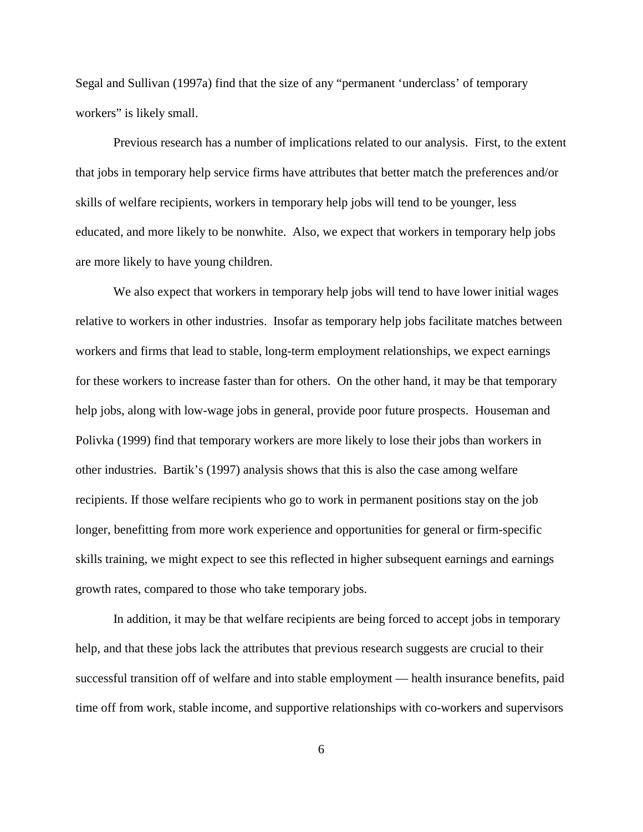Segal and Sullivan (1997a) find that the size of any "permanent 'underclass' of temporary workers" is likely small.

Previous research has a number of implications related to our analysis. First, to the extent that jobs in temporary help service firms have attributes that better match the preferences and/or skills of welfare recipients, workers in temporary help jobs will tend to be younger, less educated, and more likely to be nonwhite. Also, we expect that workers in temporary help jobs are more likely to have young children.

We also expect that workers in temporary help jobs will tend to have lower initial wages relative to workers in other industries. Insofar as temporary help jobs facilitate matches between workers and firms that lead to stable, long-term employment relationships, we expect earnings for these workers to increase faster than for others. On the other hand, it may be that temporary help jobs, along with low-wage jobs in general, provide poor future prospects. Houseman and Polivka (1999) find that temporary workers are more likely to lose their jobs than workers in other industries. Bartik's (1997) analysis shows that this is also the case among welfare recipients. If those welfare recipients who go to work in permanent positions stay on the job longer, benefitting from more work experience and opportunities for general or firm-specific skills training, we might expect to see this reflected in higher subsequent earnings and earnings growth rates, compared to those who take temporary jobs.

In addition, it may be that welfare recipients are being forced to accept jobs in temporary help, and that these jobs lack the attributes that previous research suggests are crucial to their successful transition off of welfare and into stable employment — health insurance benefits, paid time off from work, stable income, and supportive relationships with co-workers and supervisors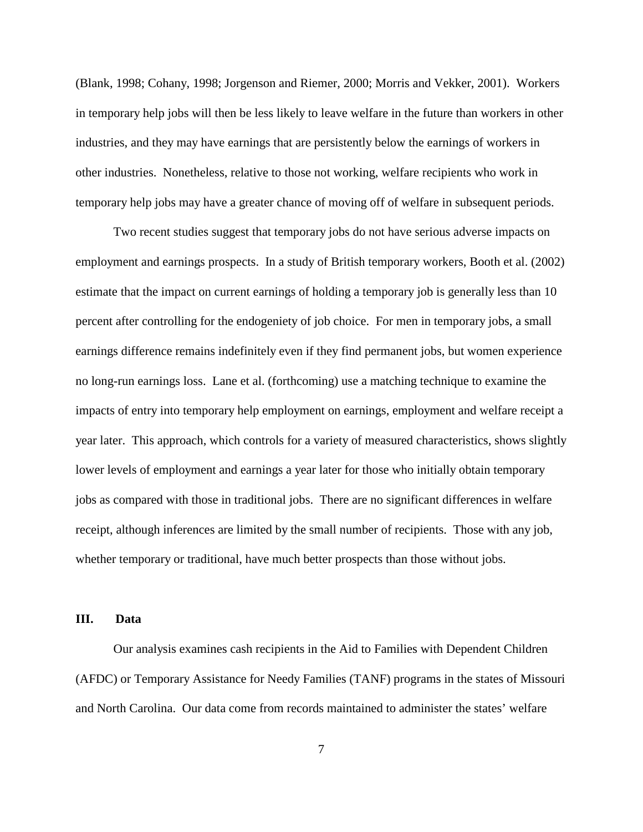(Blank, 1998; Cohany, 1998; Jorgenson and Riemer, 2000; Morris and Vekker, 2001). Workers in temporary help jobs will then be less likely to leave welfare in the future than workers in other industries, and they may have earnings that are persistently below the earnings of workers in other industries. Nonetheless, relative to those not working, welfare recipients who work in temporary help jobs may have a greater chance of moving off of welfare in subsequent periods.

Two recent studies suggest that temporary jobs do not have serious adverse impacts on employment and earnings prospects. In a study of British temporary workers, Booth et al. (2002) estimate that the impact on current earnings of holding a temporary job is generally less than 10 percent after controlling for the endogeniety of job choice. For men in temporary jobs, a small earnings difference remains indefinitely even if they find permanent jobs, but women experience no long-run earnings loss. Lane et al. (forthcoming) use a matching technique to examine the impacts of entry into temporary help employment on earnings, employment and welfare receipt a year later. This approach, which controls for a variety of measured characteristics, shows slightly lower levels of employment and earnings a year later for those who initially obtain temporary jobs as compared with those in traditional jobs. There are no significant differences in welfare receipt, although inferences are limited by the small number of recipients. Those with any job, whether temporary or traditional, have much better prospects than those without jobs.

# **III. Data**

Our analysis examines cash recipients in the Aid to Families with Dependent Children (AFDC) or Temporary Assistance for Needy Families (TANF) programs in the states of Missouri and North Carolina. Our data come from records maintained to administer the states' welfare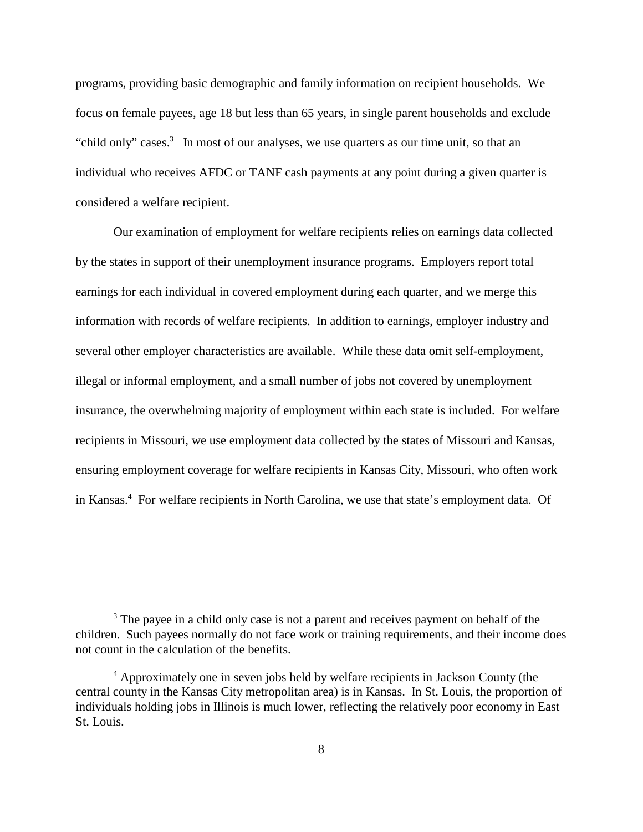programs, providing basic demographic and family information on recipient households. We focus on female payees, age 18 but less than 65 years, in single parent households and exclude "child only" cases.<sup>3</sup> In most of our analyses, we use quarters as our time unit, so that an individual who receives AFDC or TANF cash payments at any point during a given quarter is considered a welfare recipient.

Our examination of employment for welfare recipients relies on earnings data collected by the states in support of their unemployment insurance programs. Employers report total earnings for each individual in covered employment during each quarter, and we merge this information with records of welfare recipients. In addition to earnings, employer industry and several other employer characteristics are available. While these data omit self-employment, illegal or informal employment, and a small number of jobs not covered by unemployment insurance, the overwhelming majority of employment within each state is included. For welfare recipients in Missouri, we use employment data collected by the states of Missouri and Kansas, ensuring employment coverage for welfare recipients in Kansas City, Missouri, who often work in Kansas.<sup>4</sup> For welfare recipients in North Carolina, we use that state's employment data. Of

<sup>&</sup>lt;sup>3</sup> The payee in a child only case is not a parent and receives payment on behalf of the children. Such payees normally do not face work or training requirements, and their income does not count in the calculation of the benefits.

<sup>&</sup>lt;sup>4</sup> Approximately one in seven jobs held by welfare recipients in Jackson County (the central county in the Kansas City metropolitan area) is in Kansas. In St. Louis, the proportion of individuals holding jobs in Illinois is much lower, reflecting the relatively poor economy in East St. Louis.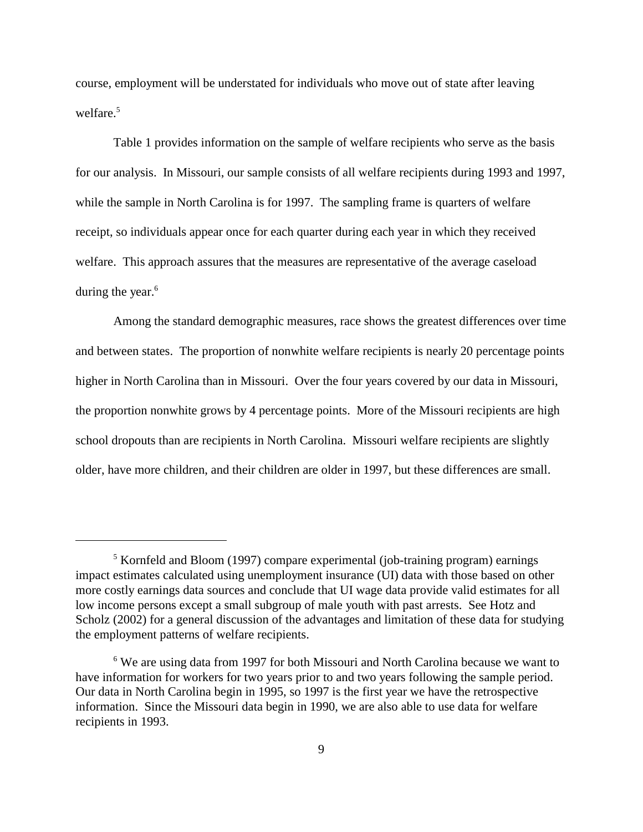course, employment will be understated for individuals who move out of state after leaving welfare.<sup>5</sup>

Table 1 provides information on the sample of welfare recipients who serve as the basis for our analysis. In Missouri, our sample consists of all welfare recipients during 1993 and 1997, while the sample in North Carolina is for 1997. The sampling frame is quarters of welfare receipt, so individuals appear once for each quarter during each year in which they received welfare. This approach assures that the measures are representative of the average caseload during the year. $6$ 

Among the standard demographic measures, race shows the greatest differences over time and between states. The proportion of nonwhite welfare recipients is nearly 20 percentage points higher in North Carolina than in Missouri. Over the four years covered by our data in Missouri, the proportion nonwhite grows by 4 percentage points. More of the Missouri recipients are high school dropouts than are recipients in North Carolina. Missouri welfare recipients are slightly older, have more children, and their children are older in 1997, but these differences are small.

<sup>&</sup>lt;sup>5</sup> Kornfeld and Bloom (1997) compare experimental (job-training program) earnings impact estimates calculated using unemployment insurance (UI) data with those based on other more costly earnings data sources and conclude that UI wage data provide valid estimates for all low income persons except a small subgroup of male youth with past arrests. See Hotz and Scholz (2002) for a general discussion of the advantages and limitation of these data for studying the employment patterns of welfare recipients.

<sup>&</sup>lt;sup>6</sup> We are using data from 1997 for both Missouri and North Carolina because we want to have information for workers for two years prior to and two years following the sample period. Our data in North Carolina begin in 1995, so 1997 is the first year we have the retrospective information. Since the Missouri data begin in 1990, we are also able to use data for welfare recipients in 1993.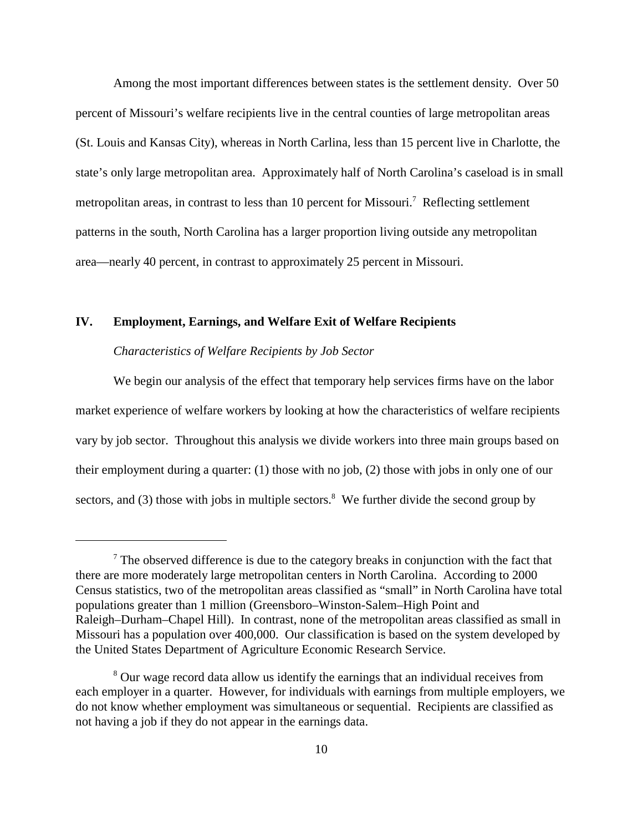Among the most important differences between states is the settlement density. Over 50 percent of Missouri's welfare recipients live in the central counties of large metropolitan areas (St. Louis and Kansas City), whereas in North Carlina, less than 15 percent live in Charlotte, the state's only large metropolitan area. Approximately half of North Carolina's caseload is in small metropolitan areas, in contrast to less than 10 percent for Missouri.<sup>7</sup> Reflecting settlement patterns in the south, North Carolina has a larger proportion living outside any metropolitan area—nearly 40 percent, in contrast to approximately 25 percent in Missouri.

# **IV. Employment, Earnings, and Welfare Exit of Welfare Recipients**

### *Characteristics of Welfare Recipients by Job Sector*

We begin our analysis of the effect that temporary help services firms have on the labor market experience of welfare workers by looking at how the characteristics of welfare recipients vary by job sector. Throughout this analysis we divide workers into three main groups based on their employment during a quarter: (1) those with no job, (2) those with jobs in only one of our sectors, and (3) those with jobs in multiple sectors.<sup>8</sup> We further divide the second group by

 $<sup>7</sup>$  The observed difference is due to the category breaks in conjunction with the fact that</sup> there are more moderately large metropolitan centers in North Carolina. According to 2000 Census statistics, two of the metropolitan areas classified as "small" in North Carolina have total populations greater than 1 million (Greensboro–Winston-Salem–High Point and Raleigh–Durham–Chapel Hill). In contrast, none of the metropolitan areas classified as small in Missouri has a population over 400,000. Our classification is based on the system developed by the United States Department of Agriculture Economic Research Service.

<sup>&</sup>lt;sup>8</sup> Our wage record data allow us identify the earnings that an individual receives from each employer in a quarter. However, for individuals with earnings from multiple employers, we do not know whether employment was simultaneous or sequential. Recipients are classified as not having a job if they do not appear in the earnings data.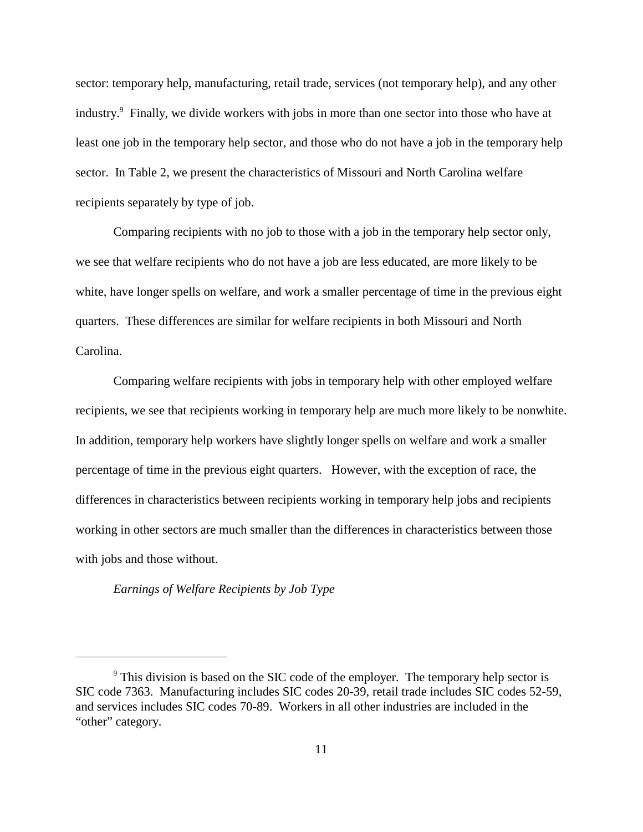sector: temporary help, manufacturing, retail trade, services (not temporary help), and any other industry.<sup>9</sup> Finally, we divide workers with jobs in more than one sector into those who have at least one job in the temporary help sector, and those who do not have a job in the temporary help sector. In Table 2, we present the characteristics of Missouri and North Carolina welfare recipients separately by type of job.

Comparing recipients with no job to those with a job in the temporary help sector only, we see that welfare recipients who do not have a job are less educated, are more likely to be white, have longer spells on welfare, and work a smaller percentage of time in the previous eight quarters. These differences are similar for welfare recipients in both Missouri and North Carolina.

Comparing welfare recipients with jobs in temporary help with other employed welfare recipients, we see that recipients working in temporary help are much more likely to be nonwhite. In addition, temporary help workers have slightly longer spells on welfare and work a smaller percentage of time in the previous eight quarters. However, with the exception of race, the differences in characteristics between recipients working in temporary help jobs and recipients working in other sectors are much smaller than the differences in characteristics between those with jobs and those without.

*Earnings of Welfare Recipients by Job Type*

<sup>&</sup>lt;sup>9</sup> This division is based on the SIC code of the employer. The temporary help sector is SIC code 7363. Manufacturing includes SIC codes 20-39, retail trade includes SIC codes 52-59, and services includes SIC codes 70-89. Workers in all other industries are included in the "other" category.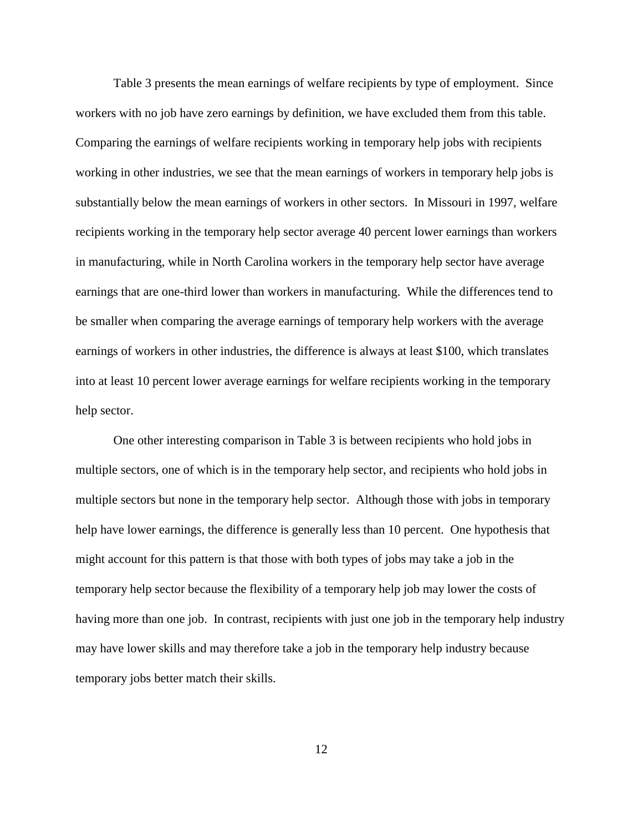Table 3 presents the mean earnings of welfare recipients by type of employment. Since workers with no job have zero earnings by definition, we have excluded them from this table. Comparing the earnings of welfare recipients working in temporary help jobs with recipients working in other industries, we see that the mean earnings of workers in temporary help jobs is substantially below the mean earnings of workers in other sectors. In Missouri in 1997, welfare recipients working in the temporary help sector average 40 percent lower earnings than workers in manufacturing, while in North Carolina workers in the temporary help sector have average earnings that are one-third lower than workers in manufacturing. While the differences tend to be smaller when comparing the average earnings of temporary help workers with the average earnings of workers in other industries, the difference is always at least \$100, which translates into at least 10 percent lower average earnings for welfare recipients working in the temporary help sector.

One other interesting comparison in Table 3 is between recipients who hold jobs in multiple sectors, one of which is in the temporary help sector, and recipients who hold jobs in multiple sectors but none in the temporary help sector. Although those with jobs in temporary help have lower earnings, the difference is generally less than 10 percent. One hypothesis that might account for this pattern is that those with both types of jobs may take a job in the temporary help sector because the flexibility of a temporary help job may lower the costs of having more than one job. In contrast, recipients with just one job in the temporary help industry may have lower skills and may therefore take a job in the temporary help industry because temporary jobs better match their skills.

12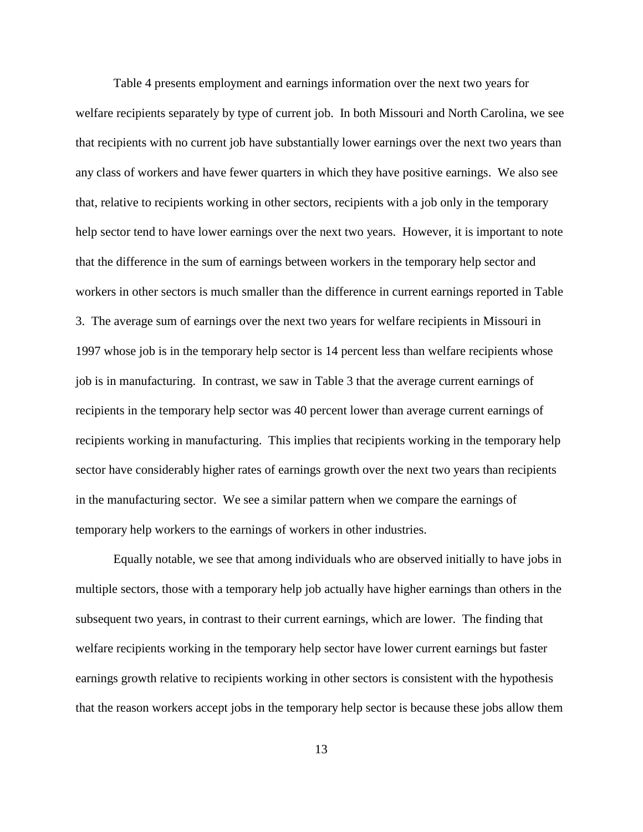Table 4 presents employment and earnings information over the next two years for welfare recipients separately by type of current job. In both Missouri and North Carolina, we see that recipients with no current job have substantially lower earnings over the next two years than any class of workers and have fewer quarters in which they have positive earnings. We also see that, relative to recipients working in other sectors, recipients with a job only in the temporary help sector tend to have lower earnings over the next two years. However, it is important to note that the difference in the sum of earnings between workers in the temporary help sector and workers in other sectors is much smaller than the difference in current earnings reported in Table 3. The average sum of earnings over the next two years for welfare recipients in Missouri in 1997 whose job is in the temporary help sector is 14 percent less than welfare recipients whose job is in manufacturing. In contrast, we saw in Table 3 that the average current earnings of recipients in the temporary help sector was 40 percent lower than average current earnings of recipients working in manufacturing. This implies that recipients working in the temporary help sector have considerably higher rates of earnings growth over the next two years than recipients in the manufacturing sector. We see a similar pattern when we compare the earnings of temporary help workers to the earnings of workers in other industries.

Equally notable, we see that among individuals who are observed initially to have jobs in multiple sectors, those with a temporary help job actually have higher earnings than others in the subsequent two years, in contrast to their current earnings, which are lower. The finding that welfare recipients working in the temporary help sector have lower current earnings but faster earnings growth relative to recipients working in other sectors is consistent with the hypothesis that the reason workers accept jobs in the temporary help sector is because these jobs allow them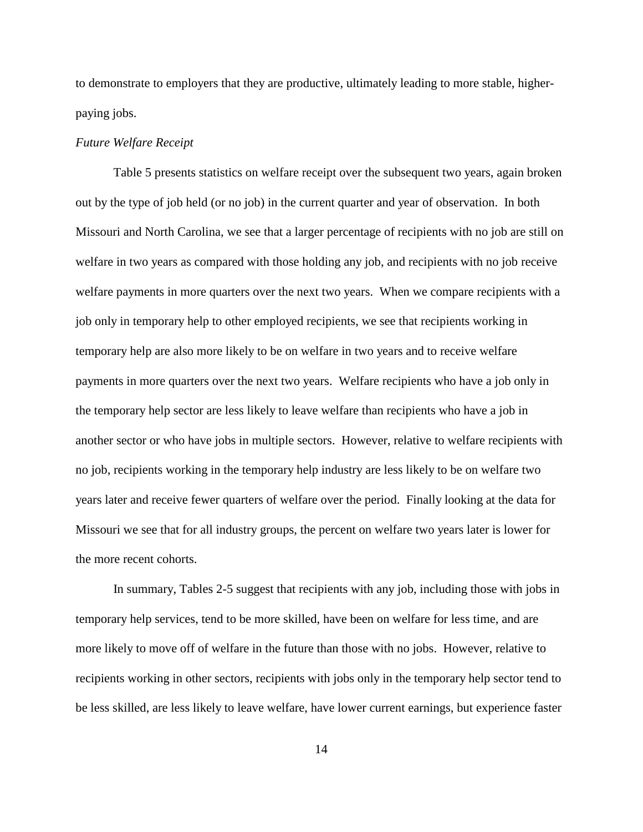to demonstrate to employers that they are productive, ultimately leading to more stable, higherpaying jobs.

#### *Future Welfare Receipt*

Table 5 presents statistics on welfare receipt over the subsequent two years, again broken out by the type of job held (or no job) in the current quarter and year of observation. In both Missouri and North Carolina, we see that a larger percentage of recipients with no job are still on welfare in two years as compared with those holding any job, and recipients with no job receive welfare payments in more quarters over the next two years. When we compare recipients with a job only in temporary help to other employed recipients, we see that recipients working in temporary help are also more likely to be on welfare in two years and to receive welfare payments in more quarters over the next two years. Welfare recipients who have a job only in the temporary help sector are less likely to leave welfare than recipients who have a job in another sector or who have jobs in multiple sectors. However, relative to welfare recipients with no job, recipients working in the temporary help industry are less likely to be on welfare two years later and receive fewer quarters of welfare over the period. Finally looking at the data for Missouri we see that for all industry groups, the percent on welfare two years later is lower for the more recent cohorts.

In summary, Tables 2-5 suggest that recipients with any job, including those with jobs in temporary help services, tend to be more skilled, have been on welfare for less time, and are more likely to move off of welfare in the future than those with no jobs. However, relative to recipients working in other sectors, recipients with jobs only in the temporary help sector tend to be less skilled, are less likely to leave welfare, have lower current earnings, but experience faster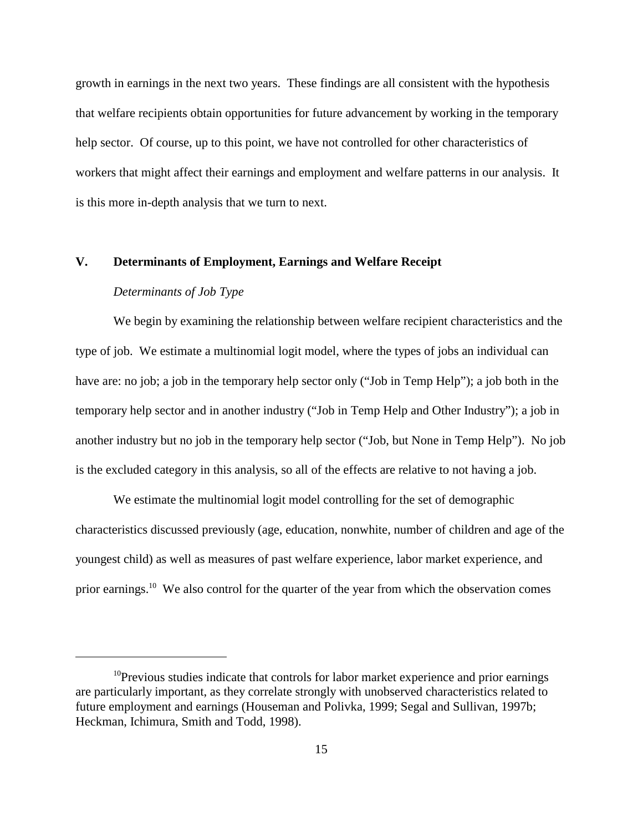growth in earnings in the next two years. These findings are all consistent with the hypothesis that welfare recipients obtain opportunities for future advancement by working in the temporary help sector. Of course, up to this point, we have not controlled for other characteristics of workers that might affect their earnings and employment and welfare patterns in our analysis. It is this more in-depth analysis that we turn to next.

# **V. Determinants of Employment, Earnings and Welfare Receipt**

## *Determinants of Job Type*

We begin by examining the relationship between welfare recipient characteristics and the type of job. We estimate a multinomial logit model, where the types of jobs an individual can have are: no job; a job in the temporary help sector only ("Job in Temp Help"); a job both in the temporary help sector and in another industry ("Job in Temp Help and Other Industry"); a job in another industry but no job in the temporary help sector ("Job, but None in Temp Help"). No job is the excluded category in this analysis, so all of the effects are relative to not having a job.

We estimate the multinomial logit model controlling for the set of demographic characteristics discussed previously (age, education, nonwhite, number of children and age of the youngest child) as well as measures of past welfare experience, labor market experience, and prior earnings.<sup>10</sup> We also control for the quarter of the year from which the observation comes

 $10$ Previous studies indicate that controls for labor market experience and prior earnings are particularly important, as they correlate strongly with unobserved characteristics related to future employment and earnings (Houseman and Polivka, 1999; Segal and Sullivan, 1997b; Heckman, Ichimura, Smith and Todd, 1998).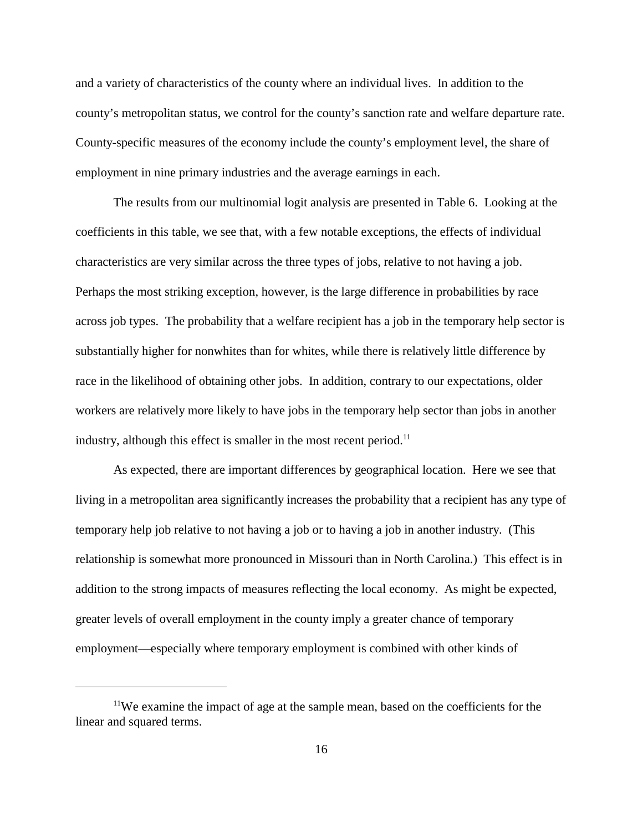and a variety of characteristics of the county where an individual lives. In addition to the county's metropolitan status, we control for the county's sanction rate and welfare departure rate. County-specific measures of the economy include the county's employment level, the share of employment in nine primary industries and the average earnings in each.

The results from our multinomial logit analysis are presented in Table 6. Looking at the coefficients in this table, we see that, with a few notable exceptions, the effects of individual characteristics are very similar across the three types of jobs, relative to not having a job. Perhaps the most striking exception, however, is the large difference in probabilities by race across job types. The probability that a welfare recipient has a job in the temporary help sector is substantially higher for nonwhites than for whites, while there is relatively little difference by race in the likelihood of obtaining other jobs. In addition, contrary to our expectations, older workers are relatively more likely to have jobs in the temporary help sector than jobs in another industry, although this effect is smaller in the most recent period.<sup>11</sup>

As expected, there are important differences by geographical location. Here we see that living in a metropolitan area significantly increases the probability that a recipient has any type of temporary help job relative to not having a job or to having a job in another industry. (This relationship is somewhat more pronounced in Missouri than in North Carolina.) This effect is in addition to the strong impacts of measures reflecting the local economy. As might be expected, greater levels of overall employment in the county imply a greater chance of temporary employment—especially where temporary employment is combined with other kinds of

<sup>&</sup>lt;sup>11</sup>We examine the impact of age at the sample mean, based on the coefficients for the linear and squared terms.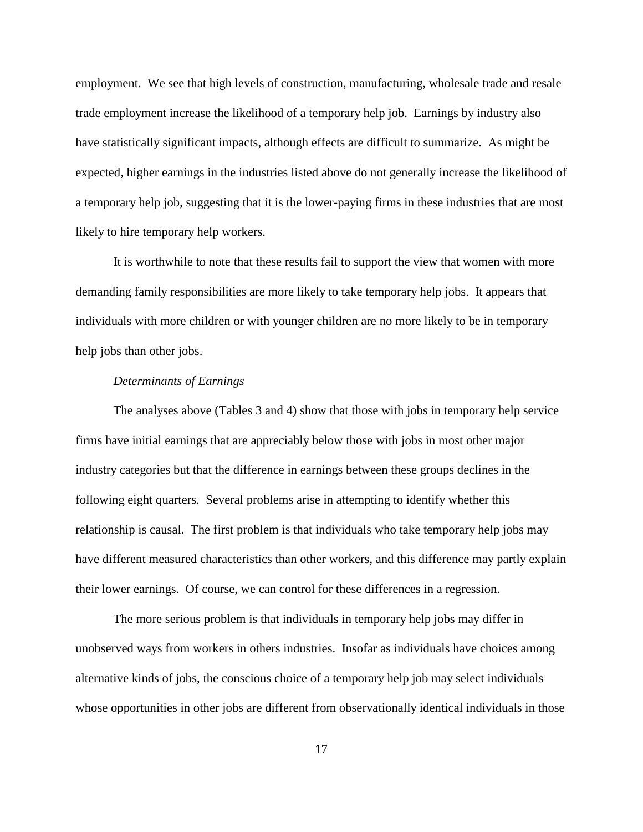employment. We see that high levels of construction, manufacturing, wholesale trade and resale trade employment increase the likelihood of a temporary help job. Earnings by industry also have statistically significant impacts, although effects are difficult to summarize. As might be expected, higher earnings in the industries listed above do not generally increase the likelihood of a temporary help job, suggesting that it is the lower-paying firms in these industries that are most likely to hire temporary help workers.

It is worthwhile to note that these results fail to support the view that women with more demanding family responsibilities are more likely to take temporary help jobs. It appears that individuals with more children or with younger children are no more likely to be in temporary help jobs than other jobs.

## *Determinants of Earnings*

The analyses above (Tables 3 and 4) show that those with jobs in temporary help service firms have initial earnings that are appreciably below those with jobs in most other major industry categories but that the difference in earnings between these groups declines in the following eight quarters. Several problems arise in attempting to identify whether this relationship is causal. The first problem is that individuals who take temporary help jobs may have different measured characteristics than other workers, and this difference may partly explain their lower earnings. Of course, we can control for these differences in a regression.

The more serious problem is that individuals in temporary help jobs may differ in unobserved ways from workers in others industries. Insofar as individuals have choices among alternative kinds of jobs, the conscious choice of a temporary help job may select individuals whose opportunities in other jobs are different from observationally identical individuals in those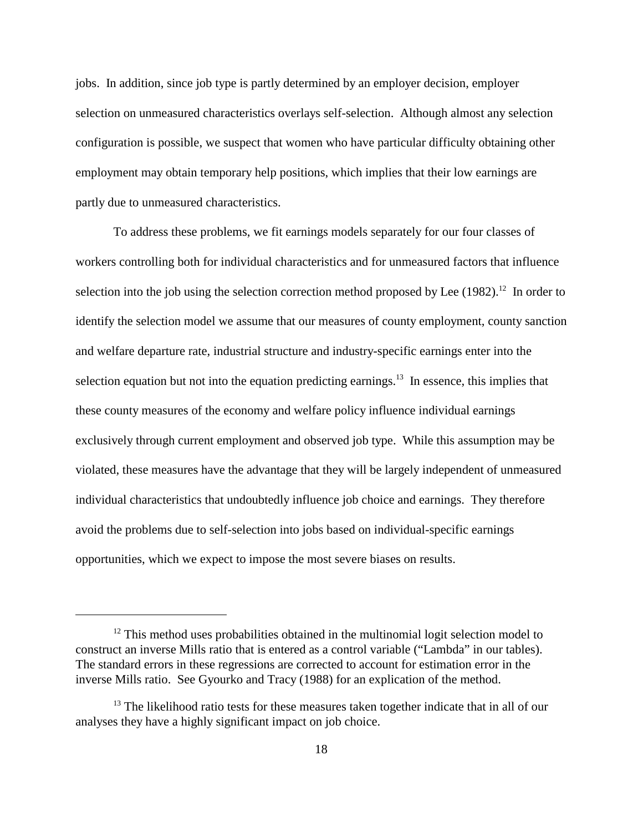jobs. In addition, since job type is partly determined by an employer decision, employer selection on unmeasured characteristics overlays self-selection. Although almost any selection configuration is possible, we suspect that women who have particular difficulty obtaining other employment may obtain temporary help positions, which implies that their low earnings are partly due to unmeasured characteristics.

To address these problems, we fit earnings models separately for our four classes of workers controlling both for individual characteristics and for unmeasured factors that influence selection into the job using the selection correction method proposed by Lee  $(1982)$ <sup>12</sup>. In order to identify the selection model we assume that our measures of county employment, county sanction and welfare departure rate, industrial structure and industry-specific earnings enter into the selection equation but not into the equation predicting earnings.<sup>13</sup> In essence, this implies that these county measures of the economy and welfare policy influence individual earnings exclusively through current employment and observed job type. While this assumption may be violated, these measures have the advantage that they will be largely independent of unmeasured individual characteristics that undoubtedly influence job choice and earnings. They therefore avoid the problems due to self-selection into jobs based on individual-specific earnings opportunities, which we expect to impose the most severe biases on results.

 $12$  This method uses probabilities obtained in the multinomial logit selection model to construct an inverse Mills ratio that is entered as a control variable ("Lambda" in our tables). The standard errors in these regressions are corrected to account for estimation error in the inverse Mills ratio. See Gyourko and Tracy (1988) for an explication of the method.

 $13$  The likelihood ratio tests for these measures taken together indicate that in all of our analyses they have a highly significant impact on job choice.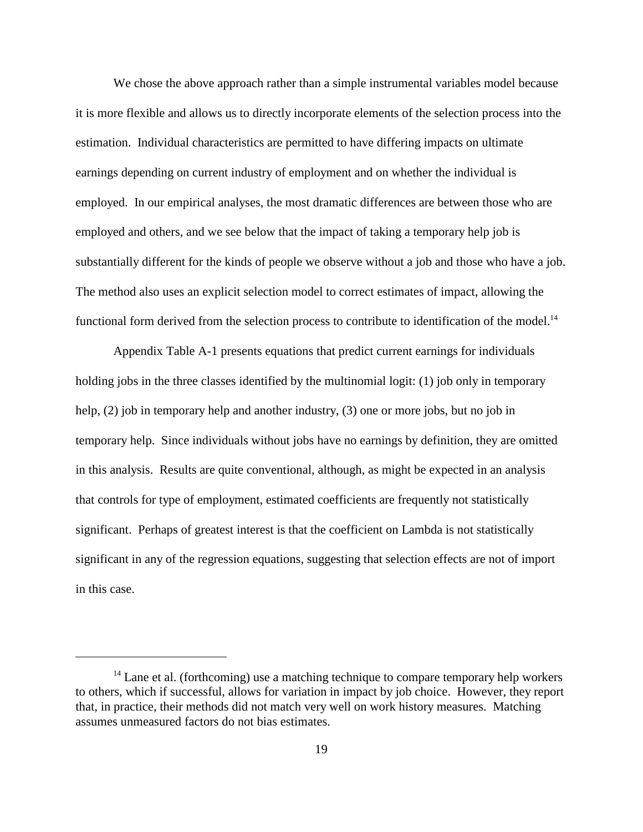We chose the above approach rather than a simple instrumental variables model because it is more flexible and allows us to directly incorporate elements of the selection process into the estimation. Individual characteristics are permitted to have differing impacts on ultimate earnings depending on current industry of employment and on whether the individual is employed. In our empirical analyses, the most dramatic differences are between those who are employed and others, and we see below that the impact of taking a temporary help job is substantially different for the kinds of people we observe without a job and those who have a job. The method also uses an explicit selection model to correct estimates of impact, allowing the functional form derived from the selection process to contribute to identification of the model.<sup>14</sup>

Appendix Table A-1 presents equations that predict current earnings for individuals holding jobs in the three classes identified by the multinomial logit: (1) job only in temporary help, (2) job in temporary help and another industry, (3) one or more jobs, but no job in temporary help. Since individuals without jobs have no earnings by definition, they are omitted in this analysis. Results are quite conventional, although, as might be expected in an analysis that controls for type of employment, estimated coefficients are frequently not statistically significant. Perhaps of greatest interest is that the coefficient on Lambda is not statistically significant in any of the regression equations, suggesting that selection effects are not of import in this case.

 $14$  Lane et al. (forthcoming) use a matching technique to compare temporary help workers to others, which if successful, allows for variation in impact by job choice. However, they report that, in practice, their methods did not match very well on work history measures. Matching assumes unmeasured factors do not bias estimates.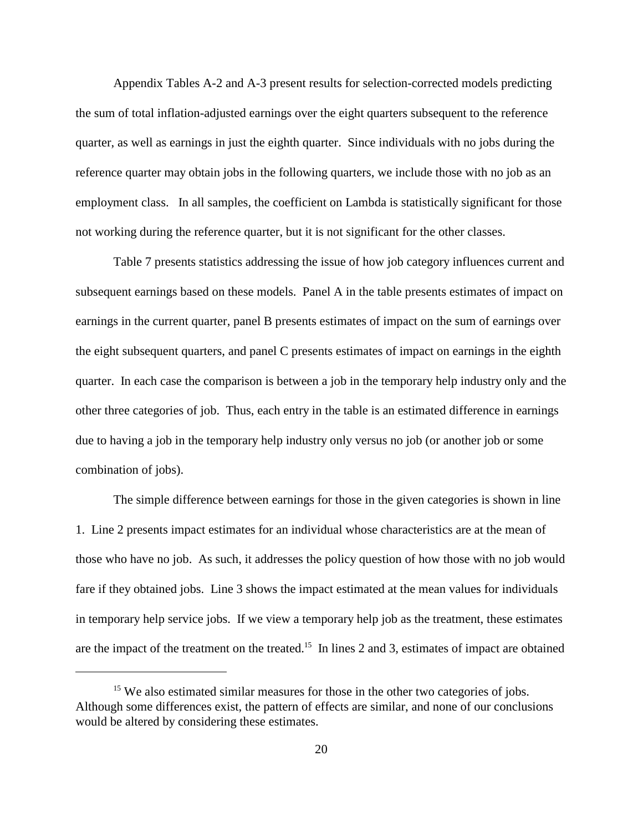Appendix Tables A-2 and A-3 present results for selection-corrected models predicting the sum of total inflation-adjusted earnings over the eight quarters subsequent to the reference quarter, as well as earnings in just the eighth quarter. Since individuals with no jobs during the reference quarter may obtain jobs in the following quarters, we include those with no job as an employment class. In all samples, the coefficient on Lambda is statistically significant for those not working during the reference quarter, but it is not significant for the other classes.

Table 7 presents statistics addressing the issue of how job category influences current and subsequent earnings based on these models. Panel A in the table presents estimates of impact on earnings in the current quarter, panel B presents estimates of impact on the sum of earnings over the eight subsequent quarters, and panel C presents estimates of impact on earnings in the eighth quarter. In each case the comparison is between a job in the temporary help industry only and the other three categories of job. Thus, each entry in the table is an estimated difference in earnings due to having a job in the temporary help industry only versus no job (or another job or some combination of jobs).

The simple difference between earnings for those in the given categories is shown in line 1. Line 2 presents impact estimates for an individual whose characteristics are at the mean of those who have no job. As such, it addresses the policy question of how those with no job would fare if they obtained jobs. Line 3 shows the impact estimated at the mean values for individuals in temporary help service jobs. If we view a temporary help job as the treatment, these estimates are the impact of the treatment on the treated.<sup>15</sup> In lines 2 and 3, estimates of impact are obtained

<sup>&</sup>lt;sup>15</sup> We also estimated similar measures for those in the other two categories of jobs. Although some differences exist, the pattern of effects are similar, and none of our conclusions would be altered by considering these estimates.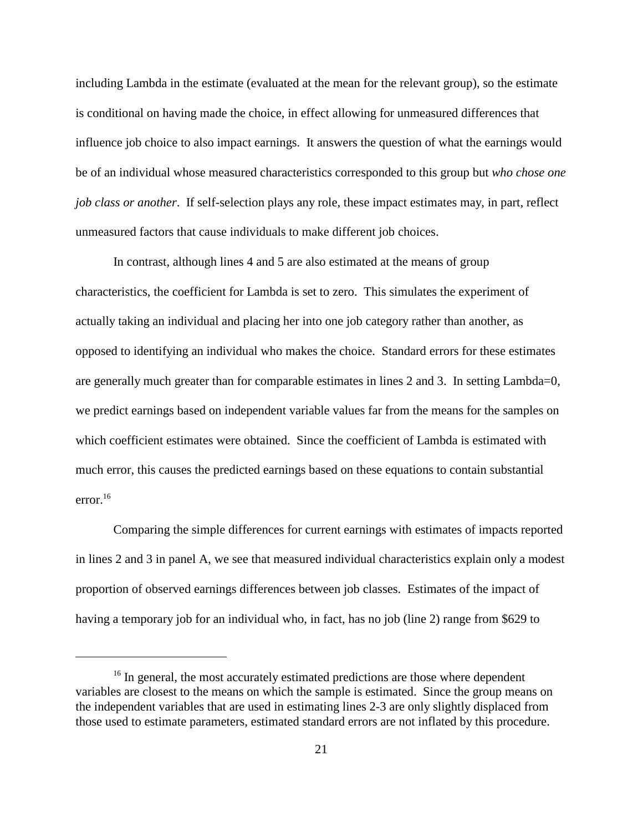including Lambda in the estimate (evaluated at the mean for the relevant group), so the estimate is conditional on having made the choice, in effect allowing for unmeasured differences that influence job choice to also impact earnings. It answers the question of what the earnings would be of an individual whose measured characteristics corresponded to this group but *who chose one job class or another*. If self-selection plays any role, these impact estimates may, in part, reflect unmeasured factors that cause individuals to make different job choices.

In contrast, although lines 4 and 5 are also estimated at the means of group characteristics, the coefficient for Lambda is set to zero. This simulates the experiment of actually taking an individual and placing her into one job category rather than another, as opposed to identifying an individual who makes the choice. Standard errors for these estimates are generally much greater than for comparable estimates in lines 2 and 3. In setting Lambda=0, we predict earnings based on independent variable values far from the means for the samples on which coefficient estimates were obtained. Since the coefficient of Lambda is estimated with much error, this causes the predicted earnings based on these equations to contain substantial error.16

Comparing the simple differences for current earnings with estimates of impacts reported in lines 2 and 3 in panel A, we see that measured individual characteristics explain only a modest proportion of observed earnings differences between job classes. Estimates of the impact of having a temporary job for an individual who, in fact, has no job (line 2) range from \$629 to

<sup>&</sup>lt;sup>16</sup> In general, the most accurately estimated predictions are those where dependent variables are closest to the means on which the sample is estimated. Since the group means on the independent variables that are used in estimating lines 2-3 are only slightly displaced from those used to estimate parameters, estimated standard errors are not inflated by this procedure.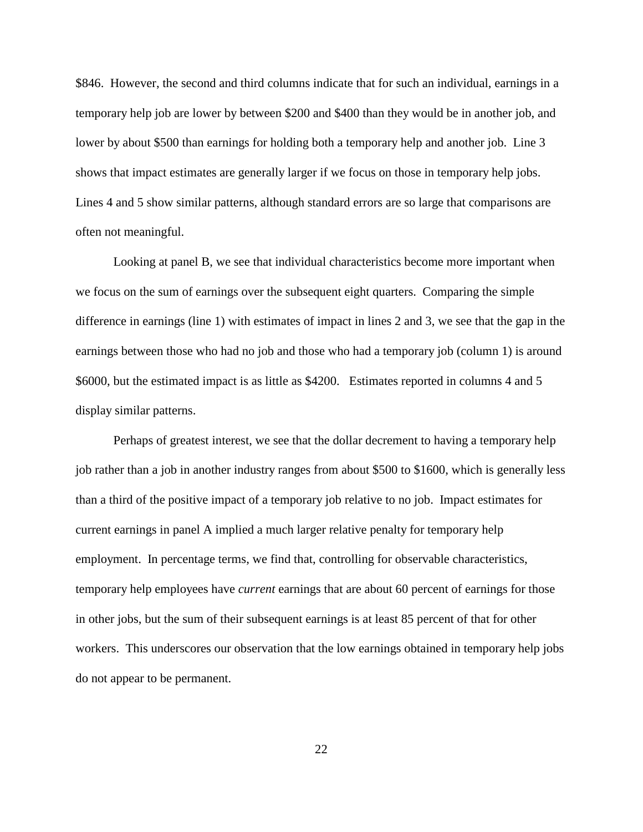\$846. However, the second and third columns indicate that for such an individual, earnings in a temporary help job are lower by between \$200 and \$400 than they would be in another job, and lower by about \$500 than earnings for holding both a temporary help and another job. Line 3 shows that impact estimates are generally larger if we focus on those in temporary help jobs. Lines 4 and 5 show similar patterns, although standard errors are so large that comparisons are often not meaningful.

Looking at panel B, we see that individual characteristics become more important when we focus on the sum of earnings over the subsequent eight quarters. Comparing the simple difference in earnings (line 1) with estimates of impact in lines 2 and 3, we see that the gap in the earnings between those who had no job and those who had a temporary job (column 1) is around \$6000, but the estimated impact is as little as \$4200. Estimates reported in columns 4 and 5 display similar patterns.

Perhaps of greatest interest, we see that the dollar decrement to having a temporary help job rather than a job in another industry ranges from about \$500 to \$1600, which is generally less than a third of the positive impact of a temporary job relative to no job. Impact estimates for current earnings in panel A implied a much larger relative penalty for temporary help employment. In percentage terms, we find that, controlling for observable characteristics, temporary help employees have *current* earnings that are about 60 percent of earnings for those in other jobs, but the sum of their subsequent earnings is at least 85 percent of that for other workers. This underscores our observation that the low earnings obtained in temporary help jobs do not appear to be permanent.

22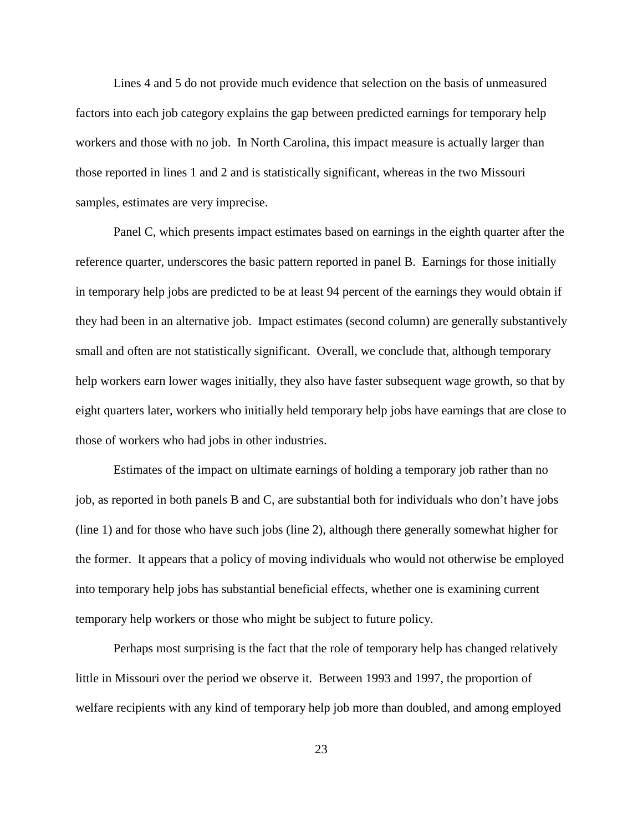Lines 4 and 5 do not provide much evidence that selection on the basis of unmeasured factors into each job category explains the gap between predicted earnings for temporary help workers and those with no job. In North Carolina, this impact measure is actually larger than those reported in lines 1 and 2 and is statistically significant, whereas in the two Missouri samples, estimates are very imprecise.

 Panel C, which presents impact estimates based on earnings in the eighth quarter after the reference quarter, underscores the basic pattern reported in panel B. Earnings for those initially in temporary help jobs are predicted to be at least 94 percent of the earnings they would obtain if they had been in an alternative job. Impact estimates (second column) are generally substantively small and often are not statistically significant. Overall, we conclude that, although temporary help workers earn lower wages initially, they also have faster subsequent wage growth, so that by eight quarters later, workers who initially held temporary help jobs have earnings that are close to those of workers who had jobs in other industries.

Estimates of the impact on ultimate earnings of holding a temporary job rather than no job, as reported in both panels B and C, are substantial both for individuals who don't have jobs (line 1) and for those who have such jobs (line 2), although there generally somewhat higher for the former. It appears that a policy of moving individuals who would not otherwise be employed into temporary help jobs has substantial beneficial effects, whether one is examining current temporary help workers or those who might be subject to future policy.

Perhaps most surprising is the fact that the role of temporary help has changed relatively little in Missouri over the period we observe it. Between 1993 and 1997, the proportion of welfare recipients with any kind of temporary help job more than doubled, and among employed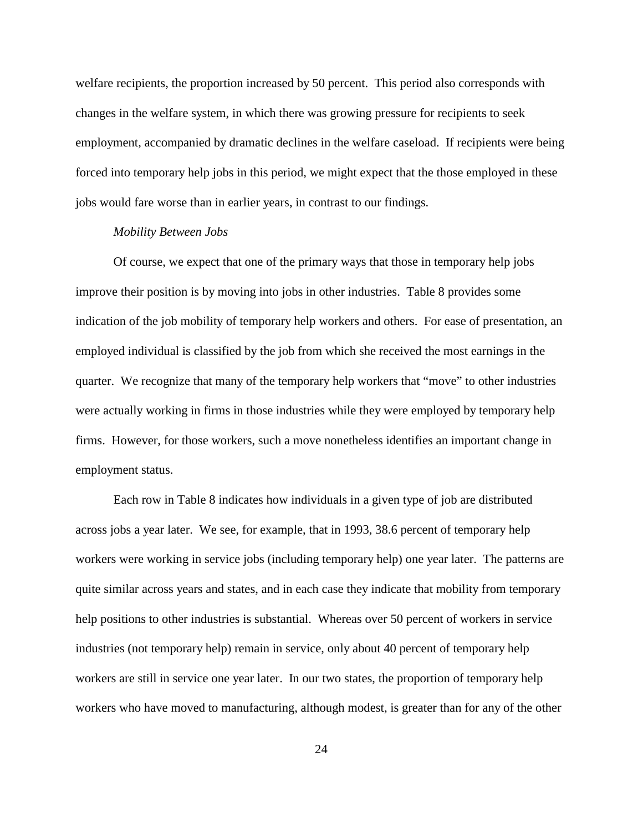welfare recipients, the proportion increased by 50 percent. This period also corresponds with changes in the welfare system, in which there was growing pressure for recipients to seek employment, accompanied by dramatic declines in the welfare caseload. If recipients were being forced into temporary help jobs in this period, we might expect that the those employed in these jobs would fare worse than in earlier years, in contrast to our findings.

### *Mobility Between Jobs*

Of course, we expect that one of the primary ways that those in temporary help jobs improve their position is by moving into jobs in other industries. Table 8 provides some indication of the job mobility of temporary help workers and others. For ease of presentation, an employed individual is classified by the job from which she received the most earnings in the quarter. We recognize that many of the temporary help workers that "move" to other industries were actually working in firms in those industries while they were employed by temporary help firms. However, for those workers, such a move nonetheless identifies an important change in employment status.

Each row in Table 8 indicates how individuals in a given type of job are distributed across jobs a year later. We see, for example, that in 1993, 38.6 percent of temporary help workers were working in service jobs (including temporary help) one year later. The patterns are quite similar across years and states, and in each case they indicate that mobility from temporary help positions to other industries is substantial. Whereas over 50 percent of workers in service industries (not temporary help) remain in service, only about 40 percent of temporary help workers are still in service one year later. In our two states, the proportion of temporary help workers who have moved to manufacturing, although modest, is greater than for any of the other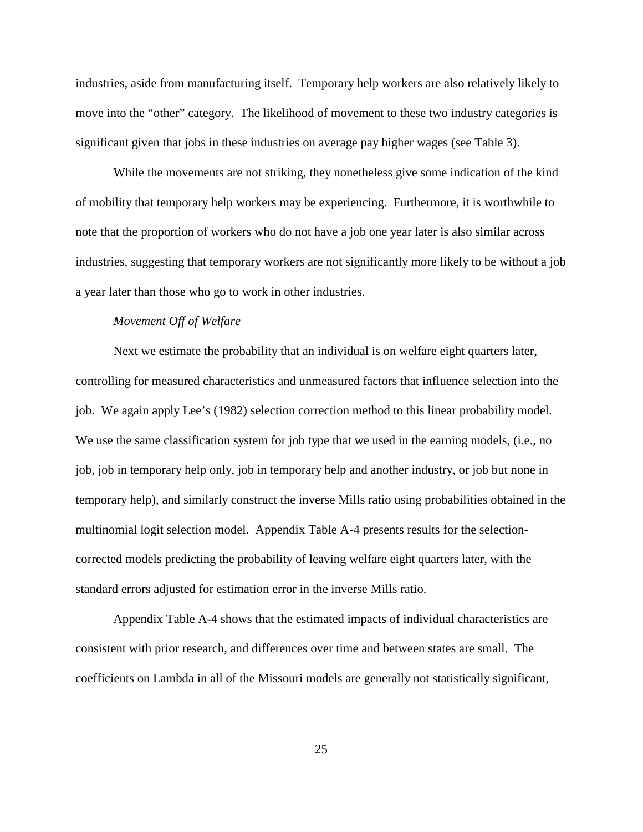industries, aside from manufacturing itself. Temporary help workers are also relatively likely to move into the "other" category. The likelihood of movement to these two industry categories is significant given that jobs in these industries on average pay higher wages (see Table 3).

While the movements are not striking, they nonetheless give some indication of the kind of mobility that temporary help workers may be experiencing. Furthermore, it is worthwhile to note that the proportion of workers who do not have a job one year later is also similar across industries, suggesting that temporary workers are not significantly more likely to be without a job a year later than those who go to work in other industries.

### *Movement Off of Welfare*

Next we estimate the probability that an individual is on welfare eight quarters later, controlling for measured characteristics and unmeasured factors that influence selection into the job. We again apply Lee's (1982) selection correction method to this linear probability model. We use the same classification system for job type that we used in the earning models, (i.e., no job, job in temporary help only, job in temporary help and another industry, or job but none in temporary help), and similarly construct the inverse Mills ratio using probabilities obtained in the multinomial logit selection model. Appendix Table A-4 presents results for the selectioncorrected models predicting the probability of leaving welfare eight quarters later, with the standard errors adjusted for estimation error in the inverse Mills ratio.

Appendix Table A-4 shows that the estimated impacts of individual characteristics are consistent with prior research, and differences over time and between states are small. The coefficients on Lambda in all of the Missouri models are generally not statistically significant,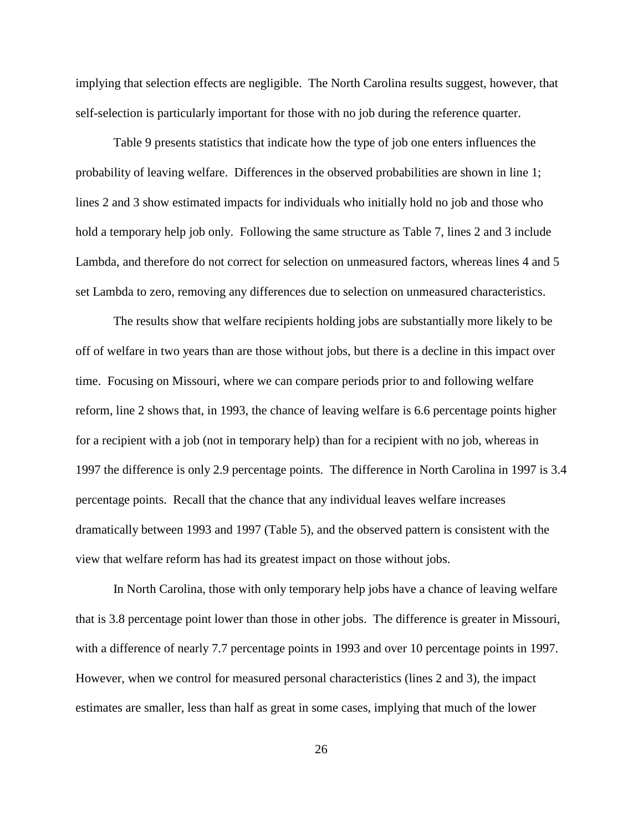implying that selection effects are negligible. The North Carolina results suggest, however, that self-selection is particularly important for those with no job during the reference quarter.

Table 9 presents statistics that indicate how the type of job one enters influences the probability of leaving welfare. Differences in the observed probabilities are shown in line 1; lines 2 and 3 show estimated impacts for individuals who initially hold no job and those who hold a temporary help job only. Following the same structure as Table 7, lines 2 and 3 include Lambda, and therefore do not correct for selection on unmeasured factors, whereas lines 4 and 5 set Lambda to zero, removing any differences due to selection on unmeasured characteristics.

The results show that welfare recipients holding jobs are substantially more likely to be off of welfare in two years than are those without jobs, but there is a decline in this impact over time. Focusing on Missouri, where we can compare periods prior to and following welfare reform, line 2 shows that, in 1993, the chance of leaving welfare is 6.6 percentage points higher for a recipient with a job (not in temporary help) than for a recipient with no job, whereas in 1997 the difference is only 2.9 percentage points. The difference in North Carolina in 1997 is 3.4 percentage points. Recall that the chance that any individual leaves welfare increases dramatically between 1993 and 1997 (Table 5), and the observed pattern is consistent with the view that welfare reform has had its greatest impact on those without jobs.

In North Carolina, those with only temporary help jobs have a chance of leaving welfare that is 3.8 percentage point lower than those in other jobs. The difference is greater in Missouri, with a difference of nearly 7.7 percentage points in 1993 and over 10 percentage points in 1997. However, when we control for measured personal characteristics (lines 2 and 3), the impact estimates are smaller, less than half as great in some cases, implying that much of the lower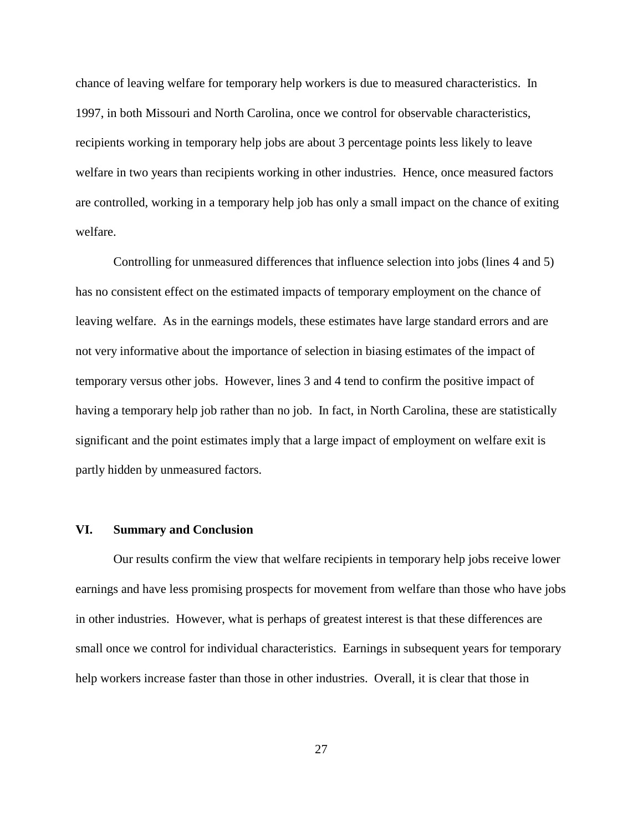chance of leaving welfare for temporary help workers is due to measured characteristics. In 1997, in both Missouri and North Carolina, once we control for observable characteristics, recipients working in temporary help jobs are about 3 percentage points less likely to leave welfare in two years than recipients working in other industries. Hence, once measured factors are controlled, working in a temporary help job has only a small impact on the chance of exiting welfare.

Controlling for unmeasured differences that influence selection into jobs (lines 4 and 5) has no consistent effect on the estimated impacts of temporary employment on the chance of leaving welfare. As in the earnings models, these estimates have large standard errors and are not very informative about the importance of selection in biasing estimates of the impact of temporary versus other jobs. However, lines 3 and 4 tend to confirm the positive impact of having a temporary help job rather than no job. In fact, in North Carolina, these are statistically significant and the point estimates imply that a large impact of employment on welfare exit is partly hidden by unmeasured factors.

#### **VI. Summary and Conclusion**

Our results confirm the view that welfare recipients in temporary help jobs receive lower earnings and have less promising prospects for movement from welfare than those who have jobs in other industries. However, what is perhaps of greatest interest is that these differences are small once we control for individual characteristics. Earnings in subsequent years for temporary help workers increase faster than those in other industries. Overall, it is clear that those in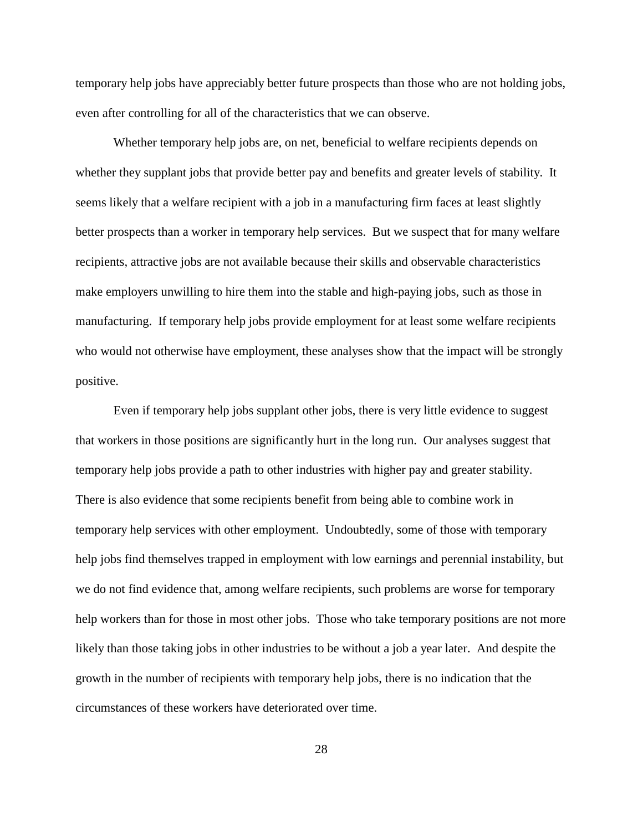temporary help jobs have appreciably better future prospects than those who are not holding jobs, even after controlling for all of the characteristics that we can observe.

Whether temporary help jobs are, on net, beneficial to welfare recipients depends on whether they supplant jobs that provide better pay and benefits and greater levels of stability. It seems likely that a welfare recipient with a job in a manufacturing firm faces at least slightly better prospects than a worker in temporary help services. But we suspect that for many welfare recipients, attractive jobs are not available because their skills and observable characteristics make employers unwilling to hire them into the stable and high-paying jobs, such as those in manufacturing. If temporary help jobs provide employment for at least some welfare recipients who would not otherwise have employment, these analyses show that the impact will be strongly positive.

Even if temporary help jobs supplant other jobs, there is very little evidence to suggest that workers in those positions are significantly hurt in the long run. Our analyses suggest that temporary help jobs provide a path to other industries with higher pay and greater stability. There is also evidence that some recipients benefit from being able to combine work in temporary help services with other employment. Undoubtedly, some of those with temporary help jobs find themselves trapped in employment with low earnings and perennial instability, but we do not find evidence that, among welfare recipients, such problems are worse for temporary help workers than for those in most other jobs. Those who take temporary positions are not more likely than those taking jobs in other industries to be without a job a year later. And despite the growth in the number of recipients with temporary help jobs, there is no indication that the circumstances of these workers have deteriorated over time.

28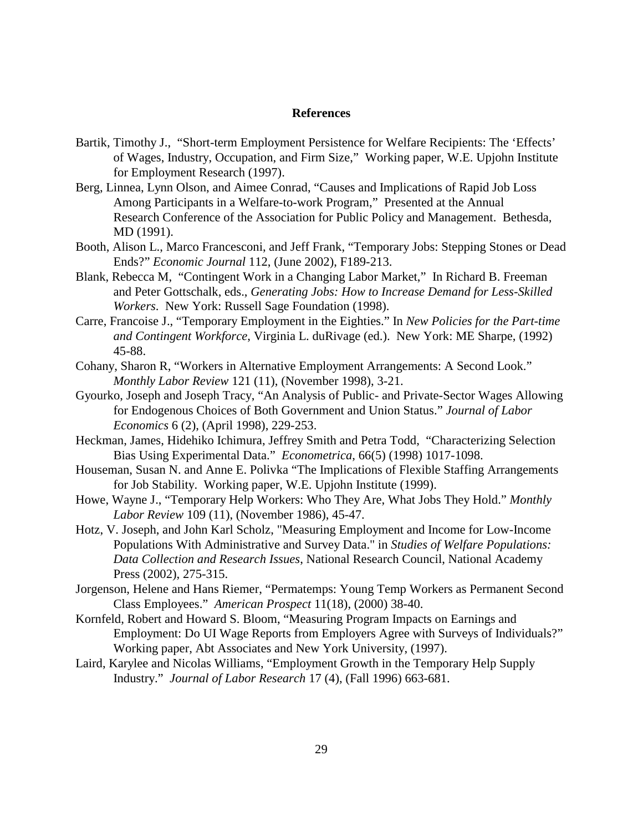#### **References**

- Bartik, Timothy J., "Short-term Employment Persistence for Welfare Recipients: The 'Effects' of Wages, Industry, Occupation, and Firm Size," Working paper, W.E. Upjohn Institute for Employment Research (1997).
- Berg, Linnea, Lynn Olson, and Aimee Conrad, "Causes and Implications of Rapid Job Loss Among Participants in a Welfare-to-work Program," Presented at the Annual Research Conference of the Association for Public Policy and Management. Bethesda, MD (1991).
- Booth, Alison L., Marco Francesconi, and Jeff Frank, "Temporary Jobs: Stepping Stones or Dead Ends?" *Economic Journal* 112, (June 2002), F189-213.
- Blank, Rebecca M, "Contingent Work in a Changing Labor Market," In Richard B. Freeman and Peter Gottschalk, eds., *Generating Jobs: How to Increase Demand for Less-Skilled Workers*. New York: Russell Sage Foundation (1998).
- Carre, Francoise J., "Temporary Employment in the Eighties." In *New Policies for the Part-time and Contingent Workforce*, Virginia L. duRivage (ed.). New York: ME Sharpe, (1992) 45-88.
- Cohany, Sharon R, "Workers in Alternative Employment Arrangements: A Second Look." *Monthly Labor Review* 121 (11), (November 1998), 3-21.
- Gyourko, Joseph and Joseph Tracy, "An Analysis of Public- and Private-Sector Wages Allowing for Endogenous Choices of Both Government and Union Status." *Journal of Labor Economics* 6 (2), (April 1998), 229-253.
- Heckman, James, Hidehiko Ichimura, Jeffrey Smith and Petra Todd, "Characterizing Selection Bias Using Experimental Data." *Econometrica*, 66(5) (1998) 1017-1098.
- Houseman, Susan N. and Anne E. Polivka "The Implications of Flexible Staffing Arrangements for Job Stability. Working paper, W.E. Upjohn Institute (1999).
- Howe, Wayne J., "Temporary Help Workers: Who They Are, What Jobs They Hold." *Monthly Labor Review* 109 (11), (November 1986), 45-47.
- Hotz, V. Joseph, and John Karl Scholz, "Measuring Employment and Income for Low-Income Populations With Administrative and Survey Data." in *Studies of Welfare Populations: Data Collection and Research Issues*, National Research Council, National Academy Press (2002), 275-315.
- Jorgenson, Helene and Hans Riemer, "Permatemps: Young Temp Workers as Permanent Second Class Employees." *American Prospect* 11(18), (2000) 38-40.
- Kornfeld, Robert and Howard S. Bloom, "Measuring Program Impacts on Earnings and Employment: Do UI Wage Reports from Employers Agree with Surveys of Individuals?" Working paper, Abt Associates and New York University, (1997).
- Laird, Karylee and Nicolas Williams, "Employment Growth in the Temporary Help Supply Industry." *Journal of Labor Research* 17 (4), (Fall 1996) 663-681.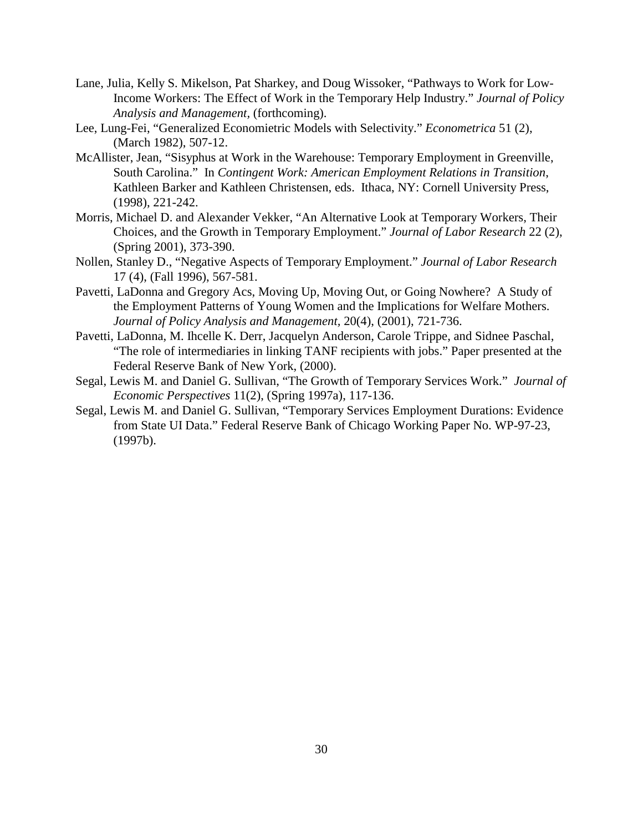- Lane, Julia, Kelly S. Mikelson, Pat Sharkey, and Doug Wissoker, "Pathways to Work for Low-Income Workers: The Effect of Work in the Temporary Help Industry." *Journal of Policy Analysis and Management,* (forthcoming).
- Lee, Lung-Fei, "Generalized Economietric Models with Selectivity." *Econometrica* 51 (2), (March 1982), 507-12.
- McAllister, Jean, "Sisyphus at Work in the Warehouse: Temporary Employment in Greenville, South Carolina." In *Contingent Work: American Employment Relations in Transition*, Kathleen Barker and Kathleen Christensen, eds. Ithaca, NY: Cornell University Press, (1998), 221-242.
- Morris, Michael D. and Alexander Vekker, "An Alternative Look at Temporary Workers, Their Choices, and the Growth in Temporary Employment." *Journal of Labor Research* 22 (2), (Spring 2001), 373-390.
- Nollen, Stanley D., "Negative Aspects of Temporary Employment." *Journal of Labor Research* 17 (4), (Fall 1996), 567-581.
- Pavetti, LaDonna and Gregory Acs, Moving Up, Moving Out, or Going Nowhere? A Study of the Employment Patterns of Young Women and the Implications for Welfare Mothers. *Journal of Policy Analysis and Management,* 20(4), (2001), 721-736.
- Pavetti, LaDonna, M. Ihcelle K. Derr, Jacquelyn Anderson, Carole Trippe, and Sidnee Paschal, "The role of intermediaries in linking TANF recipients with jobs." Paper presented at the Federal Reserve Bank of New York, (2000).
- Segal, Lewis M. and Daniel G. Sullivan, "The Growth of Temporary Services Work." *Journal of Economic Perspectives* 11(2), (Spring 1997a), 117-136.
- Segal, Lewis M. and Daniel G. Sullivan, "Temporary Services Employment Durations: Evidence from State UI Data." Federal Reserve Bank of Chicago Working Paper No. WP-97-23, (1997b).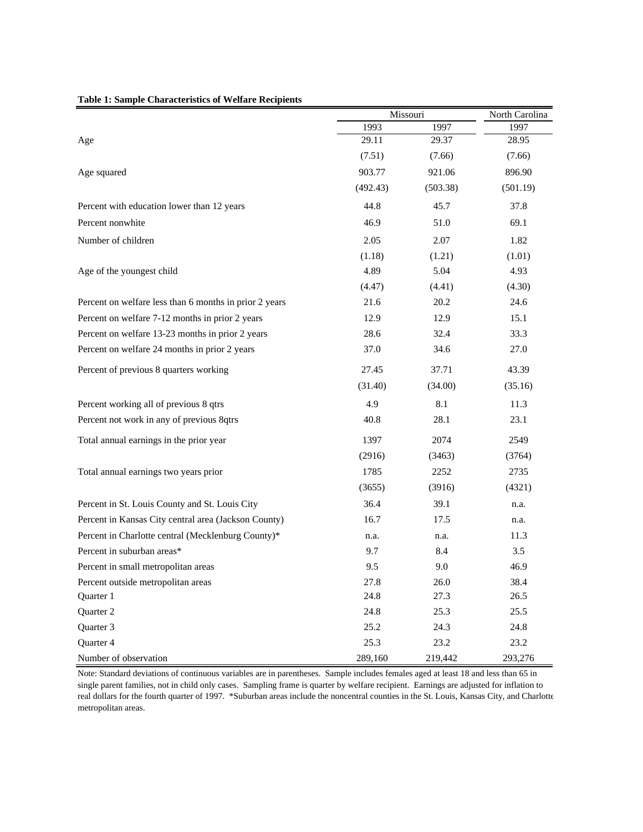|                                                        |          | Missouri | North Carolina |
|--------------------------------------------------------|----------|----------|----------------|
|                                                        | 1993     | 1997     | 1997           |
| Age                                                    | 29.11    | 29.37    | 28.95          |
|                                                        | (7.51)   | (7.66)   | (7.66)         |
| Age squared                                            | 903.77   | 921.06   | 896.90         |
|                                                        | (492.43) | (503.38) | (501.19)       |
| Percent with education lower than 12 years             | 44.8     | 45.7     | 37.8           |
| Percent nonwhite                                       | 46.9     | 51.0     | 69.1           |
| Number of children                                     | 2.05     | 2.07     | 1.82           |
|                                                        | (1.18)   | (1.21)   | (1.01)         |
| Age of the youngest child                              | 4.89     | 5.04     | 4.93           |
|                                                        | (4.47)   | (4.41)   | (4.30)         |
| Percent on welfare less than 6 months in prior 2 years | 21.6     | 20.2     | 24.6           |
| Percent on welfare 7-12 months in prior 2 years        | 12.9     | 12.9     | 15.1           |
| Percent on welfare 13-23 months in prior 2 years       | 28.6     | 32.4     | 33.3           |
| Percent on welfare 24 months in prior 2 years          | 37.0     | 34.6     | 27.0           |
| Percent of previous 8 quarters working                 | 27.45    | 37.71    | 43.39          |
|                                                        | (31.40)  | (34.00)  | (35.16)        |
| Percent working all of previous 8 qtrs                 | 4.9      | 8.1      | 11.3           |
| Percent not work in any of previous 8qtrs              | 40.8     | 28.1     | 23.1           |
| Total annual earnings in the prior year                | 1397     | 2074     | 2549           |
|                                                        | (2916)   | (3463)   | (3764)         |
| Total annual earnings two years prior                  | 1785     | 2252     | 2735           |
|                                                        | (3655)   | (3916)   | (4321)         |
| Percent in St. Louis County and St. Louis City         | 36.4     | 39.1     | n.a.           |
| Percent in Kansas City central area (Jackson County)   | 16.7     | 17.5     | n.a.           |
| Percent in Charlotte central (Mecklenburg County)*     | n.a.     | n.a.     | 11.3           |
| Percent in suburban areas*                             | 9.7      | 8.4      | 3.5            |
| Percent in small metropolitan areas                    | 9.5      | 9.0      | 46.9           |
| Percent outside metropolitan areas                     | 27.8     | 26.0     | 38.4           |
| Quarter 1                                              | 24.8     | 27.3     | 26.5           |
| Quarter 2                                              | 24.8     | 25.3     | 25.5           |
| Quarter 3                                              | 25.2     | 24.3     | 24.8           |
| Quarter 4                                              | 25.3     | 23.2     | 23.2           |
| Number of observation                                  | 289,160  | 219,442  | 293,276        |

#### **Table 1: Sample Characteristics of Welfare Recipients**

Note: Standard deviations of continuous variables are in parentheses. Sample includes females aged at least 18 and less than 65 in single parent families, not in child only cases. Sampling frame is quarter by welfare recipient. Earnings are adjusted for inflation to real dollars for the fourth quarter of 1997. \*Suburban areas include the noncentral counties in the St. Louis, Kansas City, and Charlotte metropolitan areas.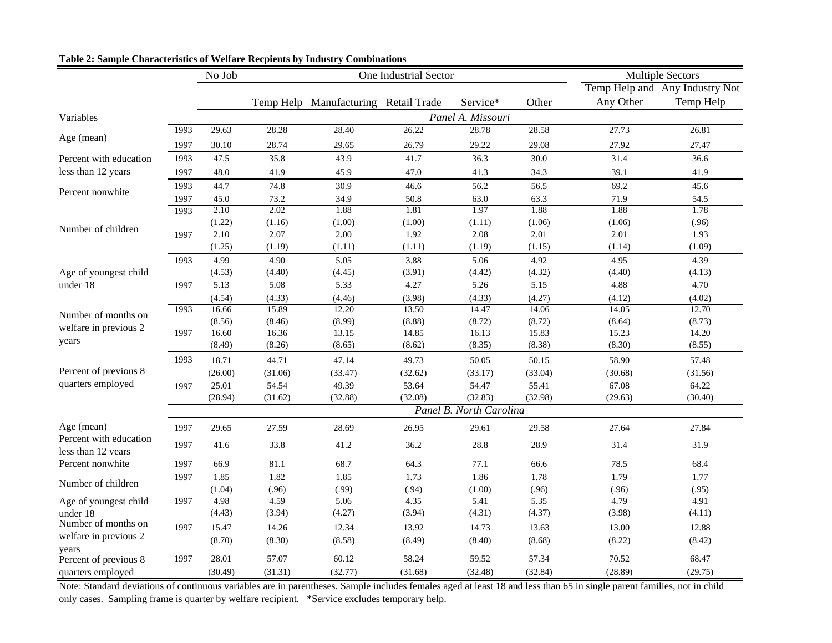|                        |      | No Job  |         |                                      | One Industrial Sector |                         |         |           | <b>Multiple Sectors</b>        |
|------------------------|------|---------|---------|--------------------------------------|-----------------------|-------------------------|---------|-----------|--------------------------------|
|                        |      |         |         |                                      |                       |                         |         |           | Temp Help and Any Industry Not |
|                        |      |         |         | Temp Help Manufacturing Retail Trade |                       | Service*                | Other   | Any Other | Temp Help                      |
| Variables              |      |         |         |                                      |                       | Panel A. Missouri       |         |           |                                |
|                        | 1993 | 29.63   | 28.28   | 28.40                                | 26.22                 | 28.78                   | 28.58   | 27.73     | 26.81                          |
| Age (mean)             | 1997 | 30.10   | 28.74   | 29.65                                | 26.79                 | 29.22                   | 29.08   | 27.92     | 27.47                          |
| Percent with education | 1993 | 47.5    | 35.8    | 43.9                                 | 41.7                  | 36.3                    | 30.0    | 31.4      | 36.6                           |
| less than 12 years     | 1997 | 48.0    | 41.9    | 45.9                                 | 47.0                  | 41.3                    | 34.3    | 39.1      | 41.9                           |
|                        | 1993 | 44.7    | 74.8    | 30.9                                 | 46.6                  | 56.2                    | 56.5    | 69.2      | 45.6                           |
| Percent nonwhite       | 1997 | 45.0    | 73.2    | 34.9                                 | 50.8                  | 63.0                    | 63.3    | 71.9      | 54.5                           |
|                        | 1993 | 2.10    | 2.02    | 1.88                                 | 1.81                  | 1.97                    | 1.88    | 1.88      | 1.78                           |
|                        |      | (1.22)  | (1.16)  | (1.00)                               | (1.00)                | (1.11)                  | (1.06)  | (1.06)    | (.96)                          |
| Number of children     | 1997 | 2.10    | 2.07    | $2.00\,$                             | 1.92                  | 2.08                    | 2.01    | 2.01      | 1.93                           |
|                        |      | (1.25)  | (1.19)  | (1.11)                               | (1.11)                | (1.19)                  | (1.15)  | (1.14)    | (1.09)                         |
|                        | 1993 | 4.99    | 4.90    | 5.05                                 | 3.88                  | 5.06                    | 4.92    | 4.95      | 4.39                           |
| Age of youngest child  |      | (4.53)  | (4.40)  | (4.45)                               | (3.91)                | (4.42)                  | (4.32)  | (4.40)    | (4.13)                         |
| under 18               | 1997 | 5.13    | 5.08    | 5.33                                 | 4.27                  | 5.26                    | 5.15    | 4.88      | 4.70                           |
|                        |      | (4.54)  | (4.33)  | (4.46)                               | (3.98)                | (4.33)                  | (4.27)  | (4.12)    | (4.02)                         |
|                        | 1993 | 16.66   | 15.89   | 12.20                                | 13.50                 | 14.47                   | 14.06   | 14.05     | 12.70                          |
| Number of months on    |      | (8.56)  | (8.46)  | (8.99)                               | (8.88)                | (8.72)                  | (8.72)  | (8.64)    | (8.73)                         |
| welfare in previous 2  | 1997 | 16.60   | 16.36   | 13.15                                | 14.85                 | 16.13                   | 15.83   | 15.23     | 14.20                          |
| years                  |      | (8.49)  | (8.26)  | (8.65)                               | (8.62)                | (8.35)                  | (8.38)  | (8.30)    | (8.55)                         |
|                        | 1993 | 18.71   | 44.71   | 47.14                                | 49.73                 | 50.05                   | 50.15   | 58.90     | 57.48                          |
| Percent of previous 8  |      | (26.00) | (31.06) | (33.47)                              | (32.62)               | (33.17)                 | (33.04) | (30.68)   | (31.56)                        |
| quarters employed      | 1997 | 25.01   | 54.54   | 49.39                                | 53.64                 | 54.47                   | 55.41   | 67.08     | 64.22                          |
|                        |      | (28.94) | (31.62) | (32.88)                              | (32.08)               | (32.83)                 | (32.98) | (29.63)   | (30.40)                        |
|                        |      |         |         |                                      |                       | Panel B. North Carolina |         |           |                                |
| Age (mean)             | 1997 | 29.65   | 27.59   | 28.69                                | 26.95                 | 29.61                   | 29.58   | 27.64     | 27.84                          |
| Percent with education |      |         |         |                                      |                       |                         |         |           |                                |
| less than 12 years     | 1997 | 41.6    | 33.8    | 41.2                                 | 36.2                  | 28.8                    | 28.9    | 31.4      | 31.9                           |
| Percent nonwhite       | 1997 | 66.9    | 81.1    | 68.7                                 | 64.3                  | 77.1                    | 66.6    | 78.5      | 68.4                           |
|                        | 1997 | 1.85    | 1.82    | 1.85                                 | 1.73                  | 1.86                    | 1.78    | 1.79      | 1.77                           |
| Number of children     |      | (1.04)  | (.96)   | (.99)                                | (.94)                 | (1.00)                  | (.96)   | (.96)     | (.95)                          |
| Age of youngest child  | 1997 | 4.98    | 4.59    | 5.06                                 | 4.35                  | 5.41                    | 5.35    | 4.79      | 4.91                           |
| under 18               |      | (4.43)  | (3.94)  | (4.27)                               | (3.94)                | (4.31)                  | (4.37)  | (3.98)    | (4.11)                         |
| Number of months on    | 1997 | 15.47   | 14.26   | 12.34                                | 13.92                 | 14.73                   | 13.63   | 13.00     | 12.88                          |
| welfare in previous 2  |      | (8.70)  | (8.30)  | (8.58)                               | (8.49)                | (8.40)                  | (8.68)  | (8.22)    | (8.42)                         |
| years                  |      |         |         |                                      |                       |                         |         |           |                                |
| Percent of previous 8  | 1997 | 28.01   | 57.07   | 60.12                                | 58.24                 | 59.52                   | 57.34   | 70.52     | 68.47                          |
| quarters employed      |      | (30.49) | (31.31) | (32.77)                              | (31.68)               | (32.48)                 | (32.84) | (28.89)   | (29.75)                        |

### **Table 2: Sample Characteristics of Welfare Recpients by Industry Combinations**

Note: Standard deviations of continuous variables are in parentheses. Sample includes females aged at least 18 and less than 65 in single parent families, not in child only cases. Sampling frame is quarter by welfare recipient. \*Service excludes temporary help.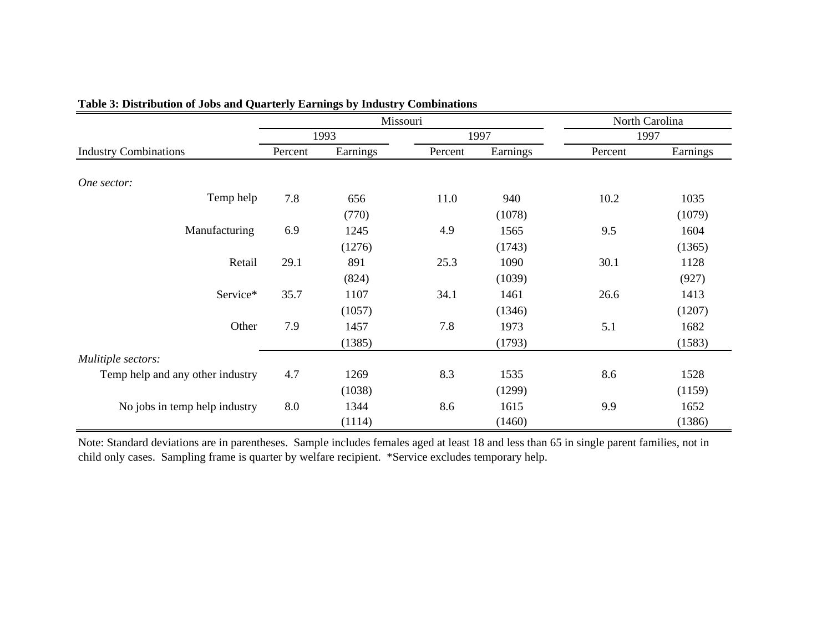|                                  |         |          | Missouri |          |         | North Carolina |
|----------------------------------|---------|----------|----------|----------|---------|----------------|
|                                  |         | 1993     |          | 1997     |         | 1997           |
| <b>Industry Combinations</b>     | Percent | Earnings | Percent  | Earnings | Percent | Earnings       |
| One sector:                      |         |          |          |          |         |                |
| Temp help                        | 7.8     | 656      | 11.0     | 940      | 10.2    | 1035           |
|                                  |         | (770)    |          | (1078)   |         | (1079)         |
| Manufacturing                    | 6.9     | 1245     | 4.9      | 1565     | 9.5     | 1604           |
|                                  |         | (1276)   |          | (1743)   |         | (1365)         |
| Retail                           | 29.1    | 891      | 25.3     | 1090     | 30.1    | 1128           |
|                                  |         | (824)    |          | (1039)   |         | (927)          |
| Service*                         | 35.7    | 1107     | 34.1     | 1461     | 26.6    | 1413           |
|                                  |         | (1057)   |          | (1346)   |         | (1207)         |
| Other                            | 7.9     | 1457     | 7.8      | 1973     | 5.1     | 1682           |
|                                  |         | (1385)   |          | (1793)   |         | (1583)         |
| Mulitiple sectors:               |         |          |          |          |         |                |
| Temp help and any other industry | 4.7     | 1269     | 8.3      | 1535     | 8.6     | 1528           |
|                                  |         | (1038)   |          | (1299)   |         | (1159)         |
| No jobs in temp help industry    | 8.0     | 1344     | 8.6      | 1615     | 9.9     | 1652           |
|                                  |         | (1114)   |          | (1460)   |         | (1386)         |

## **Table 3: Distribution of Jobs and Quarterly Earnings by Industry Combinations**

Note: Standard deviations are in parentheses. Sample includes females aged at least 18 and less than 65 in single parent families, not in child only cases. Sampling frame is quarter by welfare recipient. \*Service excludes temporary help.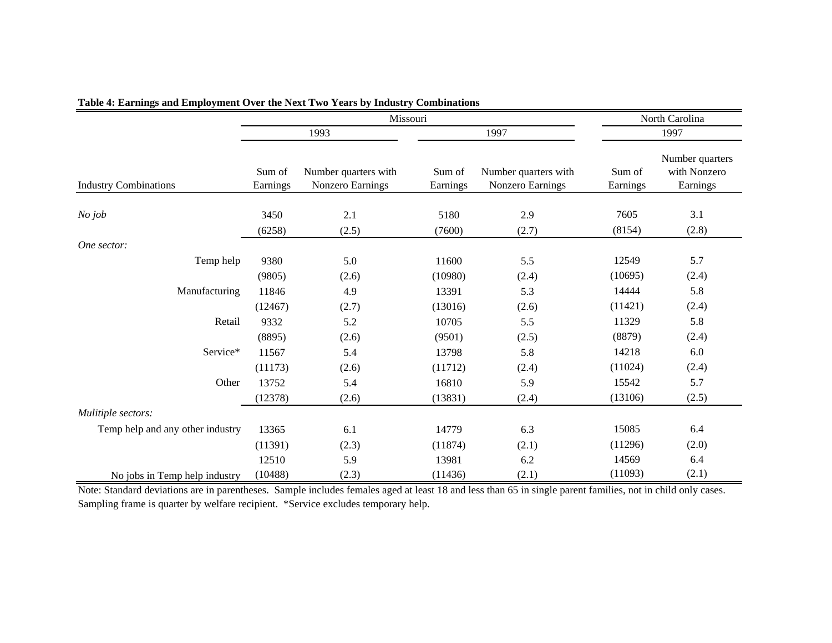|                                  |                    | Missouri                                 |                    |                                          |                    | North Carolina                              |
|----------------------------------|--------------------|------------------------------------------|--------------------|------------------------------------------|--------------------|---------------------------------------------|
|                                  |                    | 1993                                     |                    | 1997                                     |                    | 1997                                        |
| <b>Industry Combinations</b>     | Sum of<br>Earnings | Number quarters with<br>Nonzero Earnings | Sum of<br>Earnings | Number quarters with<br>Nonzero Earnings | Sum of<br>Earnings | Number quarters<br>with Nonzero<br>Earnings |
| $No$ job                         | 3450               | 2.1                                      | 5180               | 2.9                                      | 7605               | 3.1                                         |
|                                  | (6258)             | (2.5)                                    | (7600)             | (2.7)                                    | (8154)             | (2.8)                                       |
| One sector:                      |                    |                                          |                    |                                          |                    |                                             |
| Temp help                        | 9380               | 5.0                                      | 11600              | 5.5                                      | 12549              | 5.7                                         |
|                                  | (9805)             | (2.6)                                    | (10980)            | (2.4)                                    | (10695)            | (2.4)                                       |
| Manufacturing                    | 11846              | 4.9                                      | 13391              | 5.3                                      | 14444              | 5.8                                         |
|                                  | (12467)            | (2.7)                                    | (13016)            | (2.6)                                    | (11421)            | (2.4)                                       |
| Retail                           | 9332               | 5.2                                      | 10705              | 5.5                                      | 11329              | 5.8                                         |
|                                  | (8895)             | (2.6)                                    | (9501)             | (2.5)                                    | (8879)             | (2.4)                                       |
| Service*                         | 11567              | 5.4                                      | 13798              | 5.8                                      | 14218              | 6.0                                         |
|                                  | (11173)            | (2.6)                                    | (11712)            | (2.4)                                    | (11024)            | (2.4)                                       |
| Other                            | 13752              | 5.4                                      | 16810              | 5.9                                      | 15542              | 5.7                                         |
|                                  | (12378)            | (2.6)                                    | (13831)            | (2.4)                                    | (13106)            | (2.5)                                       |
| Mulitiple sectors:               |                    |                                          |                    |                                          |                    |                                             |
| Temp help and any other industry | 13365              | 6.1                                      | 14779              | 6.3                                      | 15085              | 6.4                                         |
|                                  | (11391)            | (2.3)                                    | (11874)            | (2.1)                                    | (11296)            | (2.0)                                       |
|                                  | 12510              | 5.9                                      | 13981              | 6.2                                      | 14569              | 6.4                                         |
| No jobs in Temp help industry    | (10488)            | (2.3)                                    | (11436)            | (2.1)                                    | (11093)            | (2.1)                                       |

#### **Table 4: Earnings and Employment Over the Next Two Years by Industry Combinations**

Note: Standard deviations are in parentheses. Sample includes females aged at least 18 and less than 65 in single parent families, not in child only cases. Sampling frame is quarter by welfare recipient. \*Service excludes temporary help.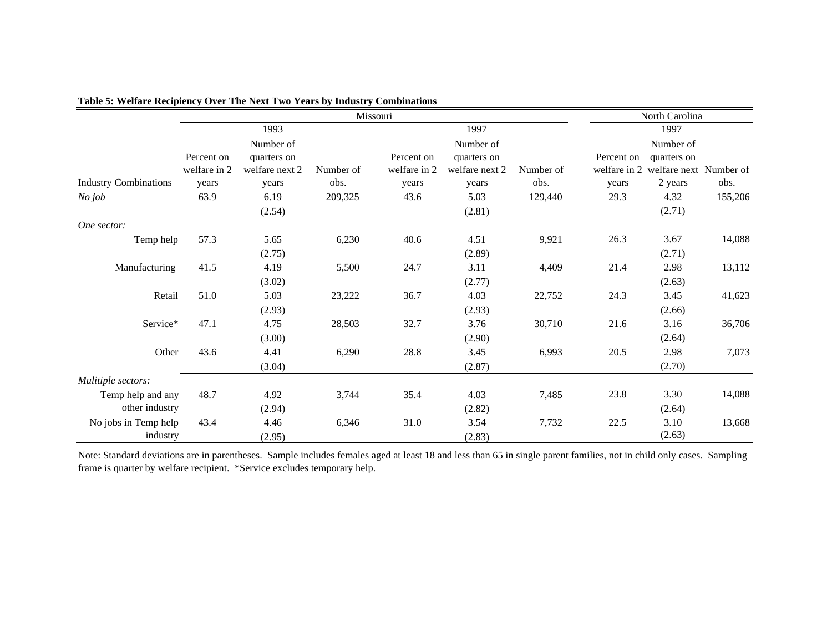|                              |              |                |           | Missouri     |                |           |            | North Carolina                      |         |
|------------------------------|--------------|----------------|-----------|--------------|----------------|-----------|------------|-------------------------------------|---------|
|                              |              | 1993           |           |              | 1997           |           |            | 1997                                |         |
|                              |              | Number of      |           |              | Number of      |           |            | Number of                           |         |
|                              | Percent on   | quarters on    |           | Percent on   | quarters on    |           | Percent on | quarters on                         |         |
|                              | welfare in 2 | welfare next 2 | Number of | welfare in 2 | welfare next 2 | Number of |            | welfare in 2 welfare next Number of |         |
| <b>Industry Combinations</b> | years        | years          | obs.      | years        | years          | obs.      | years      | 2 years                             | obs.    |
| $No$ job                     | 63.9         | 6.19           | 209,325   | 43.6         | 5.03           | 129,440   | 29.3       | 4.32                                | 155,206 |
|                              |              | (2.54)         |           |              | (2.81)         |           |            | (2.71)                              |         |
| One sector:                  |              |                |           |              |                |           |            |                                     |         |
| Temp help                    | 57.3         | 5.65           | 6,230     | 40.6         | 4.51           | 9,921     | 26.3       | 3.67                                | 14,088  |
|                              |              | (2.75)         |           |              | (2.89)         |           |            | (2.71)                              |         |
| Manufacturing                | 41.5         | 4.19           | 5,500     | 24.7         | 3.11           | 4,409     | 21.4       | 2.98                                | 13,112  |
|                              |              | (3.02)         |           |              | (2.77)         |           |            | (2.63)                              |         |
| Retail                       | 51.0         | 5.03           | 23,222    | 36.7         | 4.03           | 22,752    | 24.3       | 3.45                                | 41,623  |
|                              |              | (2.93)         |           |              | (2.93)         |           |            | (2.66)                              |         |
| Service*                     | 47.1         | 4.75           | 28,503    | 32.7         | 3.76           | 30,710    | 21.6       | 3.16                                | 36,706  |
|                              |              | (3.00)         |           |              | (2.90)         |           |            | (2.64)                              |         |
| Other                        | 43.6         | 4.41           | 6,290     | 28.8         | 3.45           | 6,993     | 20.5       | 2.98                                | 7,073   |
|                              |              | (3.04)         |           |              | (2.87)         |           |            | (2.70)                              |         |
| Mulitiple sectors:           |              |                |           |              |                |           |            |                                     |         |
| Temp help and any            | 48.7         | 4.92           | 3,744     | 35.4         | 4.03           | 7,485     | 23.8       | 3.30                                | 14,088  |
| other industry               |              | (2.94)         |           |              | (2.82)         |           |            | (2.64)                              |         |
| No jobs in Temp help         | 43.4         | 4.46           | 6,346     | 31.0         | 3.54           | 7,732     | 22.5       | 3.10                                | 13,668  |
| industry                     |              | (2.95)         |           |              | (2.83)         |           |            | (2.63)                              |         |

### **Table 5: Welfare Recipiency Over The Next Two Years by Industry Combinations**

Note: Standard deviations are in parentheses. Sample includes females aged at least 18 and less than 65 in single parent families, not in child only cases. Sampling frame is quarter by welfare recipient. \*Service excludes temporary help.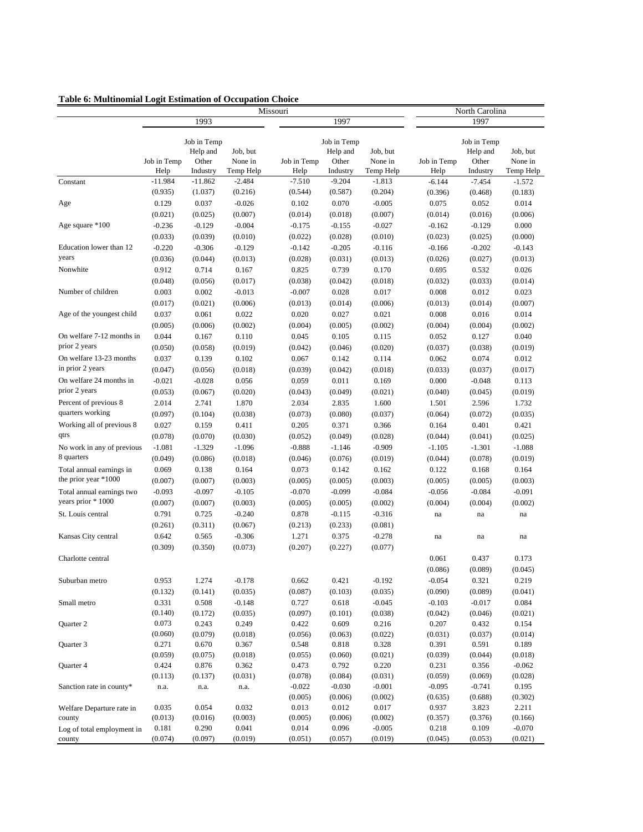| Table 6: Multinomial Logit Estimation of Occupation Choice |  |  |  |
|------------------------------------------------------------|--|--|--|
|------------------------------------------------------------|--|--|--|

|                                                  | Missouri            |                               |                                  |                     |                               |                      | North Carolina      |                               |                      |  |
|--------------------------------------------------|---------------------|-------------------------------|----------------------------------|---------------------|-------------------------------|----------------------|---------------------|-------------------------------|----------------------|--|
|                                                  |                     | 1993                          |                                  |                     | 1997                          |                      |                     | 1997                          |                      |  |
|                                                  |                     | Job in Temp                   |                                  |                     | Job in Temp                   | Job, but             |                     | Job in Temp                   | Job, but             |  |
|                                                  | Job in Temp<br>Help | Help and<br>Other<br>Industry | Job, but<br>None in<br>Temp Help | Job in Temp<br>Help | Help and<br>Other<br>Industry | None in<br>Temp Help | Job in Temp<br>Help | Help and<br>Other<br>Industry | None in<br>Temp Help |  |
| Constant                                         | $-11.984$           | $-11.862$                     | $-2.484$                         | $-7.510$            | $-9.204$                      | $-1.813$             | $-6.144$            | $-7.454$                      | $-1.572$             |  |
|                                                  | (0.935)             | (1.037)                       | (0.216)                          | (0.544)             | (0.587)                       | (0.204)              | (0.396)             | (0.468)                       | (0.183)              |  |
| Age                                              | 0.129               | 0.037                         | $-0.026$                         | 0.102               | 0.070                         | $-0.005$             | 0.075               | 0.052                         | 0.014                |  |
|                                                  | (0.021)             | (0.025)                       | (0.007)                          | (0.014)             | (0.018)                       | (0.007)              | (0.014)             | (0.016)                       | (0.006)              |  |
| Age square *100                                  | $-0.236$            | $-0.129$                      | $-0.004$                         | $-0.175$            | $-0.155$                      | $-0.027$             | $-0.162$            | $-0.129$                      | 0.000                |  |
|                                                  | (0.033)             | (0.039)                       | (0.010)                          | (0.022)             | (0.028)                       | (0.010)              | (0.023)             | (0.025)                       | (0.000)              |  |
| Education lower than 12                          | $-0.220$            | $-0.306$                      | $-0.129$                         | $-0.142$            | $-0.205$                      | $-0.116$             | $-0.166$            | $-0.202$                      | $-0.143$             |  |
| years                                            | (0.036)             | (0.044)                       | (0.013)                          | (0.028)             | (0.031)                       | (0.013)              | (0.026)             | (0.027)                       | (0.013)              |  |
| Nonwhite                                         | 0.912               | 0.714                         | 0.167                            | 0.825               | 0.739                         | 0.170                | 0.695               | 0.532                         | 0.026                |  |
|                                                  | (0.048)             | (0.056)                       | (0.017)                          | (0.038)             | (0.042)                       | (0.018)              | (0.032)             | (0.033)                       | (0.014)              |  |
| Number of children                               | 0.003               | 0.002                         | $-0.013$                         | $-0.007$            | 0.028                         | 0.017                | 0.008               | 0.012                         | 0.023                |  |
|                                                  | (0.017)             | (0.021)                       | (0.006)                          | (0.013)             | (0.014)                       | (0.006)              | (0.013)             | (0.014)                       | (0.007)              |  |
| Age of the youngest child                        | 0.037               | 0.061                         | 0.022                            | 0.020               | 0.027                         | 0.021                | 0.008               | 0.016                         | 0.014                |  |
|                                                  | (0.005)             | (0.006)                       | (0.002)                          | (0.004)             | (0.005)                       | (0.002)              | (0.004)             | (0.004)                       | (0.002)              |  |
| On welfare 7-12 months in                        | 0.044               | 0.167                         | 0.110                            | 0.045               | 0.105                         | 0.115                | 0.052               | 0.127                         | 0.040                |  |
| prior 2 years                                    | (0.050)             | (0.058)                       | (0.019)                          | (0.042)             | (0.046)                       | (0.020)              | (0.037)             | (0.038)                       | (0.019)              |  |
| On welfare 13-23 months                          | 0.037               | 0.139                         | 0.102                            | 0.067               | 0.142                         | 0.114                | 0.062               | 0.074                         | 0.012                |  |
| in prior 2 years                                 | (0.047)             | (0.056)                       | (0.018)                          | (0.039)             | (0.042)                       | (0.018)              | (0.033)             | (0.037)                       | (0.017)              |  |
| On welfare 24 months in                          | $-0.021$            | $-0.028$                      | 0.056                            | 0.059               | 0.011                         | 0.169                | 0.000               | $-0.048$                      | 0.113                |  |
| prior 2 years                                    | (0.053)             |                               | (0.020)                          |                     |                               | (0.021)              | (0.040)             |                               |                      |  |
| Percent of previous 8                            | 2.014               | (0.067)<br>2.741              | 1.870                            | (0.043)<br>2.034    | (0.049)<br>2.835              | 1.600                | 1.501               | (0.045)<br>2.596              | (0.019)<br>1.732     |  |
| quarters working                                 |                     |                               |                                  |                     |                               |                      |                     |                               |                      |  |
| Working all of previous 8                        | (0.097)             | (0.104)<br>0.159              | (0.038)                          | (0.073)             | (0.080)                       | (0.037)<br>0.366     | (0.064)             | (0.072)<br>0.401              | (0.035)              |  |
| qtrs                                             | 0.027               |                               | 0.411                            | 0.205               | 0.371                         |                      | 0.164               |                               | 0.421                |  |
|                                                  | (0.078)             | (0.070)                       | (0.030)                          | (0.052)             | (0.049)                       | (0.028)              | (0.044)             | (0.041)                       | (0.025)              |  |
| No work in any of previous<br>8 quarters         | $-1.081$            | $-1.329$                      | $-1.096$                         | $-0.888$            | $-1.146$                      | $-0.909$             | $-1.105$            | $-1.301$                      | $-1.088$             |  |
|                                                  | (0.049)             | (0.086)                       | (0.018)                          | (0.046)             | (0.076)                       | (0.019)              | (0.044)             | (0.078)                       | (0.019)              |  |
| Total annual earnings in<br>the prior year *1000 | 0.069               | 0.138                         | 0.164                            | 0.073               | 0.142                         | 0.162                | 0.122               | 0.168                         | 0.164                |  |
|                                                  | (0.007)             | (0.007)                       | (0.003)                          | (0.005)             | (0.005)                       | (0.003)              | (0.005)             | (0.005)                       | (0.003)              |  |
| Total annual earnings two<br>years prior * 1000  | $-0.093$            | $-0.097$                      | $-0.105$                         | $-0.070$            | $-0.099$                      | $-0.084$             | $-0.056$            | $-0.084$                      | $-0.091$             |  |
|                                                  | (0.007)             | (0.007)                       | (0.003)                          | (0.005)             | (0.005)                       | (0.002)              | (0.004)             | (0.004)                       | (0.002)              |  |
| St. Louis central                                | 0.791               | 0.725                         | $-0.240$                         | 0.878               | $-0.115$                      | $-0.316$             | na                  | $\!$ na                       | na                   |  |
|                                                  | (0.261)             | (0.311)                       | (0.067)                          | (0.213)             | (0.233)                       | (0.081)              |                     |                               |                      |  |
| Kansas City central                              | 0.642               | 0.565                         | $-0.306$                         | 1.271               | 0.375                         | $-0.278$             | na                  | na                            | na                   |  |
|                                                  | (0.309)             | (0.350)                       | (0.073)                          | (0.207)             | (0.227)                       | (0.077)              |                     |                               |                      |  |
| Charlotte central                                |                     |                               |                                  |                     |                               |                      | 0.061               | 0.437                         | 0.173                |  |
|                                                  |                     |                               |                                  |                     |                               |                      | (0.086)             | (0.089)                       | (0.045)              |  |
| Suburban metro                                   | 0.953               | 1.274                         | $-0.178$                         | 0.662               | 0.421                         | $-0.192$             | $-0.054$            | 0.321                         | 0.219                |  |
|                                                  | (0.132)             | (0.141)                       | (0.035)                          | (0.087)             | (0.103)                       | (0.035)              | (0.090)             | (0.089)                       | (0.041)              |  |
| Small metro                                      | 0.331               | 0.508                         | $-0.148$                         | 0.727               | 0.618                         | $-0.045$             | $-0.103$            | $-0.017$                      | 0.084                |  |
| Quarter 2                                        | (0.140)<br>0.073    | (0.172)<br>0.243              | (0.035)<br>0.249                 | (0.097)<br>0.422    | (0.101)<br>0.609              | (0.038)<br>0.216     | (0.042)<br>0.207    | (0.046)<br>0.432              | (0.021)<br>0.154     |  |
|                                                  | (0.060)             | (0.079)                       | (0.018)                          | (0.056)             | (0.063)                       | (0.022)              | (0.031)             | (0.037)                       | (0.014)              |  |
| Quarter 3                                        | 0.271               | 0.670                         | 0.367                            | 0.548               | 0.818                         | 0.328                | 0.391               | 0.591                         | 0.189                |  |
|                                                  | (0.059)             | (0.075)                       | (0.018)                          | (0.055)             | (0.060)                       | (0.021)              | (0.039)             | (0.044)                       | (0.018)              |  |
| Quarter 4                                        | 0.424               | 0.876                         | 0.362                            | 0.473               | 0.792                         | 0.220                | 0.231               | 0.356                         | $-0.062$             |  |
|                                                  | (0.113)             | (0.137)                       | (0.031)                          | (0.078)             | (0.084)                       | (0.031)              | (0.059)             | (0.069)                       | (0.028)              |  |
| Sanction rate in county*                         | n.a.                | n.a.                          | n.a.                             | $-0.022$            | $-0.030$                      | $-0.001$             | $-0.095$            | $-0.741$                      | 0.195                |  |
|                                                  |                     |                               |                                  | (0.005)             | (0.006)                       | (0.002)              | (0.635)             | (0.688)                       | (0.302)              |  |
| Welfare Departure rate in                        | 0.035               | 0.054                         | 0.032                            | 0.013               | 0.012                         | 0.017                | 0.937               | 3.823                         | 2.211                |  |
| county                                           | (0.013)             | (0.016)                       | (0.003)                          | (0.005)             | (0.006)                       | (0.002)              | (0.357)             | (0.376)                       | (0.166)              |  |
| Log of total employment in                       | 0.181               | 0.290                         | 0.041                            | 0.014               | 0.096                         | $-0.005$             | 0.218               | 0.109                         | $-0.070$             |  |
| county                                           | (0.074)             | (0.097)                       | (0.019)                          | (0.051)             | (0.057)                       | (0.019)              | (0.045)             | (0.053)                       | (0.021)              |  |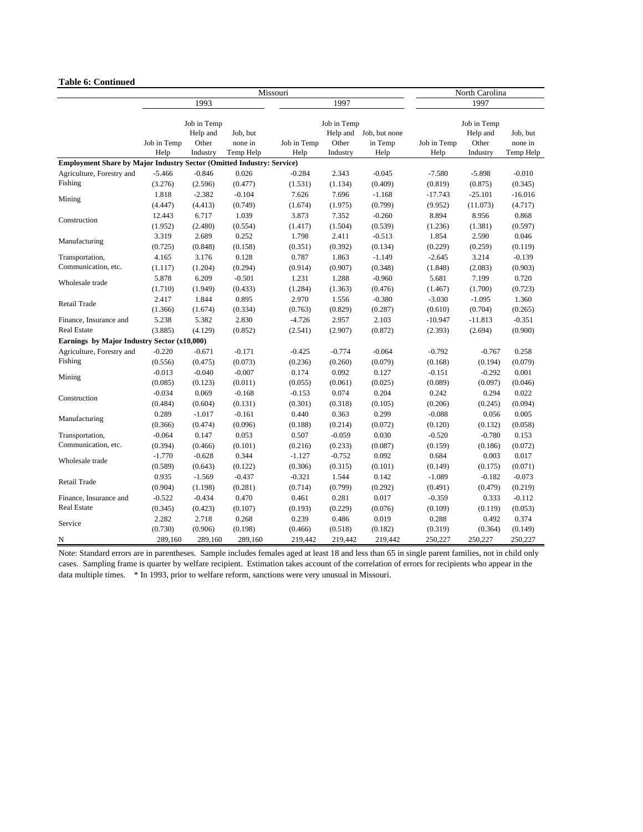#### **Table 6: Continued**

|                                                                              |             |             |           | Missouri    |             | North Carolina |             |             |           |
|------------------------------------------------------------------------------|-------------|-------------|-----------|-------------|-------------|----------------|-------------|-------------|-----------|
|                                                                              |             | 1993        |           |             | 1997        |                |             | 1997        |           |
|                                                                              |             | Job in Temp |           |             | Job in Temp |                |             | Job in Temp |           |
|                                                                              |             | Help and    | Job, but  |             | Help and    | Job, but none  |             | Help and    | Job, but  |
|                                                                              | Job in Temp | Other       | none in   | Job in Temp | Other       | in Temp        | Job in Temp | Other       | none in   |
| <b>Employment Share by Major Industry Sector (Omitted Industry: Service)</b> | Help        | Industry    | Temp Help | Help        | Industry    | Help           | Help        | Industry    | Temp Help |
| Agriculture, Forestry and                                                    | $-5.466$    | $-0.846$    | 0.026     | $-0.284$    | 2.343       | $-0.045$       | $-7.580$    | $-5.898$    | $-0.010$  |
| Fishing                                                                      | (3.276)     | (2.596)     | (0.477)   | (1.531)     | (1.134)     | (0.409)        | (0.819)     | (0.875)     | (0.345)   |
|                                                                              | 1.818       | $-2.382$    | $-0.104$  | 7.626       | 7.696       | $-1.168$       | $-17.743$   | $-25.101$   | $-16.016$ |
| Mining                                                                       | (4.447)     | (4.413)     | (0.749)   | (1.674)     | (1.975)     | (0.799)        | (9.952)     | (11.073)    | (4.717)   |
|                                                                              | 12.443      | 6.717       | 1.039     | 3.873       | 7.352       | $-0.260$       | 8.894       | 8.956       | 0.868     |
| Construction                                                                 |             |             |           |             | (1.504)     |                |             |             | (0.597)   |
|                                                                              | (1.952)     | (2.480)     | (0.554)   | (1.417)     |             | (0.539)        | (1.236)     | (1.381)     |           |
| Manufacturing                                                                | 3.319       | 2.689       | 0.252     | 1.798       | 2.411       | $-0.513$       | 1.854       | 2.590       | 0.046     |
|                                                                              | (0.725)     | (0.848)     | (0.158)   | (0.351)     | (0.392)     | (0.134)        | (0.229)     | (0.259)     | (0.119)   |
| Transportation,<br>Communication, etc.                                       | 4.165       | 3.176       | 0.128     | 0.787       | 1.863       | $-1.149$       | $-2.645$    | 3.214       | $-0.139$  |
|                                                                              | (1.117)     | (1.204)     | (0.294)   | (0.914)     | (0.907)     | (0.348)        | (1.848)     | (2.083)     | (0.903)   |
| Wholesale trade                                                              | 5.878       | 6.209       | $-0.501$  | 1.231       | 1.288       | $-0.960$       | 5.681       | 7.199       | 0.720     |
|                                                                              | (1.710)     | (1.949)     | (0.433)   | (1.284)     | (1.363)     | (0.476)        | (1.467)     | (1.700)     | (0.723)   |
| Retail Trade                                                                 | 2.417       | 1.844       | 0.895     | 2.970       | 1.556       | $-0.380$       | $-3.030$    | $-1.095$    | 1.360     |
|                                                                              | (1.366)     | (1.674)     | (0.334)   | (0.763)     | (0.829)     | (0.287)        | (0.610)     | (0.704)     | (0.265)   |
| Finance, Insurance and                                                       | 5.238       | 5.382       | 2.830     | $-4.726$    | 2.957       | 2.103          | $-10.947$   | $-11.813$   | $-0.351$  |
| <b>Real Estate</b>                                                           | (3.885)     | (4.129)     | (0.852)   | (2.541)     | (2.907)     | (0.872)        | (2.393)     | (2.694)     | (0.900)   |
| Earnings by Major Industry Sector (x10,000)                                  |             |             |           |             |             |                |             |             |           |
| Agriculture, Forestry and                                                    | $-0.220$    | $-0.671$    | $-0.171$  | $-0.425$    | $-0.774$    | $-0.064$       | $-0.792$    | $-0.767$    | 0.258     |
| Fishing                                                                      | (0.556)     | (0.475)     | (0.073)   | (0.236)     | (0.260)     | (0.079)        | (0.168)     | (0.194)     | (0.079)   |
| Mining                                                                       | $-0.013$    | $-0.040$    | $-0.007$  | 0.174       | 0.092       | 0.127          | $-0.151$    | $-0.292$    | 0.001     |
|                                                                              | (0.085)     | (0.123)     | (0.011)   | (0.055)     | (0.061)     | (0.025)        | (0.089)     | (0.097)     | (0.046)   |
| Construction                                                                 | $-0.034$    | 0.069       | $-0.168$  | $-0.153$    | 0.074       | 0.204          | 0.242       | 0.294       | 0.022     |
|                                                                              | (0.484)     | (0.604)     | (0.131)   | (0.301)     | (0.318)     | (0.105)        | (0.206)     | (0.245)     | (0.094)   |
| Manufacturing                                                                | 0.289       | $-1.017$    | $-0.161$  | 0.440       | 0.363       | 0.299          | $-0.088$    | 0.056       | 0.005     |
|                                                                              | (0.366)     | (0.474)     | (0.096)   | (0.188)     | (0.214)     | (0.072)        | (0.120)     | (0.132)     | (0.058)   |
| Transportation,                                                              | $-0.064$    | 0.147       | 0.053     | 0.507       | $-0.059$    | 0.030          | $-0.520$    | $-0.780$    | 0.153     |
| Communication, etc.                                                          | (0.394)     | (0.466)     | (0.101)   | (0.216)     | (0.233)     | (0.087)        | (0.159)     | (0.186)     | (0.072)   |
| Wholesale trade                                                              | $-1.770$    | $-0.628$    | 0.344     | $-1.127$    | $-0.752$    | 0.092          | 0.684       | 0.003       | 0.017     |
|                                                                              | (0.589)     | (0.643)     | (0.122)   | (0.306)     | (0.315)     | (0.101)        | (0.149)     | (0.175)     | (0.071)   |
| <b>Retail Trade</b>                                                          | 0.935       | $-1.569$    | $-0.437$  | $-0.321$    | 1.544       | 0.142          | $-1.089$    | $-0.182$    | $-0.073$  |
|                                                                              | (0.904)     | (1.198)     | (0.281)   | (0.714)     | (0.799)     | (0.292)        | (0.491)     | (0.479)     | (0.219)   |
| Finance, Insurance and                                                       | $-0.522$    | $-0.434$    | 0.470     | 0.461       | 0.281       | 0.017          | $-0.359$    | 0.333       | $-0.112$  |
| <b>Real Estate</b>                                                           | (0.345)     | (0.423)     | (0.107)   | (0.193)     | (0.229)     | (0.076)        | (0.109)     | (0.119)     | (0.053)   |
| Service                                                                      | 2.282       | 2.718       | 0.268     | 0.239       | 0.486       | 0.019          | 0.288       | 0.492       | 0.374     |
|                                                                              | (0.730)     | (0.906)     | (0.198)   | (0.466)     | (0.518)     | (0.182)        | (0.319)     | (0.364)     | (0.149)   |
| N                                                                            | 289,160     | 289,160     | 289,160   | 219,442     | 219,442     | 219,442        | 250,227     | 250,227     | 250,227   |

Note: Standard errors are in parentheses. Sample includes females aged at least 18 and less than 65 in single parent families, not in child only cases. Sampling frame is quarter by welfare recipient. Estimation takes account of the correlation of errors for recipients who appear in the data multiple times. \* In 1993, prior to welfare reform, sanctions were very unusual in Missouri.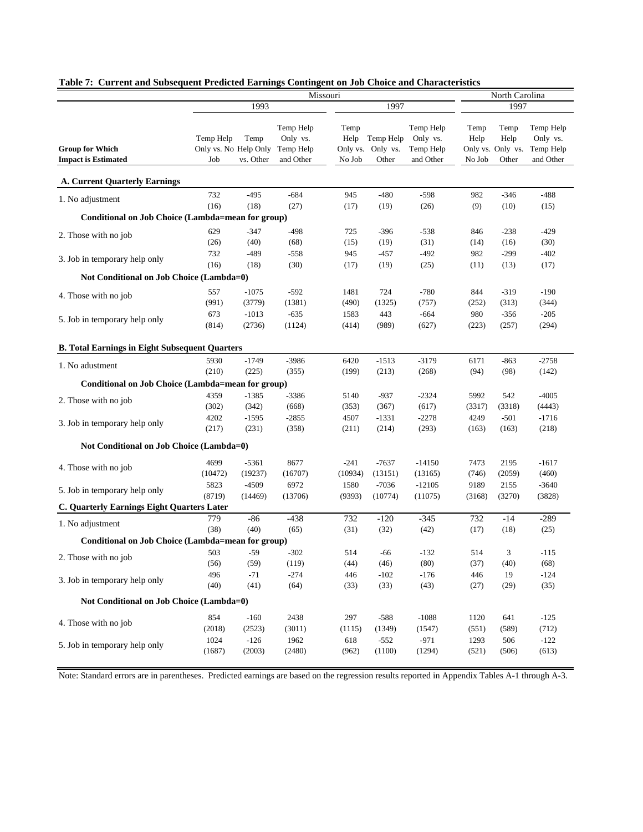|                                                       | Missouri                                  |                   |                                                 |                                    |                                |                                                 | North Carolina         |                                            |                                                 |  |
|-------------------------------------------------------|-------------------------------------------|-------------------|-------------------------------------------------|------------------------------------|--------------------------------|-------------------------------------------------|------------------------|--------------------------------------------|-------------------------------------------------|--|
|                                                       |                                           | 1993              |                                                 |                                    | 1997                           |                                                 |                        | 1997                                       |                                                 |  |
| <b>Group for Which</b><br><b>Impact is Estimated</b>  | Temp Help<br>Only vs. No Help Only<br>Job | Temp<br>vs. Other | Temp Help<br>Only vs.<br>Temp Help<br>and Other | Temp<br>Help<br>Only vs.<br>No Job | Temp Help<br>Only vs.<br>Other | Temp Help<br>Only vs.<br>Temp Help<br>and Other | Temp<br>Help<br>No Job | Temp<br>Help<br>Only vs. Only vs.<br>Other | Temp Help<br>Only vs.<br>Temp Help<br>and Other |  |
| <b>A. Current Quarterly Earnings</b>                  |                                           |                   |                                                 |                                    |                                |                                                 |                        |                                            |                                                 |  |
| 1. No adjustment                                      | 732                                       | $-495$            | $-684$                                          | 945                                | $-480$                         | $-598$                                          | 982                    | $-346$                                     | $-488$                                          |  |
|                                                       | (16)                                      | (18)              | (27)                                            | (17)                               | (19)                           | (26)                                            | (9)                    | (10)                                       | (15)                                            |  |
| Conditional on Job Choice (Lambda=mean for group)     |                                           |                   |                                                 |                                    |                                |                                                 |                        |                                            |                                                 |  |
| 2. Those with no job                                  | 629                                       | $-347$            | $-498$                                          | 725                                | $-396$                         | $-538$                                          | 846                    | $-238$                                     | $-429$                                          |  |
|                                                       | (26)                                      | (40)              | (68)                                            | (15)                               | (19)                           | (31)                                            | (14)                   | (16)                                       | (30)                                            |  |
| 3. Job in temporary help only                         | 732                                       | $-489$            | $-558$                                          | 945                                | $-457$                         | $-492$                                          | 982                    | $-299$                                     | $-402$                                          |  |
|                                                       | (16)                                      | (18)              | (30)                                            | (17)                               | (19)                           | (25)                                            | (11)                   | (13)                                       | (17)                                            |  |
| Not Conditional on Job Choice (Lambda=0)              |                                           |                   |                                                 |                                    |                                |                                                 |                        |                                            |                                                 |  |
| 4. Those with no job                                  | 557                                       | $-1075$           | $-592$                                          | 1481                               | 724                            | $-780$                                          | 844                    | $-319$                                     | $-190$                                          |  |
|                                                       | (991)                                     | (3779)            | (1381)                                          | (490)                              | (1325)                         | (757)                                           | (252)                  | (313)                                      | (344)                                           |  |
| 5. Job in temporary help only                         | 673                                       | $-1013$           | $-635$                                          | 1583                               | 443                            | $-664$                                          | 980                    | $-356$                                     | $-205$                                          |  |
|                                                       | (814)                                     | (2736)            | (1124)                                          | (414)                              | (989)                          | (627)                                           | (223)                  | (257)                                      | (294)                                           |  |
| <b>B. Total Earnings in Eight Subsequent Quarters</b> |                                           |                   |                                                 |                                    |                                |                                                 |                        |                                            |                                                 |  |
| 1. No adustment                                       | 5930                                      | $-1749$           | $-3986$                                         | 6420                               | $-1513$                        | $-3179$                                         | 6171                   | $-863$                                     | $-2758$                                         |  |
|                                                       | (210)                                     | (225)             | (355)                                           | (199)                              | (213)                          | (268)                                           | (94)                   | (98)                                       | (142)                                           |  |
| Conditional on Job Choice (Lambda=mean for group)     |                                           |                   |                                                 |                                    |                                |                                                 |                        |                                            |                                                 |  |
| 2. Those with no job                                  | 4359                                      | $-1385$           | $-3386$                                         | 5140                               | $-937$                         | $-2324$                                         | 5992                   | 542                                        | $-4005$                                         |  |
|                                                       | (302)                                     | (342)             | (668)                                           | (353)                              | (367)                          | (617)                                           | (3317)                 | (3318)                                     | (4443)                                          |  |
| 3. Job in temporary help only                         | 4202                                      | $-1595$           | $-2855$                                         | 4507                               | $-1331$                        | $-2278$                                         | 4249                   | $-501$                                     | $-1716$                                         |  |
|                                                       | (217)                                     | (231)             | (358)                                           | (211)                              | (214)                          | (293)                                           | (163)                  | (163)                                      | (218)                                           |  |
| Not Conditional on Job Choice (Lambda=0)              |                                           |                   |                                                 |                                    |                                |                                                 |                        |                                            |                                                 |  |
| 4. Those with no job                                  | 4699                                      | $-5361$           | 8677                                            | $-241$                             | $-7637$                        | $-14150$                                        | 7473                   | 2195                                       | $-1617$                                         |  |
|                                                       | (10472)                                   | (19237)           | (16707)                                         | (10934)                            | (13151)                        | (13165)                                         | (746)                  | (2059)                                     | (460)                                           |  |
| 5. Job in temporary help only                         | 5823                                      | $-4509$           | 6972                                            | 1580                               | $-7036$                        | $-12105$                                        | 9189                   | 2155                                       | $-3640$                                         |  |
|                                                       | (8719)                                    | (14469)           | (13706)                                         | (9393)                             | (10774)                        | (11075)                                         | (3168)                 | (3270)                                     | (3828)                                          |  |
| C. Quarterly Earnings Eight Quarters Later            |                                           |                   |                                                 |                                    |                                |                                                 |                        |                                            |                                                 |  |
| 1. No adjustment                                      | 779<br>(38)                               | $-86$             | $-438$                                          | 732                                | $-120$                         | $-345$                                          | 732                    | $-14$                                      | $-289$                                          |  |
| Conditional on Job Choice (Lambda=mean for group)     |                                           | (40)              | (65)                                            | (31)                               | (32)                           | (42)                                            | (17)                   | (18)                                       | (25)                                            |  |
|                                                       | 503                                       | $-59$             | $-302$                                          | 514                                | -66                            | $-132$                                          | 514                    | 3                                          | $-115$                                          |  |
| 2. Those with no job                                  | (56)                                      | (59)              | (119)                                           | (44)                               | (46)                           | (80)                                            | (37)                   | (40)                                       | (68)                                            |  |
|                                                       | 496                                       | $-71$             | $-274$                                          | 446                                | $-102$                         | $-176$                                          | 446                    | 19                                         | $-124$                                          |  |
| 3. Job in temporary help only                         | (40)                                      | (41)              | (64)                                            | (33)                               | (33)                           | (43)                                            | (27)                   | (29)                                       | (35)                                            |  |
| Not Conditional on Job Choice (Lambda=0)              |                                           |                   |                                                 |                                    |                                |                                                 |                        |                                            |                                                 |  |
|                                                       | 854                                       | $-160$            | 2438                                            | 297                                | $-588$                         | $-1088$                                         | 1120                   | 641                                        | $-125$                                          |  |
| 4. Those with no job                                  | (2018)                                    | (2523)            | (3011)                                          | (1115)                             | (1349)                         | (1547)                                          | (551)                  | (589)                                      | (712)                                           |  |
|                                                       | 1024                                      | $-126$            | 1962                                            | 618                                | $-552$                         | $-971$                                          | 1293                   | 506                                        | $-122$                                          |  |
| 5. Job in temporary help only                         | (1687)                                    | (2003)            | (2480)                                          | (962)                              | (1100)                         | (1294)                                          | (521)                  | (506)                                      | (613)                                           |  |
|                                                       |                                           |                   |                                                 |                                    |                                |                                                 |                        |                                            |                                                 |  |

#### **Table 7: Current and Subsequent Predicted Earnings Contingent on Job Choice and Characteristics**

Note: Standard errors are in parentheses. Predicted earnings are based on the regression results reported in Appendix Tables A-1 through A-3.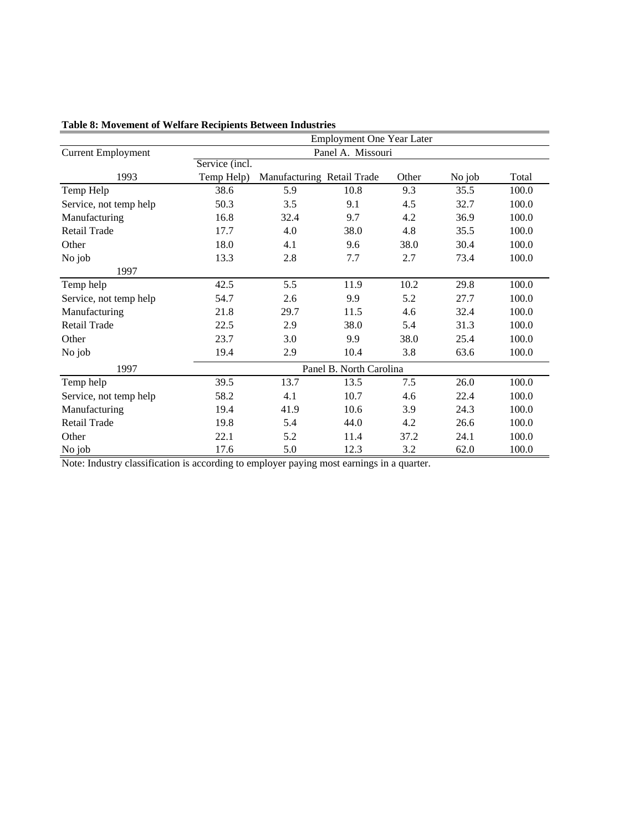|                           | <b>Employment One Year Later</b> |                            |                         |       |        |       |  |  |  |
|---------------------------|----------------------------------|----------------------------|-------------------------|-------|--------|-------|--|--|--|
| <b>Current Employment</b> |                                  |                            | Panel A. Missouri       |       |        |       |  |  |  |
|                           | Service (incl.                   |                            |                         |       |        |       |  |  |  |
| 1993                      | Temp Help)                       | Manufacturing Retail Trade |                         | Other | No job | Total |  |  |  |
| Temp Help                 | 38.6                             | 5.9                        | 10.8                    | 9.3   | 35.5   | 100.0 |  |  |  |
| Service, not temp help    | 50.3                             | 3.5                        | 9.1                     | 4.5   | 32.7   | 100.0 |  |  |  |
| Manufacturing             | 16.8                             | 32.4                       | 9.7                     | 4.2   | 36.9   | 100.0 |  |  |  |
| Retail Trade              | 17.7                             | 4.0                        | 38.0                    | 4.8   | 35.5   | 100.0 |  |  |  |
| Other                     | 18.0                             | 4.1                        | 9.6                     | 38.0  | 30.4   | 100.0 |  |  |  |
| No job                    | 13.3                             | 2.8                        | 7.7                     | 2.7   | 73.4   | 100.0 |  |  |  |
| 1997                      |                                  |                            |                         |       |        |       |  |  |  |
| Temp help                 | 42.5                             | 5.5                        | 11.9                    | 10.2  | 29.8   | 100.0 |  |  |  |
| Service, not temp help    | 54.7                             | 2.6                        | 9.9                     | 5.2   | 27.7   | 100.0 |  |  |  |
| Manufacturing             | 21.8                             | 29.7                       | 11.5                    | 4.6   | 32.4   | 100.0 |  |  |  |
| Retail Trade              | 22.5                             | 2.9                        | 38.0                    | 5.4   | 31.3   | 100.0 |  |  |  |
| Other                     | 23.7                             | 3.0                        | 9.9                     | 38.0  | 25.4   | 100.0 |  |  |  |
| No job                    | 19.4                             | 2.9                        | 10.4                    | 3.8   | 63.6   | 100.0 |  |  |  |
| 1997                      |                                  |                            | Panel B. North Carolina |       |        |       |  |  |  |
| Temp help                 | 39.5                             | 13.7                       | 13.5                    | 7.5   | 26.0   | 100.0 |  |  |  |
| Service, not temp help    | 58.2                             | 4.1                        | 10.7                    | 4.6   | 22.4   | 100.0 |  |  |  |
| Manufacturing             | 19.4                             | 41.9                       | 10.6                    | 3.9   | 24.3   | 100.0 |  |  |  |
| Retail Trade              | 19.8                             | 5.4                        | 44.0                    | 4.2   | 26.6   | 100.0 |  |  |  |
| Other                     | 22.1                             | 5.2                        | 11.4                    | 37.2  | 24.1   | 100.0 |  |  |  |
| No job                    | 17.6                             | 5.0                        | 12.3                    | 3.2   | 62.0   | 100.0 |  |  |  |

**Table 8: Movement of Welfare Recipients Between Industries**

Note: Industry classification is according to employer paying most earnings in a quarter.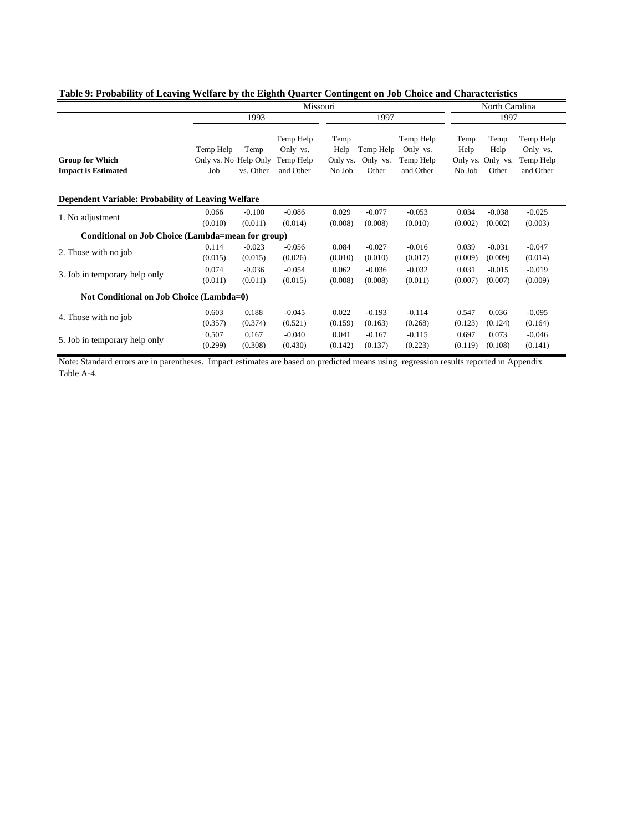|                                                           | Missouri                                  |                     |                                                 |                                    |                                |                                                 | North Carolina         |                                            |                                                 |  |
|-----------------------------------------------------------|-------------------------------------------|---------------------|-------------------------------------------------|------------------------------------|--------------------------------|-------------------------------------------------|------------------------|--------------------------------------------|-------------------------------------------------|--|
|                                                           |                                           | 1993                |                                                 |                                    | 1997                           |                                                 | 1997                   |                                            |                                                 |  |
| <b>Group for Which</b><br><b>Impact is Estimated</b>      | Temp Help<br>Only vs. No Help Only<br>Job | Temp<br>vs. Other   | Temp Help<br>Only vs.<br>Temp Help<br>and Other | Temp<br>Help<br>Only vs.<br>No Job | Temp Help<br>Only vs.<br>Other | Temp Help<br>Only vs.<br>Temp Help<br>and Other | Temp<br>Help<br>No Job | Temp<br>Help<br>Only vs. Only vs.<br>Other | Temp Help<br>Only vs.<br>Temp Help<br>and Other |  |
| <b>Dependent Variable: Probability of Leaving Welfare</b> |                                           |                     |                                                 |                                    |                                |                                                 |                        |                                            |                                                 |  |
| 1. No adjustment                                          | 0.066<br>(0.010)                          | $-0.100$<br>(0.011) | $-0.086$<br>(0.014)                             | 0.029<br>(0.008)                   | $-0.077$<br>(0.008)            | $-0.053$<br>(0.010)                             | 0.034<br>(0.002)       | $-0.038$<br>(0.002)                        | $-0.025$<br>(0.003)                             |  |
| Conditional on Job Choice (Lambda=mean for group)         |                                           |                     |                                                 |                                    |                                |                                                 |                        |                                            |                                                 |  |
| 2. Those with no job                                      | 0.114<br>(0.015)                          | $-0.023$<br>(0.015) | $-0.056$<br>(0.026)                             | 0.084<br>(0.010)                   | $-0.027$<br>(0.010)            | $-0.016$<br>(0.017)                             | 0.039<br>(0.009)       | $-0.031$<br>(0.009)                        | $-0.047$<br>(0.014)                             |  |
| 3. Job in temporary help only                             | 0.074<br>(0.011)                          | $-0.036$<br>(0.011) | $-0.054$<br>(0.015)                             | 0.062<br>(0.008)                   | $-0.036$<br>(0.008)            | $-0.032$<br>(0.011)                             | 0.031<br>(0.007)       | $-0.015$<br>(0.007)                        | $-0.019$<br>(0.009)                             |  |
| Not Conditional on Job Choice (Lambda=0)                  |                                           |                     |                                                 |                                    |                                |                                                 |                        |                                            |                                                 |  |
| 4. Those with no job                                      | 0.603<br>(0.357)                          | 0.188<br>(0.374)    | $-0.045$<br>(0.521)                             | 0.022<br>(0.159)                   | $-0.193$<br>(0.163)            | $-0.114$<br>(0.268)                             | 0.547<br>(0.123)       | 0.036<br>(0.124)                           | $-0.095$<br>(0.164)                             |  |
| 5. Job in temporary help only                             | 0.507<br>(0.299)                          | 0.167<br>(0.308)    | $-0.040$<br>(0.430)                             | 0.041<br>(0.142)                   | $-0.167$<br>(0.137)            | $-0.115$<br>(0.223)                             | 0.697<br>(0.119)       | 0.073<br>(0.108)                           | $-0.046$<br>(0.141)                             |  |

## **Table 9: Probability of Leaving Welfare by the Eighth Quarter Contingent on Job Choice and Characteristics**

Note: Standard errors are in parentheses. Impact estimates are based on predicted means using regression results reported in Appendix Table A-4.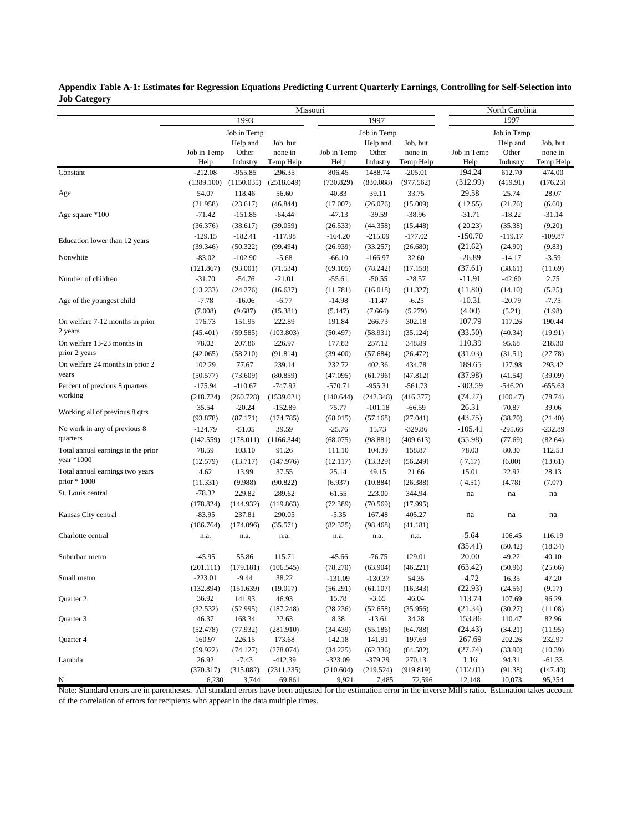|                                    |             |             |            | Missouri    |             |           |             | North Carolina |           |  |  |
|------------------------------------|-------------|-------------|------------|-------------|-------------|-----------|-------------|----------------|-----------|--|--|
|                                    |             | 1993        |            |             | 1997        |           |             | 1997           |           |  |  |
|                                    |             | Job in Temp |            |             | Job in Temp |           |             | Job in Temp    |           |  |  |
|                                    |             | Help and    | Job, but   |             | Help and    | Job, but  |             | Help and       | Job, but  |  |  |
|                                    | Job in Temp | Other       | none in    | Job in Temp | Other       | none in   | Job in Temp | Other          | none in   |  |  |
|                                    | Help        | Industry    | Temp Help  | Help        | Industry    | Temp Help | Help        | Industry       | Temp Help |  |  |
| Constant                           | $-212.08$   | $-955.85$   | 296.35     | 806.45      | 1488.74     | $-205.01$ | 194.24      | 612.70         | 474.00    |  |  |
|                                    | (1389.100)  | (1150.035)  | (2518.649) | (730.829)   | (830.088)   | (977.562) | (312.99)    | (419.91)       | (176.25)  |  |  |
| Age                                | 54.07       | 118.46      | 56.60      | 40.83       | 39.11       | 33.75     | 29.58       | 25.74          | 28.07     |  |  |
|                                    | (21.958)    | (23.617)    | (46.844)   | (17.007)    | (26.076)    | (15.009)  | (12.55)     | (21.76)        | (6.60)    |  |  |
| Age square *100                    | $-71.42$    | $-151.85$   | $-64.44$   | $-47.13$    | $-39.59$    | $-38.96$  | $-31.71$    | $-18.22$       | $-31.14$  |  |  |
|                                    | (36.376)    | (38.617)    | (39.059)   | (26.533)    | (44.358)    | (15.448)  | (20.23)     | (35.38)        | (9.20)    |  |  |
| Education lower than 12 years      | $-129.15$   | $-182.41$   | $-117.98$  | $-164.20$   | $-215.09$   | $-177.02$ | $-150.70$   | $-119.17$      | $-109.87$ |  |  |
|                                    | (39.346)    | (50.322)    | (99.494)   | (26.939)    | (33.257)    | (26.680)  | (21.62)     | (24.90)        | (9.83)    |  |  |
| Nonwhite                           | $-83.02$    | $-102.90$   | $-5.68$    | $-66.10$    | $-166.97$   | 32.60     | $-26.89$    | $-14.17$       | $-3.59$   |  |  |
|                                    | (121.867)   | (93.001)    | (71.534)   | (69.105)    | (78.242)    | (17.158)  | (37.61)     | (38.61)        | (11.69)   |  |  |
| Number of children                 | $-31.70$    | $-54.76$    | $-21.01$   | $-55.61$    | $-50.55$    | $-28.57$  | $-11.91$    | $-42.60$       | 2.75      |  |  |
|                                    | (13.233)    | (24.276)    | (16.637)   | (11.781)    | (16.018)    | (11.327)  | (11.80)     | (14.10)        | (5.25)    |  |  |
| Age of the youngest child          | $-7.78$     | $-16.06$    | $-6.77$    | $-14.98$    | $-11.47$    | $-6.25$   | $-10.31$    | $-20.79$       | $-7.75$   |  |  |
|                                    | (7.008)     | (9.687)     | (15.381)   | (5.147)     | (7.664)     | (5.279)   | (4.00)      | (5.21)         | (1.98)    |  |  |
| On welfare 7-12 months in prior    | 176.73      | 151.95      | 222.89     | 191.84      | 266.73      | 302.18    | 107.79      | 117.26         | 190.44    |  |  |
| 2 years                            | (45.401)    | (59.585)    | (103.803)  | (50.497)    | (58.931)    | (35.124)  | (33.50)     | (40.34)        | (19.91)   |  |  |
| On welfare 13-23 months in         | 78.02       | 207.86      | 226.97     | 177.83      | 257.12      | 348.89    | 110.39      | 95.68          | 218.30    |  |  |
| prior 2 years                      | (42.065)    | (58.210)    | (91.814)   | (39.400)    | (57.684)    | (26.472)  | (31.03)     | (31.51)        | (27.78)   |  |  |
| On welfare 24 months in prior 2    | 102.29      | 77.67       | 239.14     | 232.72      | 402.36      | 434.78    | 189.65      | 127.98         | 293.42    |  |  |
| years                              | (50.577)    | (73.609)    | (80.859)   | (47.095)    | (61.796)    | (47.812)  | (37.98)     | (41.54)        | (39.09)   |  |  |
| Percent of previous 8 quarters     | $-175.94$   | $-410.67$   | $-747.92$  | $-570.71$   | $-955.31$   | $-561.73$ | $-303.59$   | $-546.20$      | $-655.63$ |  |  |
| working                            | (218.724)   | (260.728)   | (1539.021) | (140.644)   | (242.348)   | (416.377) | (74.27)     | (100.47)       | (78.74)   |  |  |
| Working all of previous 8 qtrs     | 35.54       | $-20.24$    | $-152.89$  | 75.77       | $-101.18$   | $-66.59$  | 26.31       | 70.87          | 39.06     |  |  |
|                                    | (93.878)    | (87.171)    | (174.785)  | (68.015)    | (57.168)    | (27.041)  | (43.75)     | (38.70)        | (21.40)   |  |  |
| No work in any of previous 8       | $-124.79$   | $-51.05$    | 39.59      | $-25.76$    | 15.73       | $-329.86$ | $-105.41$   | $-295.66$      | $-232.89$ |  |  |
| quarters                           | (142.559)   | (178.011)   | (1166.344) | (68.075)    | (98.881)    | (409.613) | (55.98)     | (77.69)        | (82.64)   |  |  |
| Total annual earnings in the prior | 78.59       | 103.10      | 91.26      | 111.10      | 104.39      | 158.87    | 78.03       | 80.30          | 112.53    |  |  |
| year $*1000$                       | (12.579)    | (13.717)    | (147.976)  | (12.117)    | (13.329)    | (56.249)  | (7.17)      | (6.00)         | (13.61)   |  |  |
| Total annual earnings two years    | 4.62        | 13.99       | 37.55      | 25.14       | 49.15       | 21.66     | 15.01       | 22.92          | 28.13     |  |  |
| prior $*1000$                      | (11.331)    | (9.988)     | (90.822)   | (6.937)     | (10.884)    | (26.388)  | (4.51)      | (4.78)         | (7.07)    |  |  |
| St. Louis central                  | $-78.32$    | 229.82      | 289.62     | 61.55       | 223.00      | 344.94    | na          | na             | na        |  |  |
|                                    | (178.824)   | (144.932)   | (119.863)  | (72.389)    | (70.569)    | (17.995)  |             |                |           |  |  |
| Kansas City central                | $-83.95$    | 237.81      | 290.05     | $-5.35$     | 167.48      | 405.27    | na          | na             | na        |  |  |
|                                    | (186.764)   | (174.096)   | (35.571)   | (82.325)    | (98.468)    | (41.181)  |             |                |           |  |  |
| Charlotte central                  | n.a.        | n.a.        | n.a.       | n.a.        | n.a.        | n.a.      | $-5.64$     | 106.45         | 116.19    |  |  |
|                                    |             |             |            |             |             |           | (35.41)     | (50.42)        | (18.34)   |  |  |
| Suburban metro                     | $-45.95$    | 55.86       | 115.71     | $-45.66$    | $-76.75$    | 129.01    | 20.00       | 49.22          | 40.10     |  |  |
|                                    | (201.111)   | (179.181)   | (106.545)  | (78.270)    | (63.904)    | (46.221)  | (63.42)     | (50.96)        | (25.66)   |  |  |
| Small metro                        | $-223.01$   | $-9.44$     | 38.22      | $-131.09$   | $-130.37$   | 54.35     | $-4.72$     | 16.35          | 47.20     |  |  |
|                                    | (132.894)   | (151.639)   | (19.017)   | (56.291)    | (61.107)    | (16.343)  | (22.93)     | (24.56)        | (9.17)    |  |  |
| Quarter 2                          | 36.92       | 141.93      | 46.93      | 15.78       | $-3.65$     | 46.04     | 113.74      | 107.69         | 96.29     |  |  |
|                                    | (32.532)    | (52.995)    | (187.248)  | (28.236)    | (52.658)    | (35.956)  | (21.34)     | (30.27)        | (11.08)   |  |  |
| Quarter 3                          | 46.37       | 168.34      | 22.63      | 8.38        | $-13.61$    | 34.28     | 153.86      | 110.47         | 82.96     |  |  |
|                                    | (52.478)    | (77.932)    | (281.910)  | (34.439)    | (55.186)    | (64.788)  | (24.43)     | (34.21)        | (11.95)   |  |  |
| Quarter 4                          | 160.97      | 226.15      | 173.68     | 142.18      | 141.91      | 197.69    | 267.69      | 202.26         | 232.97    |  |  |
|                                    | (59.922)    | (74.127)    | (278.074)  | (34.225)    | (62.336)    | (64.582)  | (27.74)     | (33.90)        | (10.39)   |  |  |
| Lambda                             | 26.92       | $-7.43$     | $-412.39$  | $-323.09$   | $-379.29$   | 270.13    | 1.16        | 94.31          | $-61.33$  |  |  |
|                                    | (370.317)   | (315.082)   | (2311.235) | (210.604)   | (219.524)   | (919.819) | (112.01)    | (91.38)        | (147.40)  |  |  |
| N                                  | 6,230       | 3,744       | 69,861     | 9,921       | 7,485       | 72,596    | 12,148      | 10,073         | 95,254    |  |  |

**Appendix Table A-1: Estimates for Regression Equations Predicting Current Quarterly Earnings, Controlling for Self-Selection into Job Category**

Note: Standard errors are in parentheses. All standard errors have been adjusted for the estimation error in the inverse Mill's ratio. Estimation takes account of the correlation of errors for recipients who appear in the data multiple times.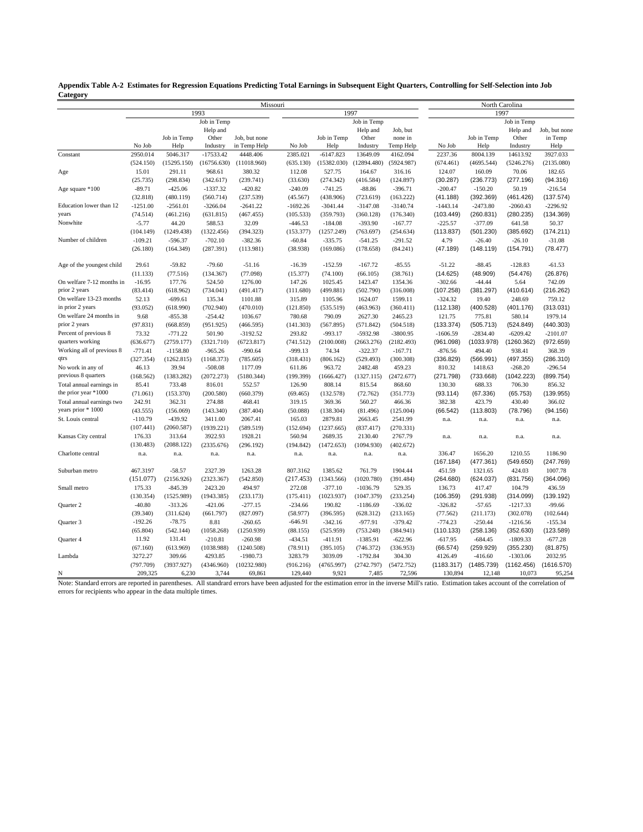| $\ldots$                  |            |             |             |               |            |             |             |            |            |                        |             |               |
|---------------------------|------------|-------------|-------------|---------------|------------|-------------|-------------|------------|------------|------------------------|-------------|---------------|
|                           |            |             |             | Missouri      |            |             |             |            |            | North Carolina<br>1997 |             |               |
|                           |            |             | 1993        |               |            |             | 1997        |            |            |                        |             |               |
|                           |            |             | Job in Temp |               |            |             | Job in Temp |            |            |                        | Job in Temp |               |
|                           |            |             | Help and    |               |            |             | Help and    | Job, but   |            |                        | Help and    | Job, but none |
|                           |            | Job in Temp | Other       | Job, but none |            | Job in Temp | Other       | none in    |            | Job in Temp            | Other       | in Temp       |
|                           | No Job     | Help        | Industry    | in Temp Help  | No Job     | Help        | Industry    | Temp Help  | No Job     | Help                   | Industry    | Help          |
| Constant                  | 2950.014   | 5046.317    | $-17533.42$ | 4448.406      | 2385.021   | $-6147.823$ | 13649.09    | 4162.094   | 2237.36    | 8004.139               | 14613.92    | 3927.033      |
|                           | (524.150)  | (15295.150) | (16756.630) | (11018.960)   | (635.130)  | (15382.030) | (12894.480) | (5924.987) | (674.461)  | (4695.544)             | (5246.276)  | (2135.080)    |
| Age                       | 15.01      | 291.11      | 968.61      | 380.32        | 112.08     | 527.75      | 164.67      | 316.16     | 124.07     | 160.09                 | 70.06       | 182.65        |
|                           | (25.735)   | (298.834)   | (342.617)   | (239.741)     | (33.630)   | (274.342)   | (416.584)   | (124.897)  | (30.287)   | (236.773)              | (277.196)   | (94.316)      |
| Age square *100           | $-89.71$   | $-425.06$   | $-1337.32$  | $-420.82$     | $-240.09$  | $-741.25$   | $-88.86$    | $-396.71$  | $-200.47$  | $-150.20$              | 50.19       | $-216.54$     |
|                           | (32.818)   | (480.119)   | (560.714)   | (237.539)     | (45.567)   | (438.906)   | (723.619)   | (163.222)  | (41.188)   | (392.369)              | (461.426)   | (137.574)     |
| Education lower than 12   | $-1251.00$ | $-2561.01$  | $-3266.04$  | $-2641.22$    | $-1692.26$ | $-3041.44$  | $-3147.08$  | $-3140.74$ | $-1443.14$ | $-2473.80$             | $-2060.43$  | $-2296.92$    |
| years                     | (74.514)   | (461.216)   | (631.815)   | (467.455)     | (105.533)  | (359.793)   | (360.128)   | (176.340)  | (103.449)  | (260.831)              | (280.235)   | (134.369)     |
| Nonwhite                  | $-5.77$    | 44.20       | 588.53      | 32.09         | $-446.53$  | $-184.08$   | $-393.90$   | $-167.77$  | $-225.57$  | $-377.09$              | 641.58      | 50.37         |
|                           |            |             |             |               |            |             |             |            |            |                        |             |               |
|                           | (104.149)  | (1249.438)  | (1322.456)  | (394.323)     | (153.377)  | (1257.249)  | (763.697)   | (254.634)  | (113.837)  | (501.230)              | (385.692)   | (174.211)     |
| Number of children        | $-109.21$  | $-596.37$   | $-702.10$   | $-382.36$     | $-60.84$   | $-335.75$   | $-541.25$   | $-291.52$  | 4.79       | $-26.40$               | $-26.10$    | $-31.08$      |
|                           | (26.180)   | (164.349)   | (287.391)   | (113.981)     | (38.938)   | (169.086)   | (178.658)   | (84.241)   | (47.189)   | (148.119)              | (154.791)   | (78.477)      |
| Age of the youngest child | 29.61      | $-59.82$    | $-79.60$    | $-51.16$      | $-16.39$   | $-152.59$   | $-167.72$   | $-85.55$   | $-51.22$   | $-88.45$               | $-128.83$   | $-61.53$      |
|                           | (11.133)   | (77.516)    | (134.367)   | (77.098)      | (15.377)   | (74.100)    | (66.105)    | (38.761)   | (14.625)   | (48.909)               | (54.476)    | (26.876)      |
| On welfare 7-12 months in | $-16.95$   | 177.76      | 524.50      | 1276.00       | 147.26     | 1025.45     | 1423.47     | 1354.36    | $-302.66$  | $-44.44$               | 5.64        | 742.09        |
| prior 2 years             | (83.414)   | (618.962)   | (734.041)   | (491.417)     | (111.680)  | (499.881)   | (502.790)   | (316.008)  | (107.258)  | (381.297)              | (410.614)   | (216.262)     |
| On welfare 13-23 months   | 52.13      | $-699.61$   | 135.34      | 1101.88       | 315.89     | 1105.96     | 1624.07     | 1599.11    | $-324.32$  | 19.40                  | 248.69      | 759.12        |
| in prior 2 years          | (93.052)   | (618.990)   | (702.940)   | (470.010)     | (121.850)  | (535.519)   | (463.963)   | (360.411)  | (112.138)  | (400.528)              | (401.176)   | (313.031)     |
| On welfare 24 months in   | 9.68       | $-855.38$   | $-254.42$   | 1036.67       | 780.68     | 790.09      | 2627.30     | 2465.23    | 121.75     | 775.81                 | 580.14      | 1979.14       |
| prior 2 years             | (97.831)   | (668.859)   | (951.925)   | (466.595)     | (141.303)  | (567.895)   | (571.842)   | (504.518)  | (133.374)  | (505.713)              | (524.849)   | (440.303)     |
| Percent of previous 8     | 73.32      | $-771.22$   | 501.90      | $-3192.52$    | 293.82     | $-993.17$   | $-5932.98$  | $-3800.95$ | $-1606.59$ | $-2834.40$             | $-6209.42$  | $-2101.07$    |
| quarters working          |            |             |             |               |            |             |             |            |            |                        |             |               |
|                           | (636.677)  | (2759.177)  | (3321.710)  | (6723.817)    | (741.512)  | (2100.008)  | (2663.276)  | (2182.493) | (961.098)  | (1033.978)             | (1260.362)  | (972.659)     |
| Working all of previous 8 | $-771.41$  | $-1158.80$  | $-965.26$   | $-990.64$     | $-999.13$  | 74.34       | $-322.37$   | $-167.71$  | $-876.56$  | 494.40                 | 938.41      | 368.39        |
| qtrs                      | (327.354)  | (1262.815)  | (1168.373)  | (785.605)     | (318.431)  | (806.162)   | (529.493)   | (300.308)  | (336.829)  | (566.991)              | (497.355)   | (286.310)     |
| No work in any of         | 46.13      | 39.94       | $-508.08$   | 1177.09       | 611.86     | 963.72      | 2482.48     | 459.23     | 810.32     | 1418.63                | $-268.20$   | $-296.54$     |
| previous 8 quarters       | (168.562)  | (1383.282)  | (2072.273)  | (5180.344)    | (199.399)  | (1666.427)  | (1327.115)  | (2472.677) | (271.798)  | (733.668)              | (1042.223)  | (899.754)     |
| Total annual earnings in  | 85.41      | 733.48      | 816.01      | 552.57        | 126.90     | 808.14      | 815.54      | 868.60     | 130.30     | 688.33                 | 706.30      | 856.32        |
| the prior year *1000      | (71.061)   | (153.370)   | (200.580)   | (660.379)     | (69.465)   | (132.578)   | (72.762)    | (351.773)  | (93.114)   | (67.336)               | (65.753)    | (139.955)     |
| Total annual earnings two | 242.91     | 362.31      | 274.88      | 468.41        | 319.15     | 369.36      | 560.27      | 466.36     | 382.38     | 423.79                 | 430.40      | 366.02        |
| years prior * 1000        | (43.555)   | (156.069)   | (143.340)   | (387.404)     | (50.088)   | (138.304)   | (81.496)    | (125.004)  | (66.542)   | (113.803)              | (78.796)    | (94.156)      |
| St. Louis central         | $-110.79$  | $-439.92$   | 3411.00     | 2067.41       | 165.03     | 2879.81     | 2663.45     | 2541.99    | n.a.       | n.a.                   | n.a.        | n.a.          |
|                           | (107.441)  | (2060.587)  | (1939.221)  | (589.519)     | (152.694)  | (1237.665)  | (837.417)   | (270.331)  |            |                        |             |               |
| Kansas City central       | 176.33     | 313.64      | 3922.93     | 1928.21       | 560.94     | 2689.35     | 2130.40     | 2767.79    | n.a.       | n.a.                   | n.a.        | n.a.          |
|                           | (130.483)  | (2088.122)  | (2335.676)  | (296.192)     | (194.842)  | (1472.653)  | (1094.930)  | (402.672)  |            |                        |             |               |
| Charlotte central         |            |             |             |               |            |             |             |            |            |                        |             |               |
|                           | n.a.       | n.a.        | n.a.        | n.a.          | n.a.       | n.a.        | n.a.        | n.a.       | 336.47     | 1656.20                | 1210.55     | 1186.90       |
|                           |            |             |             |               |            |             |             |            | (167.184)  | (477.361)              | (549.650)   | (247.769)     |
| Suburban metro            | 467.3197   | $-58.57$    | 2327.39     | 1263.28       | 807.3162   | 1385.62     | 761.79      | 1904.44    | 451.59     | 1321.65                | 424.03      | 1007.78       |
|                           | (151.077)  | (2156.926)  | (2323.367)  | (542.850)     | (217.453)  | (1343.566)  | (1020.780)  | (391.484)  | (264.680)  | (624.037)              | (831.756)   | (364.096)     |
| Small metro               | 175.33     | $-845.39$   | 2423.20     | 494.97        | 272.08     | $-377.10$   | $-1036.79$  | 529.35     | 136.73     | 417.47                 | 104.79      | 436.59        |
|                           | (130.354)  | (1525.989)  | (1943.385)  | (233.173)     | (175.411)  | (1023.937)  | (1047.379)  | (233.254)  | (106.359)  | (291.938)              | (314.099)   | (139.192)     |
| Quarter 2                 | $-40.80$   | $-313.26$   | $-421.06$   | $-277.15$     | $-234.66$  | 190.82      | $-1186.69$  | $-336.02$  | $-326.82$  | $-57.65$               | $-1217.33$  | $-99.66$      |
|                           | (39.340)   | (311.624)   | (661.797)   | (827.097)     | (58.977)   | (396.595)   | (628.312)   | (213.165)  | (77.562)   | (211.173)              | (302.078)   | (102.644)     |
| Quarter 3                 | $-192.26$  | $-78.75$    | 8.81        | $-260.65$     | $-646.91$  | $-342.16$   | $-977.91$   | $-379.42$  | $-774.23$  | $-250.44$              | $-1216.56$  | $-155.34$     |
|                           | (65.804)   | (542.144)   | (1058.268)  | (1250.939)    | (88.155)   | (525.959)   | (753.248)   | (384.941)  | (110.133)  | (258.136)              | (352.630)   | (123.589)     |
| Quarter 4                 | 11.92      | 131.41      | $-210.81$   | $-260.98$     | $-434.51$  | $-411.91$   | $-1385.91$  | $-622.96$  | $-617.95$  | $-684.45$              | $-1809.33$  | $-677.28$     |
|                           | (67.160)   | (613.969)   | (1038.988)  | (1240.508)    | (78.911)   | (395.105)   | (746.372)   | (336.953)  | (66.574)   | (259.929)              | (355.230)   | (81.875)      |
| Lambda                    |            | 309.66      | 4293.85     |               |            | 3039.09     | $-1792.84$  |            |            |                        | $-1303.06$  | 2032.95       |
|                           | 3272.27    |             |             | $-1980.73$    | 3283.79    |             |             | 304.30     | 4126.49    | $-416.60$              |             |               |
|                           | (797.709)  | (3937.927)  | (4346.960)  | (10232.980)   | (916.216)  | (4765.997)  | (2742.797)  | (5472.752) | (1183.317) | (1485.739)             | (1162.456)  | (1616.570)    |
| N                         | 209,325    | 6,230       | 3,744       | 69,861        | 129,440    | 9.921       | 7,485       | 72,596     | 130,894    | 12,148                 | 10.073      | 95,254        |

**Appendix Table A-2 Estimates for Regression Equations Predicting Total Earnings in Subsequent Eight Quarters, Controlling for Self-Selection into Job Category**

Note: Standard errors are reported in parentheses. All standrard errors have been adjusted for the estimation error in the inverse Mill's ratio. Estimation takes account of the correlation of errors for recipients who appear in the data multiple times.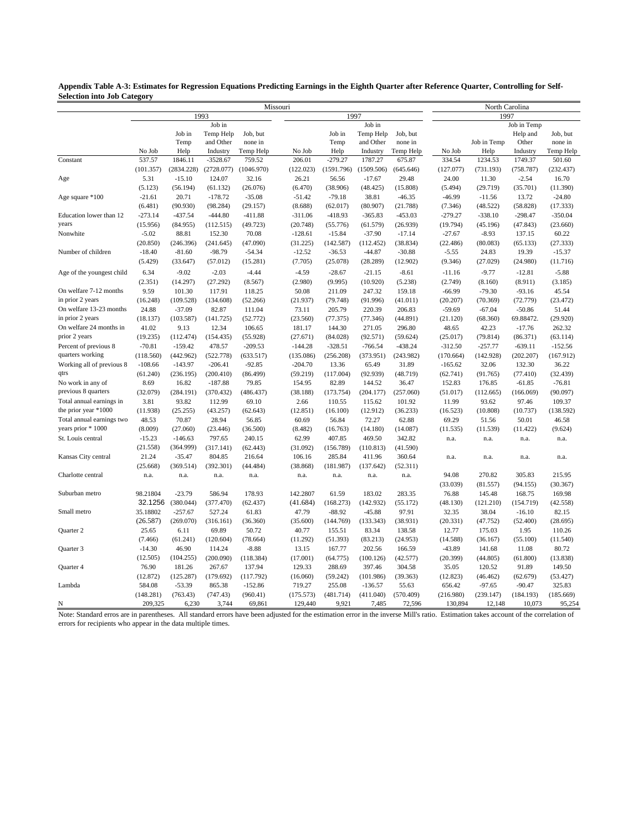| Missouri<br>North Carolina<br>1993<br>1997<br>1997<br>Job in<br>Job in<br>Job in Temp<br>Job in<br>Job, but<br>Job in<br>Job, but<br>Help and<br>Temp Help<br>Temp Help<br>Temp<br>and Other<br>none in<br>Temp<br>and Other<br>none in<br>Job in Temp<br>Other<br>No Job<br>Help<br>Industry<br>Temp Help<br>No Job<br>Help<br>Industry<br>Temp Help<br>No Job<br>Help<br>Industry<br>537.57<br>$-279.27$<br>1846.11<br>$-3528.67$<br>759.52<br>206.01<br>1787.27<br>675.87<br>334.54<br>1234.53<br>1749.37<br>Constant<br>(101.357)<br>(2834.228)<br>(2728.077)<br>(1046.970)<br>(122.023)<br>(1591.796)<br>(1509.506)<br>(645.646)<br>(127.077)<br>(731.193)<br>(758.787) | Job, but<br>none in<br>Temp Help<br>501.60<br>(232.437)<br>16.70<br>(11.390)<br>$-24.80$<br>(17.333)<br>$-350.04$<br>(23.660) |
|------------------------------------------------------------------------------------------------------------------------------------------------------------------------------------------------------------------------------------------------------------------------------------------------------------------------------------------------------------------------------------------------------------------------------------------------------------------------------------------------------------------------------------------------------------------------------------------------------------------------------------------------------------------------------|-------------------------------------------------------------------------------------------------------------------------------|
|                                                                                                                                                                                                                                                                                                                                                                                                                                                                                                                                                                                                                                                                              |                                                                                                                               |
|                                                                                                                                                                                                                                                                                                                                                                                                                                                                                                                                                                                                                                                                              |                                                                                                                               |
|                                                                                                                                                                                                                                                                                                                                                                                                                                                                                                                                                                                                                                                                              |                                                                                                                               |
|                                                                                                                                                                                                                                                                                                                                                                                                                                                                                                                                                                                                                                                                              |                                                                                                                               |
|                                                                                                                                                                                                                                                                                                                                                                                                                                                                                                                                                                                                                                                                              |                                                                                                                               |
|                                                                                                                                                                                                                                                                                                                                                                                                                                                                                                                                                                                                                                                                              |                                                                                                                               |
|                                                                                                                                                                                                                                                                                                                                                                                                                                                                                                                                                                                                                                                                              |                                                                                                                               |
| 5.31<br>$-15.10$<br>124.07<br>32.16<br>26.21<br>56.56<br>$-17.67$<br>29.48<br>24.00<br>11.30<br>$-2.54$<br>Age                                                                                                                                                                                                                                                                                                                                                                                                                                                                                                                                                               |                                                                                                                               |
| (5.123)<br>(56.194)<br>(61.132)<br>(26.076)<br>(6.470)<br>(38.906)<br>(48.425)<br>(5.494)<br>(29.719)<br>(35.701)<br>(15.808)                                                                                                                                                                                                                                                                                                                                                                                                                                                                                                                                                |                                                                                                                               |
| $-21.61$<br>20.71<br>$-178.72$<br>$-35.08$<br>$-51.42$<br>$-79.18$<br>38.81<br>$-46.99$<br>13.72<br>Age square *100<br>$-46.35$<br>$-11.56$                                                                                                                                                                                                                                                                                                                                                                                                                                                                                                                                  |                                                                                                                               |
| (6.481)<br>(90.930)<br>(98.284)<br>(29.157)<br>(8.688)<br>(62.017)<br>(80.907)<br>(21.788)<br>(48.522)<br>(58.828)<br>(7.346)                                                                                                                                                                                                                                                                                                                                                                                                                                                                                                                                                |                                                                                                                               |
| Education lower than 12<br>$-273.14$<br>$-437.54$<br>$-444.80$<br>$-411.88$<br>$-311.06$<br>$-418.93$<br>$-365.83$<br>$-453.03$<br>$-279.27$<br>$-338.10$<br>$-298.47$                                                                                                                                                                                                                                                                                                                                                                                                                                                                                                       |                                                                                                                               |
| years<br>(15.956)<br>(84.955)<br>(112.515)<br>(49.723)<br>(20.748)<br>(55.776)<br>(61.579)<br>(26.939)<br>(19.794)<br>(45.196)<br>(47.843)                                                                                                                                                                                                                                                                                                                                                                                                                                                                                                                                   |                                                                                                                               |
| $-5.02$<br>Nonwhite<br>88.81<br>152.30<br>70.08<br>$-128.61$<br>$-15.84$<br>$-37.90$<br>$-17.14$<br>$-27.67$<br>$-8.93$<br>137.15                                                                                                                                                                                                                                                                                                                                                                                                                                                                                                                                            | 60.22                                                                                                                         |
| (20.850)<br>(246.396)<br>(47.090)<br>(31.225)<br>(142.587)<br>(38.834)<br>(80.083)<br>(65.133)<br>(241.645)<br>(112.452)<br>(22.486)                                                                                                                                                                                                                                                                                                                                                                                                                                                                                                                                         | (27.333)                                                                                                                      |
| $-18.40$<br>$-98.79$<br>$-12.52$<br>$-44.87$<br>19.39<br>Number of children<br>$-81.60$<br>$-54.34$<br>$-36.53$<br>$-30.88$<br>$-5.55$<br>24.83                                                                                                                                                                                                                                                                                                                                                                                                                                                                                                                              | $-15.37$                                                                                                                      |
| (5.429)<br>(28.289)<br>(33.647)<br>(57.012)<br>(15.281)<br>(7.705)<br>(25.078)<br>(12.902)<br>(9.346)<br>(27.029)<br>(24.980)                                                                                                                                                                                                                                                                                                                                                                                                                                                                                                                                                | (11.716)                                                                                                                      |
| 6.34<br>$-9.02$<br>$-2.03$<br>$-4.59$<br>Age of the youngest child<br>$-4.44$<br>$-28.67$<br>$-21.15$<br>$-8.61$<br>$-11.16$<br>$-9.77$<br>$-12.81$                                                                                                                                                                                                                                                                                                                                                                                                                                                                                                                          | $-5.88$                                                                                                                       |
| (2.351)<br>(2.980)<br>(9.995)<br>(10.920)<br>(14.297)<br>(27.292)<br>(8.567)<br>(5.238)<br>(2.749)<br>(8.160)<br>(8.911)                                                                                                                                                                                                                                                                                                                                                                                                                                                                                                                                                     | (3.185)                                                                                                                       |
| On welfare 7-12 months<br>9.59<br>101.30<br>117.91<br>118.25<br>50.08<br>211.09<br>247.32<br>159.18<br>$-66.99$<br>$-79.30$<br>$-93.16$                                                                                                                                                                                                                                                                                                                                                                                                                                                                                                                                      | 45.54                                                                                                                         |
| in prior 2 years<br>(16.248)<br>(109.528)<br>(134.608)<br>(52.266)<br>(21.937)<br>(79.748)<br>(91.996)<br>(41.011)<br>(20.207)<br>(70.369)<br>(72.779)                                                                                                                                                                                                                                                                                                                                                                                                                                                                                                                       | (23.472)                                                                                                                      |
| On welfare 13-23 months<br>24.88<br>$-37.09$<br>82.87<br>111.04<br>73.11<br>205.79<br>220.39<br>206.83<br>$-59.69$<br>$-67.04$<br>$-50.86$                                                                                                                                                                                                                                                                                                                                                                                                                                                                                                                                   | 51.44                                                                                                                         |
| in prior 2 years<br>(18.137)<br>(103.587)<br>(141.725)<br>(52.772)<br>(23.560)<br>(77.375)<br>(77.346)<br>(68.360)<br>69.88472.<br>(44.891)<br>(21.120)                                                                                                                                                                                                                                                                                                                                                                                                                                                                                                                      | (29.920)                                                                                                                      |
| 41.02<br>12.34<br>181.17<br>144.30<br>271.05<br>42.23<br>$-17.76$<br>On welfare 24 months in<br>9.13<br>106.65<br>296.80<br>48.65                                                                                                                                                                                                                                                                                                                                                                                                                                                                                                                                            | 262.32                                                                                                                        |
| prior 2 years<br>(19.235)<br>(112.474)<br>(154.435)<br>(55.928)<br>(27.671)<br>(84.028)<br>(92.571)<br>(59.624)<br>(25.017)<br>(79.814)<br>(86.371)                                                                                                                                                                                                                                                                                                                                                                                                                                                                                                                          | (63.114)                                                                                                                      |
| Percent of previous 8<br>$-70.81$<br>$-159.42$<br>478.57<br>$-144.28$<br>$-639.11$<br>$-209.53$<br>$-328.51$<br>$-766.54$<br>$-438.24$<br>$-312.50$<br>$-257.77$                                                                                                                                                                                                                                                                                                                                                                                                                                                                                                             | $-152.56$                                                                                                                     |
| quarters working<br>(118.560)<br>(442.962)<br>(522.778)<br>(135.086)<br>(256.208)<br>(373.951)<br>(142.928)<br>(202.207)<br>(633.517)<br>(243.982)<br>(170.664)                                                                                                                                                                                                                                                                                                                                                                                                                                                                                                              | (167.912)                                                                                                                     |
| Working all of previous 8<br>$-108.66$<br>$-143.97$<br>$-206.41$<br>$-92.85$<br>$-204.70$<br>65.49<br>13.36<br>31.89<br>$-165.62$<br>32.06<br>132.30                                                                                                                                                                                                                                                                                                                                                                                                                                                                                                                         | 36.22                                                                                                                         |
| qtrs<br>(61.240)<br>(236.195)<br>(200.410)<br>(59.219)<br>(117.004)<br>(92.939)<br>(91.765)<br>(86.499)<br>(48.719)<br>(62.741)<br>(77.410)                                                                                                                                                                                                                                                                                                                                                                                                                                                                                                                                  | (32.439)                                                                                                                      |
| 8.69<br>16.82<br>$-187.88$<br>79.85<br>154.95<br>144.52<br>176.85<br>No work in any of<br>82.89<br>36.47<br>152.83<br>$-61.85$                                                                                                                                                                                                                                                                                                                                                                                                                                                                                                                                               | $-76.81$                                                                                                                      |
| previous 8 quarters<br>(32.079)<br>(284.191)<br>(204.177)<br>(370.432)<br>(486.437)<br>(38.188)<br>(173.754)<br>(257.060)<br>(51.017)<br>(112.665)<br>(166.069)                                                                                                                                                                                                                                                                                                                                                                                                                                                                                                              | (90.097)                                                                                                                      |
| 3.81<br>93.82<br>112.99<br>69.10<br>2.66<br>110.55<br>115.62<br>101.92<br>11.99<br>93.62<br>97.46<br>Total annual earnings in                                                                                                                                                                                                                                                                                                                                                                                                                                                                                                                                                | 109.37                                                                                                                        |
| the prior year *1000<br>(11.938)<br>(25.255)<br>(43.257)<br>(62.643)<br>(12.851)<br>(16.100)<br>(12.912)<br>(36.233)<br>(16.523)<br>(10.808)<br>(10.737)                                                                                                                                                                                                                                                                                                                                                                                                                                                                                                                     | (138.592)                                                                                                                     |
| Total annual earnings two<br>48.53<br>70.87<br>28.94<br>72.27<br>69.29<br>50.01<br>56.85<br>60.69<br>56.84<br>62.88<br>51.56                                                                                                                                                                                                                                                                                                                                                                                                                                                                                                                                                 | 46.58                                                                                                                         |
| years prior * 1000<br>(8.009)<br>(27.060)<br>(23.446)<br>(36.500)<br>(8.482)<br>(16.763)<br>(14.180)<br>(14.087)<br>(11.539)<br>(11.422)<br>(11.535)                                                                                                                                                                                                                                                                                                                                                                                                                                                                                                                         | (9.624)                                                                                                                       |
| $-15.23$<br>$-146.63$<br>62.99<br>St. Louis central<br>797.65<br>240.15<br>407.85<br>469.50<br>342.82<br>n.a.<br>n.a.<br>n.a.                                                                                                                                                                                                                                                                                                                                                                                                                                                                                                                                                | n.a.                                                                                                                          |
| (21.558)<br>(364.999)<br>(317.141)<br>(62.443)<br>(31.092)<br>(156.789)<br>(110.813)<br>(41.590)                                                                                                                                                                                                                                                                                                                                                                                                                                                                                                                                                                             |                                                                                                                               |
| 21.24<br>$-35.47$<br>804.85<br>Kansas City central<br>216.64<br>106.16<br>285.84<br>411.96<br>360.64<br>n.a.<br>n.a.<br>n.a.                                                                                                                                                                                                                                                                                                                                                                                                                                                                                                                                                 | n.a.                                                                                                                          |
| (25.668)<br>(369.514)<br>(392.301)<br>(38.868)<br>(181.987)<br>(137.642)<br>(44.484)<br>(52.311)                                                                                                                                                                                                                                                                                                                                                                                                                                                                                                                                                                             |                                                                                                                               |
| Charlotte central<br>94.08<br>270.82<br>305.83<br>n.a.<br>n.a.<br>n.a.<br>n.a.<br>n.a.<br>n.a.<br>n.a.<br>n.a.                                                                                                                                                                                                                                                                                                                                                                                                                                                                                                                                                               | 215.95                                                                                                                        |
| (33.039)<br>(81.557)<br>(94.155)                                                                                                                                                                                                                                                                                                                                                                                                                                                                                                                                                                                                                                             | (30.367)                                                                                                                      |
| Suburban metro<br>98.21804<br>$-23.79$<br>586.94<br>178.93<br>142.2807<br>61.59<br>183.02<br>283.35<br>76.88<br>145.48<br>168.75                                                                                                                                                                                                                                                                                                                                                                                                                                                                                                                                             | 169.98                                                                                                                        |
| 32.1256<br>(380.044)<br>(377.470)<br>(62.437)<br>(41.684)<br>(168.273)<br>(142.932)<br>(55.172)<br>(48.130)<br>(154.719)<br>(121.210)                                                                                                                                                                                                                                                                                                                                                                                                                                                                                                                                        | (42.558)                                                                                                                      |
| 35.18802<br>$-88.92$<br>32.35<br>Small metro<br>$-257.67$<br>527.24<br>61.83<br>47.79<br>$-45.88$<br>97.91<br>38.04<br>$-16.10$                                                                                                                                                                                                                                                                                                                                                                                                                                                                                                                                              | 82.15                                                                                                                         |
| (26.587)<br>(269.070)<br>(316.161)<br>(36.360)<br>(35.600)<br>(144.769)<br>(133.343)<br>(38.931)<br>(20.331)<br>(47.752)<br>(52.400)                                                                                                                                                                                                                                                                                                                                                                                                                                                                                                                                         | (28.695)                                                                                                                      |
| 25.65<br>6.11<br>69.89<br>50.72<br>40.77<br>155.51<br>83.34<br>138.58<br>12.77<br>175.03<br>1.95<br>Quarter 2                                                                                                                                                                                                                                                                                                                                                                                                                                                                                                                                                                | 110.26                                                                                                                        |
| (7.466)<br>(61.241)<br>(120.604)<br>(78.664)<br>(11.292)<br>(51.393)<br>(83.213)<br>(24.953)<br>(14.588)<br>(55.100)<br>(36.167)                                                                                                                                                                                                                                                                                                                                                                                                                                                                                                                                             | (11.540)                                                                                                                      |
| $-14.30$<br>46.90<br>114.24<br>202.56<br>Quarter 3<br>$-8.88$<br>13.15<br>167.77<br>166.59<br>$-43.89$<br>141.68<br>11.08                                                                                                                                                                                                                                                                                                                                                                                                                                                                                                                                                    | 80.72                                                                                                                         |
| (12.505)<br>(104.255)<br>(200.090)<br>(118.384)<br>(17.001)<br>(64.775)<br>(100.126)<br>(42.577)<br>(20.399)<br>(44.805)<br>(61.800)                                                                                                                                                                                                                                                                                                                                                                                                                                                                                                                                         | (13.838)                                                                                                                      |
| 76.90<br>181.26<br>267.67<br>137.94<br>129.33<br>288.69<br>397.46<br>304.58<br>35.05<br>120.52<br>91.89<br>Quarter 4                                                                                                                                                                                                                                                                                                                                                                                                                                                                                                                                                         | 149.50                                                                                                                        |
| (12.872)<br>(125.287)<br>(179.692)<br>(16.060)<br>(59.242)<br>(101.986)<br>(39.363)<br>(12.823)<br>(62.679)<br>(117.792)<br>(46.462)                                                                                                                                                                                                                                                                                                                                                                                                                                                                                                                                         | (53.427)                                                                                                                      |
| Lambda<br>584.08<br>$-53.39$<br>865.38<br>$-152.86$<br>719.27<br>255.08<br>$-136.57$<br>55.63<br>656.42<br>$-97.65$<br>$-90.47$                                                                                                                                                                                                                                                                                                                                                                                                                                                                                                                                              | 325.83                                                                                                                        |
| (148.281)<br>(763.43)<br>(747.43)<br>(175.573)<br>(481.714)<br>(411.040)<br>(570.409)<br>(216.980)<br>(239.147)<br>(184.193)<br>(960.41)                                                                                                                                                                                                                                                                                                                                                                                                                                                                                                                                     | (185.669)                                                                                                                     |
| 209,325<br>6,230<br>3,744<br>129,440<br>9.921<br>7,485<br>130,894<br>10,073<br>69,861<br>72,596<br>12,148<br>N                                                                                                                                                                                                                                                                                                                                                                                                                                                                                                                                                               | 95,254                                                                                                                        |

**Appendix Table A-3: Estimates for Regression Equations Predicting Earnings in the Eighth Quarter after Reference Quarter, Controlling for Self-Selection into Job Category**

Note: Standard erros are in parentheses. All standard errors have been adjusted for the estimation error in the inverse Mill's ratio. Estimation takes account of the correlation of errors for recipients who appear in the data multiple times.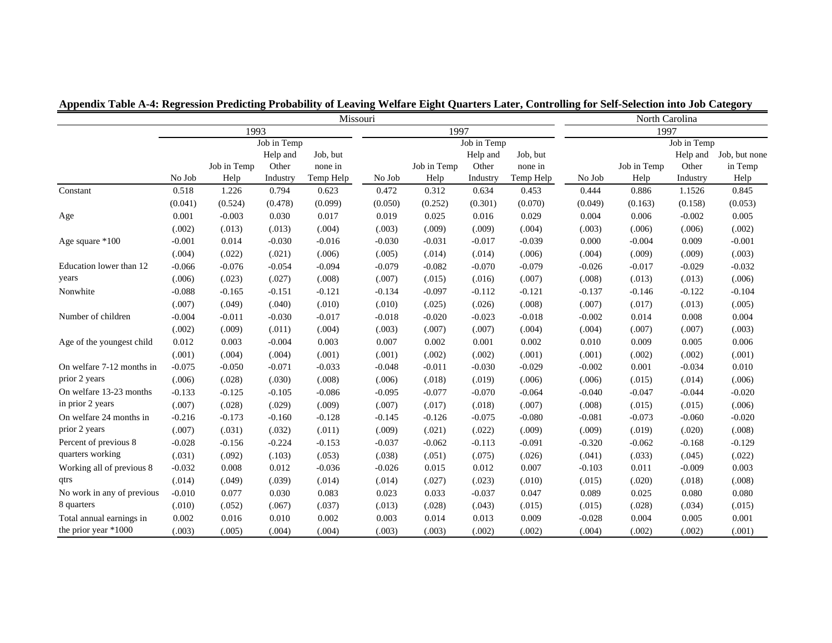|                            | Missouri    |             |                   |                     |                     |             |                   | North Carolina      |                     |             |                   |                          |  |
|----------------------------|-------------|-------------|-------------------|---------------------|---------------------|-------------|-------------------|---------------------|---------------------|-------------|-------------------|--------------------------|--|
|                            | 1993        |             |                   |                     | 1997<br>Job in Temp |             |                   |                     | 1997<br>Job in Temp |             |                   |                          |  |
|                            | Job in Temp |             |                   |                     |                     |             |                   |                     |                     |             |                   |                          |  |
|                            |             | Job in Temp | Help and<br>Other | Job, but<br>none in |                     | Job in Temp | Help and<br>Other | Job, but<br>none in |                     | Job in Temp | Help and<br>Other | Job, but none<br>in Temp |  |
|                            | No Job      | Help        | Industry          | Temp Help           | No Job              | Help        | Industry          | Temp Help           | No Job              | Help        | Industry          | Help                     |  |
| Constant                   | 0.518       | 1.226       | 0.794             | 0.623               | 0.472               | 0.312       | 0.634             | 0.453               | 0.444               | 0.886       | 1.1526            | 0.845                    |  |
|                            | (0.041)     | (0.524)     | (0.478)           | (0.099)             | (0.050)             | (0.252)     | (0.301)           | (0.070)             | (0.049)             | (0.163)     | (0.158)           | (0.053)                  |  |
| Age                        | 0.001       | $-0.003$    | 0.030             | 0.017               | 0.019               | 0.025       | 0.016             | 0.029               | 0.004               | 0.006       | $-0.002$          | 0.005                    |  |
|                            | (.002)      | (.013)      | (.013)            | (.004)              | (.003)              | (.009)      | (.009)            | (.004)              | (.003)              | (.006)      | (.006)            | (.002)                   |  |
| Age square *100            | $-0.001$    | 0.014       | $-0.030$          | $-0.016$            | $-0.030$            | $-0.031$    | $-0.017$          | $-0.039$            | 0.000               | $-0.004$    | 0.009             | $-0.001$                 |  |
|                            | (.004)      | (.022)      | (.021)            | (.006)              | (.005)              | (.014)      | (.014)            | (.006)              | (.004)              | (.009)      | (.009)            | (.003)                   |  |
| Education lower than 12    | $-0.066$    | $-0.076$    | $-0.054$          | $-0.094$            | $-0.079$            | $-0.082$    | $-0.070$          | $-0.079$            | $-0.026$            | $-0.017$    | $-0.029$          | $-0.032$                 |  |
| years                      | (.006)      | (.023)      | (.027)            | (.008)              | (.007)              | (.015)      | (.016)            | (.007)              | (.008)              | (.013)      | (.013)            | (.006)                   |  |
| Nonwhite                   | $-0.088$    | $-0.165$    | $-0.151$          | $-0.121$            | $-0.134$            | $-0.097$    | $-0.112$          | $-0.121$            | $-0.137$            | $-0.146$    | $-0.122$          | $-0.104$                 |  |
|                            | (.007)      | (.049)      | (.040)            | (.010)              | (.010)              | (.025)      | (.026)            | (.008)              | (.007)              | (.017)      | (.013)            | (.005)                   |  |
| Number of children         | $-0.004$    | $-0.011$    | $-0.030$          | $-0.017$            | $-0.018$            | $-0.020$    | $-0.023$          | $-0.018$            | $-0.002$            | 0.014       | 0.008             | 0.004                    |  |
|                            | (.002)      | (.009)      | (.011)            | (.004)              | (.003)              | (.007)      | (.007)            | (.004)              | (.004)              | (.007)      | (.007)            | (.003)                   |  |
| Age of the youngest child  | 0.012       | 0.003       | $-0.004$          | 0.003               | 0.007               | 0.002       | 0.001             | 0.002               | 0.010               | 0.009       | 0.005             | 0.006                    |  |
|                            | (.001)      | (.004)      | (.004)            | (.001)              | (.001)              | (.002)      | (.002)            | (.001)              | (.001)              | (.002)      | (.002)            | (.001)                   |  |
| On welfare 7-12 months in  | $-0.075$    | $-0.050$    | $-0.071$          | $-0.033$            | $-0.048$            | $-0.011$    | $-0.030$          | $-0.029$            | $-0.002$            | 0.001       | $-0.034$          | 0.010                    |  |
| prior 2 years              | (.006)      | (.028)      | (.030)            | (.008)              | (.006)              | (.018)      | (.019)            | (.006)              | (.006)              | (.015)      | (.014)            | (.006)                   |  |
| On welfare 13-23 months    | $-0.133$    | $-0.125$    | $-0.105$          | $-0.086$            | $-0.095$            | $-0.077$    | $-0.070$          | $-0.064$            | $-0.040$            | $-0.047$    | $-0.044$          | $-0.020$                 |  |
| in prior 2 years           | (.007)      | (.028)      | (.029)            | (.009)              | (.007)              | (.017)      | (.018)            | (.007)              | (.008)              | (.015)      | (.015)            | (.006)                   |  |
| On welfare 24 months in    | $-0.216$    | $-0.173$    | $-0.160$          | $-0.128$            | $-0.145$            | $-0.126$    | $-0.075$          | $-0.080$            | $-0.081$            | $-0.073$    | $-0.060$          | $-0.020$                 |  |
| prior 2 years              | (.007)      | (.031)      | (.032)            | (.011)              | (.009)              | (.021)      | (.022)            | (.009)              | (.009)              | (.019)      | (.020)            | (.008)                   |  |
| Percent of previous 8      | $-0.028$    | $-0.156$    | $-0.224$          | $-0.153$            | $-0.037$            | $-0.062$    | $-0.113$          | $-0.091$            | $-0.320$            | $-0.062$    | $-0.168$          | $-0.129$                 |  |
| quarters working           | (.031)      | (.092)      | (.103)            | (.053)              | (.038)              | (.051)      | (.075)            | (.026)              | (.041)              | (.033)      | (.045)            | (.022)                   |  |
| Working all of previous 8  | $-0.032$    | 0.008       | 0.012             | $-0.036$            | $-0.026$            | 0.015       | 0.012             | 0.007               | $-0.103$            | 0.011       | $-0.009$          | 0.003                    |  |
| qtrs                       | (.014)      | (.049)      | (.039)            | (.014)              | (.014)              | (.027)      | (.023)            | (.010)              | (.015)              | (.020)      | (.018)            | (.008)                   |  |
| No work in any of previous | $-0.010$    | 0.077       | 0.030             | 0.083               | 0.023               | 0.033       | $-0.037$          | 0.047               | 0.089               | 0.025       | 0.080             | 0.080                    |  |
| 8 quarters                 | (.010)      | (.052)      | (.067)            | (.037)              | (.013)              | (.028)      | (.043)            | (.015)              | (.015)              | (.028)      | (.034)            | (.015)                   |  |
| Total annual earnings in   | 0.002       | 0.016       | 0.010             | 0.002               | 0.003               | 0.014       | 0.013             | 0.009               | $-0.028$            | 0.004       | 0.005             | 0.001                    |  |
| the prior year $*1000$     | (.003)      | (.005)      | (.004)            | (.004)              | (.003)              | (.003)      | (.002)            | (.002)              | (.004)              | (.002)      | (.002)            | (.001)                   |  |

**Appendix Table A-4: Regression Predicting Probability of Leaving Welfare Eight Quarters Later, Controlling for Self-Selection into Job Category**